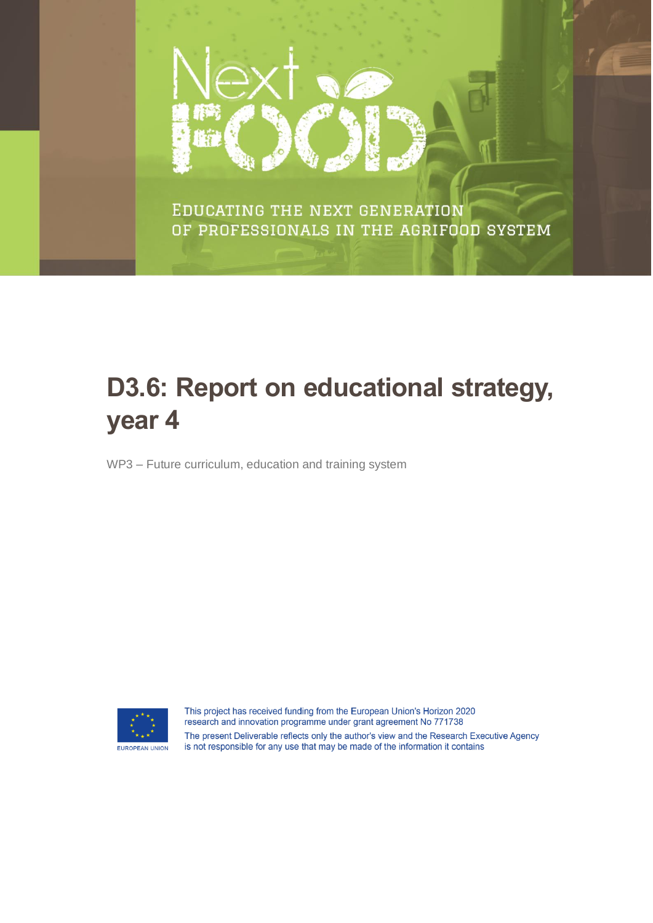

EDUCATING THE NEXT GENERATION OF PROFESSIONALS IN THE AGRIFOOD SYSTEM

# **D3.6: Report on educational strategy, year 4**

WP3 – Future curriculum, education and training system



This project has received funding from the European Union's Horizon 2020 research and innovation programme under grant agreement No 771738 The present Deliverable reflects only the author's view and the Research Executive Agency is not responsible for any use that may be made of the information it contains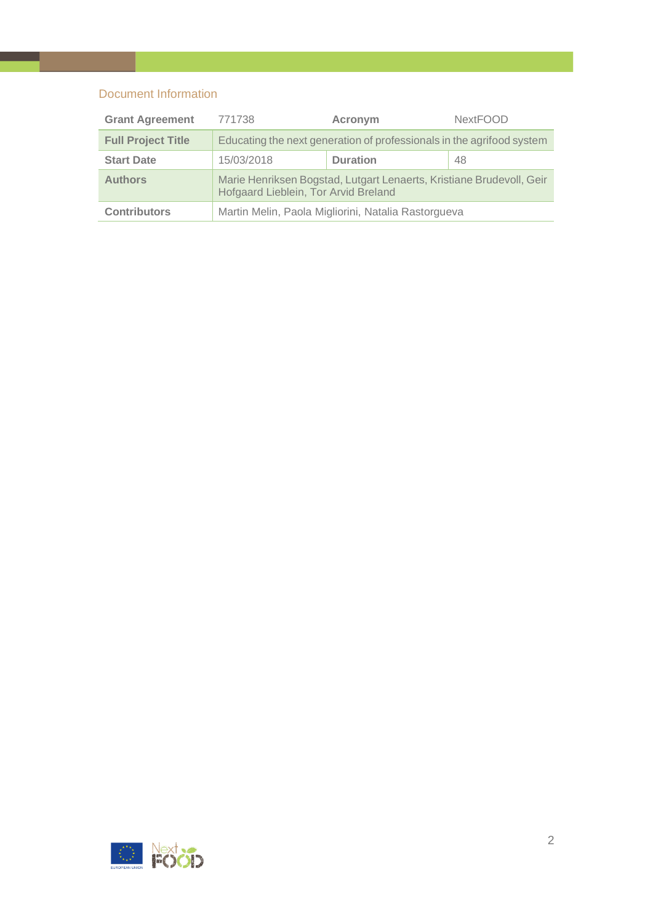# Document Information

| <b>Grant Agreement</b>    | <b>NextFOOD</b><br>771738<br>Acronym                                                                         |                 |    |
|---------------------------|--------------------------------------------------------------------------------------------------------------|-----------------|----|
| <b>Full Project Title</b> | Educating the next generation of professionals in the agrifood system                                        |                 |    |
| <b>Start Date</b>         | 15/03/2018                                                                                                   | <b>Duration</b> | 48 |
| <b>Authors</b>            | Marie Henriksen Bogstad, Lutgart Lenaerts, Kristiane Brudevoll, Geir<br>Hofgaard Lieblein, Tor Arvid Breland |                 |    |
| <b>Contributors</b>       | Martin Melin, Paola Migliorini, Natalia Rastorgueva                                                          |                 |    |

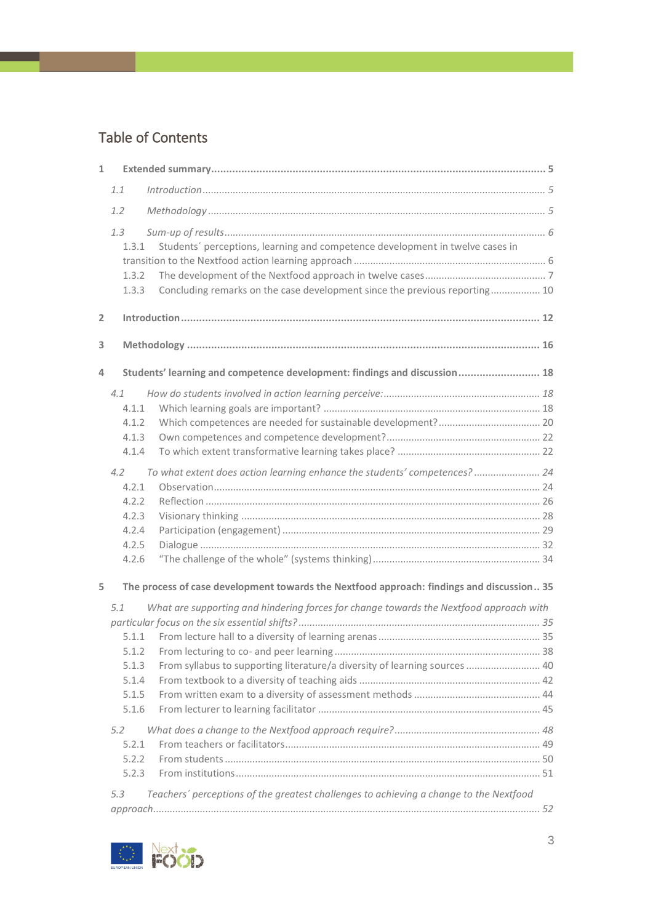# Table of Contents

| $\mathbf{1}$   |                |                                                                                           |  |
|----------------|----------------|-------------------------------------------------------------------------------------------|--|
|                | 1.1            | Introduction 1, 5                                                                         |  |
|                | 1.2            |                                                                                           |  |
|                | 1.3            |                                                                                           |  |
|                | 1.3.1          | Students' perceptions, learning and competence development in twelve cases in             |  |
|                |                |                                                                                           |  |
|                | 1.3.2          |                                                                                           |  |
|                | 1.3.3          | Concluding remarks on the case development since the previous reporting 10                |  |
| $\overline{2}$ |                |                                                                                           |  |
| 3              |                |                                                                                           |  |
| 4              |                | Students' learning and competence development: findings and discussion  18                |  |
|                | 4.1            |                                                                                           |  |
|                | 4.1.1          |                                                                                           |  |
|                | 4.1.2          |                                                                                           |  |
|                | 4.1.3          |                                                                                           |  |
|                | 4.1.4          |                                                                                           |  |
|                | $4.2^{\circ}$  | To what extent does action learning enhance the students' competences? 24                 |  |
|                | 4.2.1          |                                                                                           |  |
|                | 4.2.2          |                                                                                           |  |
|                | 4.2.3          |                                                                                           |  |
|                | 4.2.4          |                                                                                           |  |
|                | 4.2.5          |                                                                                           |  |
|                | 4.2.6          |                                                                                           |  |
| 5              |                | The process of case development towards the Nextfood approach: findings and discussion 35 |  |
|                | 5.1            | What are supporting and hindering forces for change towards the Nextfood approach with    |  |
|                |                |                                                                                           |  |
|                |                |                                                                                           |  |
|                | 5.1.2          |                                                                                           |  |
|                | 5.1.3          | From syllabus to supporting literature/a diversity of learning sources  40                |  |
|                | 5.1.4<br>5.1.5 |                                                                                           |  |
|                | 5.1.6          |                                                                                           |  |
|                |                |                                                                                           |  |
|                | 5.2            |                                                                                           |  |
|                | 5.2.1          |                                                                                           |  |
|                | 5.2.2          |                                                                                           |  |
|                | 5.2.3          |                                                                                           |  |
|                | 5.3            | Teachers' perceptions of the greatest challenges to achieving a change to the Nextfood    |  |
|                |                |                                                                                           |  |

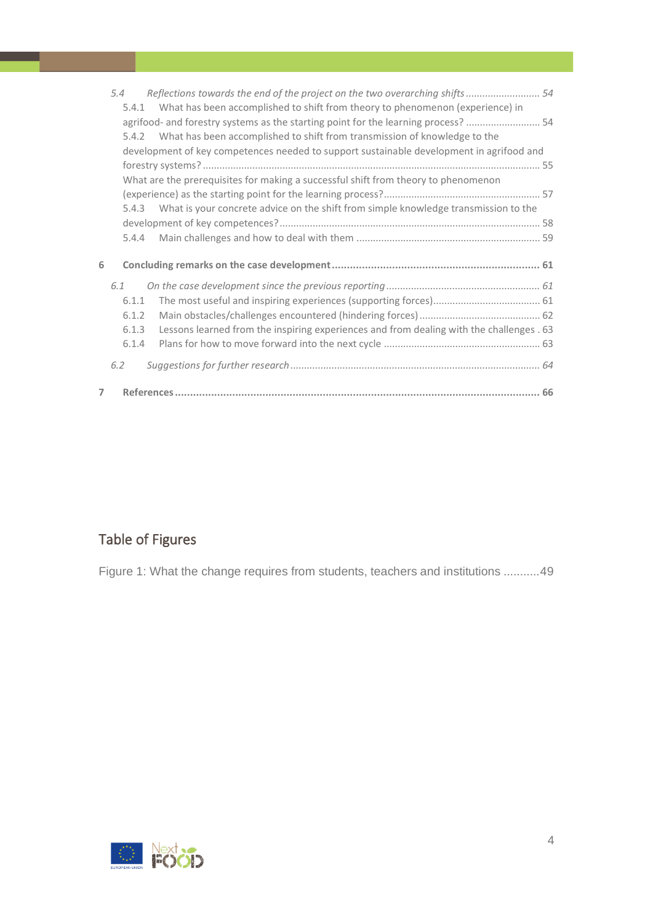|                | 5.4   | Reflections towards the end of the project on the two overarching shifts 54              |
|----------------|-------|------------------------------------------------------------------------------------------|
|                | 5.4.1 | What has been accomplished to shift from theory to phenomenon (experience) in            |
|                |       | agrifood- and forestry systems as the starting point for the learning process?  54       |
|                | 5.4.2 | What has been accomplished to shift from transmission of knowledge to the                |
|                |       | development of key competences needed to support sustainable development in agrifood and |
|                |       |                                                                                          |
|                |       | What are the prerequisites for making a successful shift from theory to phenomenon       |
|                |       |                                                                                          |
|                | 5.4.3 | What is your concrete advice on the shift from simple knowledge transmission to the      |
|                |       |                                                                                          |
|                | 5.4.4 |                                                                                          |
| 6              |       |                                                                                          |
|                |       |                                                                                          |
|                | 6.1   |                                                                                          |
|                | 6.1.1 |                                                                                          |
|                | 6.1.2 |                                                                                          |
|                | 6.1.3 | Lessons learned from the inspiring experiences and from dealing with the challenges . 63 |
|                | 6.1.4 |                                                                                          |
|                | 6.2   |                                                                                          |
| $\overline{7}$ |       |                                                                                          |

# Table of Figures

[Figure 1: What the change requires from students, teachers and institutions](#page-48-1) ...........49

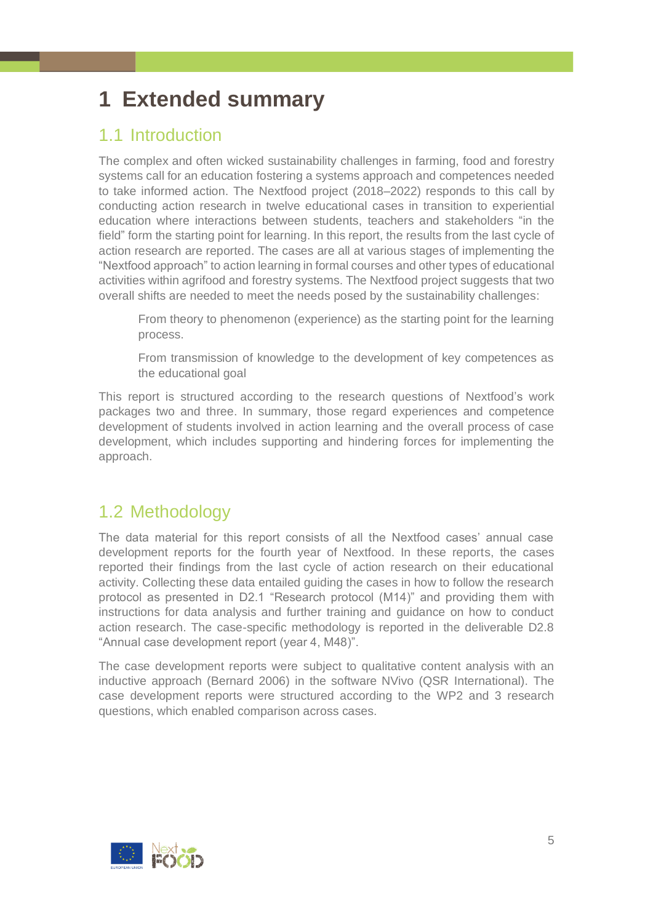# <span id="page-4-0"></span>**1 Extended summary**

# <span id="page-4-1"></span>1.1 Introduction

The complex and often wicked sustainability challenges in farming, food and forestry systems call for an education fostering a systems approach and competences needed to take informed action. The Nextfood project (2018–2022) responds to this call by conducting action research in twelve educational cases in transition to experiential education where interactions between students, teachers and stakeholders "in the field" form the starting point for learning. In this report, the results from the last cycle of action research are reported. The cases are all at various stages of implementing the "Nextfood approach" to action learning in formal courses and other types of educational activities within agrifood and forestry systems. The Nextfood project suggests that two overall shifts are needed to meet the needs posed by the sustainability challenges:

From theory to phenomenon (experience) as the starting point for the learning process.

From transmission of knowledge to the development of key competences as the educational goal

This report is structured according to the research questions of Nextfood's work packages two and three. In summary, those regard experiences and competence development of students involved in action learning and the overall process of case development, which includes supporting and hindering forces for implementing the approach.

# <span id="page-4-2"></span>1.2 Methodology

The data material for this report consists of all the Nextfood cases' annual case development reports for the fourth year of Nextfood. In these reports, the cases reported their findings from the last cycle of action research on their educational activity. Collecting these data entailed guiding the cases in how to follow the research protocol as presented in D2.1 "Research protocol (M14)" and providing them with instructions for data analysis and further training and guidance on how to conduct action research. The case-specific methodology is reported in the deliverable D2.8 "Annual case development report (year 4, M48)".

The case development reports were subject to qualitative content analysis with an inductive approach (Bernard 2006) in the software NVivo (QSR International). The case development reports were structured according to the WP2 and 3 research questions, which enabled comparison across cases.

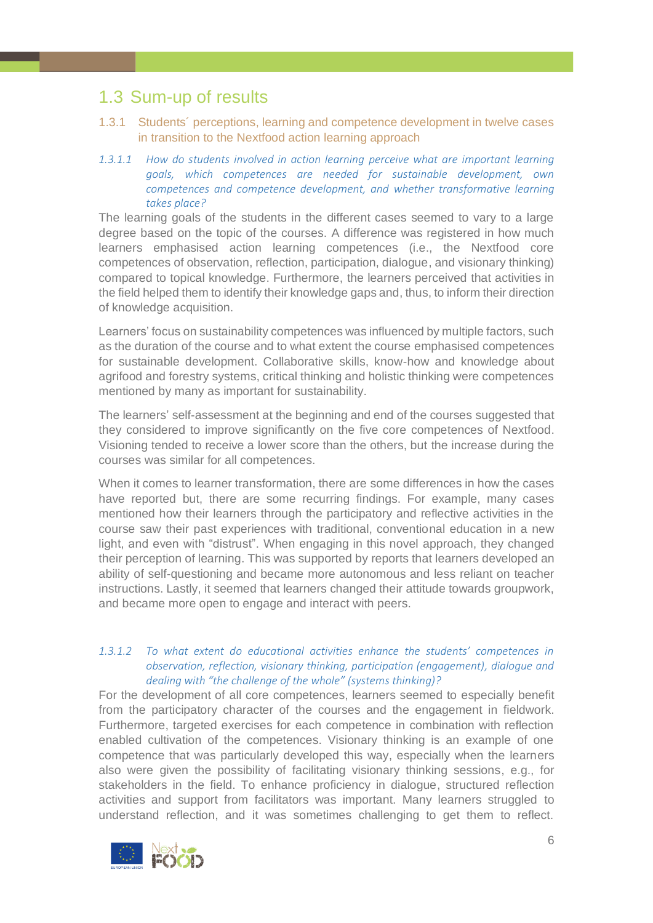# <span id="page-5-0"></span>1.3 Sum-up of results

- <span id="page-5-1"></span>1.3.1 Students´ perceptions, learning and competence development in twelve cases in transition to the Nextfood action learning approach
- *1.3.1.1 How do students involved in action learning perceive what are important learning goals, which competences are needed for sustainable development, own competences and competence development, and whether transformative learning takes place?*

The learning goals of the students in the different cases seemed to vary to a large degree based on the topic of the courses. A difference was registered in how much learners emphasised action learning competences (i.e., the Nextfood core competences of observation, reflection, participation, dialogue, and visionary thinking) compared to topical knowledge. Furthermore, the learners perceived that activities in the field helped them to identify their knowledge gaps and, thus, to inform their direction of knowledge acquisition.

Learners' focus on sustainability competences was influenced by multiple factors, such as the duration of the course and to what extent the course emphasised competences for sustainable development. Collaborative skills, know-how and knowledge about agrifood and forestry systems, critical thinking and holistic thinking were competences mentioned by many as important for sustainability.

The learners' self-assessment at the beginning and end of the courses suggested that they considered to improve significantly on the five core competences of Nextfood. Visioning tended to receive a lower score than the others, but the increase during the courses was similar for all competences.

When it comes to learner transformation, there are some differences in how the cases have reported but, there are some recurring findings. For example, many cases mentioned how their learners through the participatory and reflective activities in the course saw their past experiences with traditional, conventional education in a new light, and even with "distrust". When engaging in this novel approach, they changed their perception of learning. This was supported by reports that learners developed an ability of self-questioning and became more autonomous and less reliant on teacher instructions. Lastly, it seemed that learners changed their attitude towards groupwork, and became more open to engage and interact with peers.

# *1.3.1.2 To what extent do educational activities enhance the students' competences in observation, reflection, visionary thinking, participation (engagement), dialogue and dealing with "the challenge of the whole" (systems thinking)?*

For the development of all core competences, learners seemed to especially benefit from the participatory character of the courses and the engagement in fieldwork. Furthermore, targeted exercises for each competence in combination with reflection enabled cultivation of the competences. Visionary thinking is an example of one competence that was particularly developed this way, especially when the learners also were given the possibility of facilitating visionary thinking sessions, e.g., for stakeholders in the field. To enhance proficiency in dialogue, structured reflection activities and support from facilitators was important. Many learners struggled to understand reflection, and it was sometimes challenging to get them to reflect.

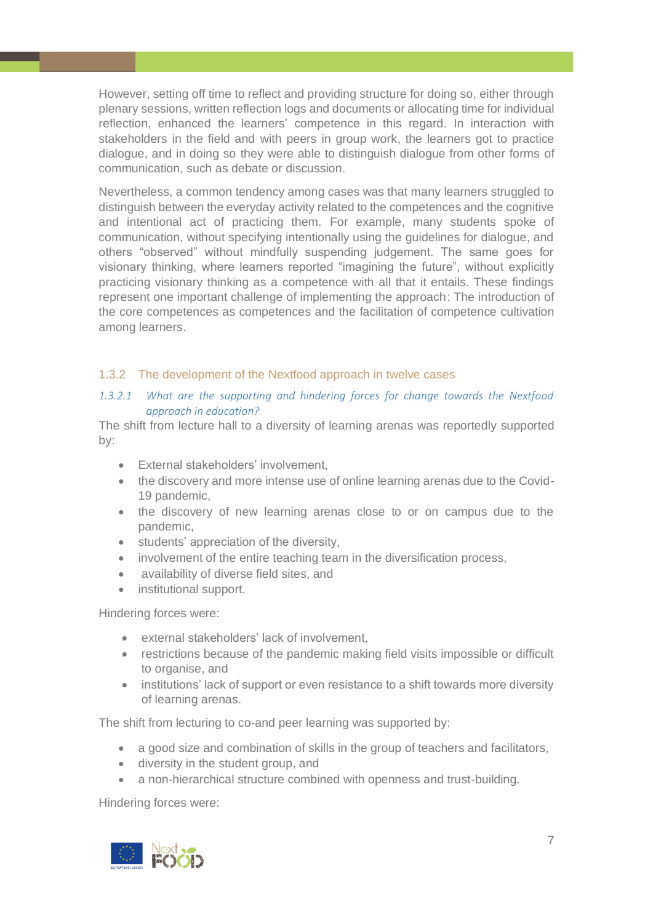However, setting off time to reflect and providing structure for doing so, either through plenary sessions, written reflection logs and documents or allocating time for individual reflection, enhanced the learners' competence in this regard. In interaction with stakeholders in the field and with peers in group work, the learners got to practice dialogue, and in doing so they were able to distinguish dialogue from other forms of communication, such as debate or discussion.

Nevertheless, a common tendency among cases was that many learners struggled to distinguish between the everyday activity related to the competences and the cognitive and intentional act of practicing them. For example, many students spoke of communication, without specifying intentionally using the guidelines for dialogue, and others "observed" without mindfully suspending judgement. The same goes for visionary thinking, where learners reported "imagining the future", without explicitly practicing visionary thinking as a competence with all that it entails. These findings represent one important challenge of implementing the approach: The introduction of the core competences as competences and the facilitation of competence cultivation among learners.

# <span id="page-6-0"></span>1.3.2 The development of the Nextfood approach in twelve cases

# *1.3.2.1 What are the supporting and hindering forces for change towards the Nextfood approach in education?*

The shift from lecture hall to a diversity of learning arenas was reportedly supported by:

- External stakeholders' involvement,
- the discovery and more intense use of online learning arenas due to the Covid-19 pandemic,
- the discovery of new learning arenas close to or on campus due to the pandemic,
- students' appreciation of the diversity,
- involvement of the entire teaching team in the diversification process,
- availability of diverse field sites, and
- institutional support.

Hindering forces were:

- external stakeholders' lack of involvement,
- restrictions because of the pandemic making field visits impossible or difficult to organise, and
- institutions' lack of support or even resistance to a shift towards more diversity of learning arenas.

The shift from lecturing to co-and peer learning was supported by:

- a good size and combination of skills in the group of teachers and facilitators,
- diversity in the student group, and
- a non-hierarchical structure combined with openness and trust-building.

Hindering forces were:

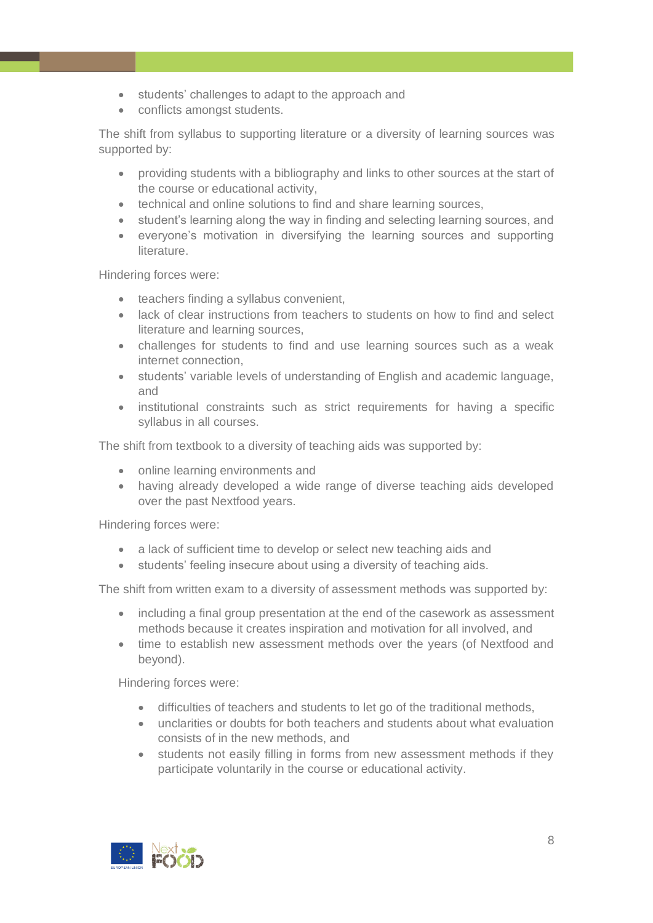- students' challenges to adapt to the approach and
- conflicts amongst students.

The shift from syllabus to supporting literature or a diversity of learning sources was supported by:

- providing students with a bibliography and links to other sources at the start of the course or educational activity,
- technical and online solutions to find and share learning sources,
- student's learning along the way in finding and selecting learning sources, and
- everyone's motivation in diversifying the learning sources and supporting literature.

Hindering forces were:

- teachers finding a syllabus convenient,
- lack of clear instructions from teachers to students on how to find and select literature and learning sources,
- challenges for students to find and use learning sources such as a weak internet connection,
- students' variable levels of understanding of English and academic language, and
- institutional constraints such as strict requirements for having a specific syllabus in all courses.

The shift from textbook to a diversity of teaching aids was supported by:

- online learning environments and
- having already developed a wide range of diverse teaching aids developed over the past Nextfood years.

Hindering forces were:

- a lack of sufficient time to develop or select new teaching aids and
- students' feeling insecure about using a diversity of teaching aids.

The shift from written exam to a diversity of assessment methods was supported by:

- including a final group presentation at the end of the casework as assessment methods because it creates inspiration and motivation for all involved, and
- time to establish new assessment methods over the years (of Nextfood and beyond).

Hindering forces were:

- difficulties of teachers and students to let go of the traditional methods,
- unclarities or doubts for both teachers and students about what evaluation consists of in the new methods, and
- students not easily filling in forms from new assessment methods if they participate voluntarily in the course or educational activity.

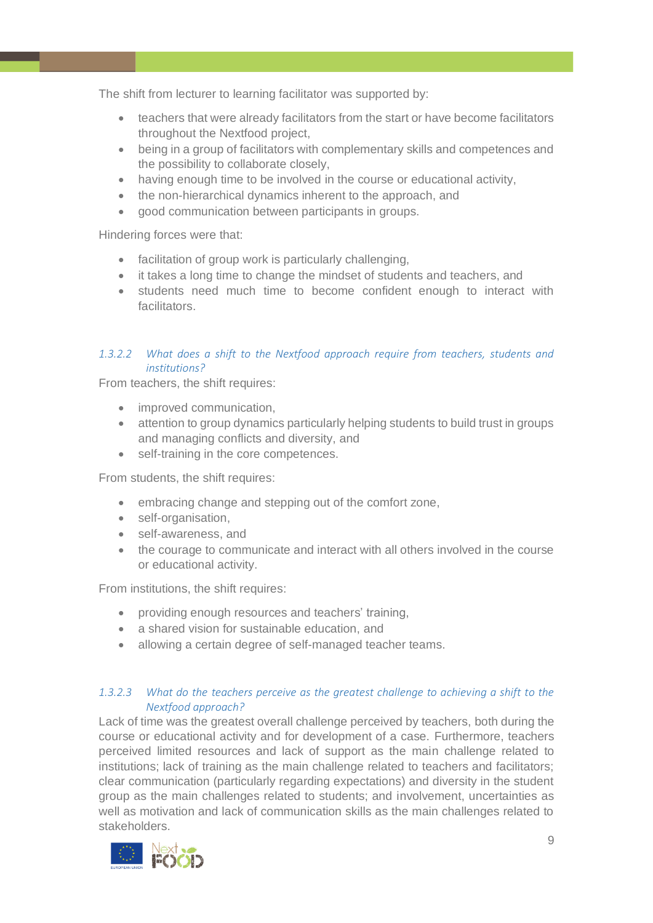The shift from lecturer to learning facilitator was supported by:

- teachers that were already facilitators from the start or have become facilitators throughout the Nextfood project,
- being in a group of facilitators with complementary skills and competences and the possibility to collaborate closely,
- having enough time to be involved in the course or educational activity,
- the non-hierarchical dynamics inherent to the approach, and
- good communication between participants in groups.

Hindering forces were that:

- facilitation of group work is particularly challenging,
- it takes a long time to change the mindset of students and teachers, and
- students need much time to become confident enough to interact with facilitators.

# *1.3.2.2 What does a shift to the Nextfood approach require from teachers, students and institutions?*

From teachers, the shift requires:

- improved communication,
- attention to group dynamics particularly helping students to build trust in groups and managing conflicts and diversity, and
- self-training in the core competences.

From students, the shift requires:

- embracing change and stepping out of the comfort zone,
- self-organisation,
- self-awareness, and
- the courage to communicate and interact with all others involved in the course or educational activity.

From institutions, the shift requires:

- providing enough resources and teachers' training,
- a shared vision for sustainable education, and
- allowing a certain degree of self-managed teacher teams.

# *1.3.2.3 What do the teachers perceive as the greatest challenge to achieving a shift to the Nextfood approach?*

Lack of time was the greatest overall challenge perceived by teachers, both during the course or educational activity and for development of a case. Furthermore, teachers perceived limited resources and lack of support as the main challenge related to institutions; lack of training as the main challenge related to teachers and facilitators; clear communication (particularly regarding expectations) and diversity in the student group as the main challenges related to students; and involvement, uncertainties as well as motivation and lack of communication skills as the main challenges related to stakeholders.

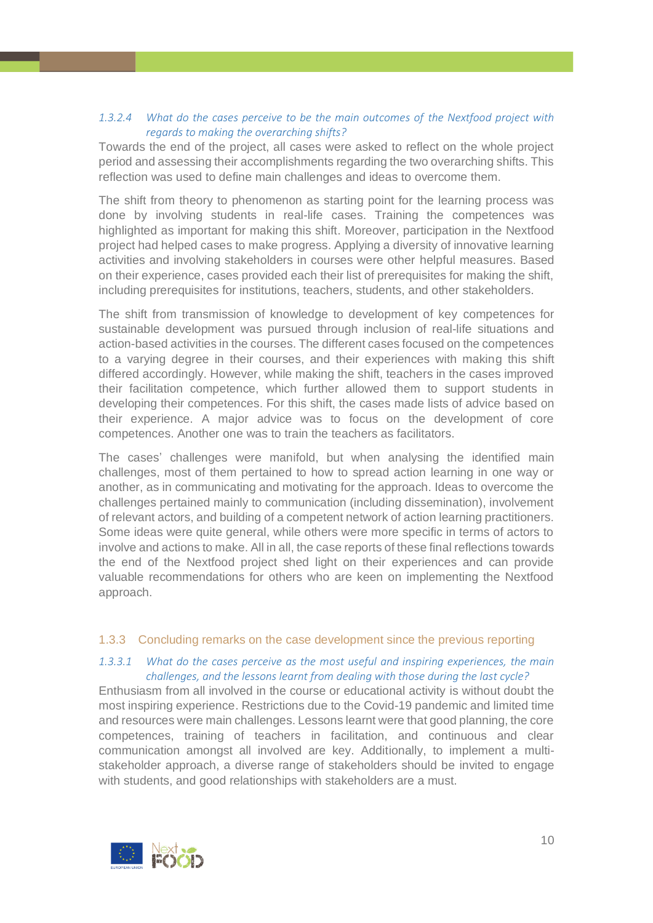# *1.3.2.4 What do the cases perceive to be the main outcomes of the Nextfood project with regards to making the overarching shifts?*

Towards the end of the project, all cases were asked to reflect on the whole project period and assessing their accomplishments regarding the two overarching shifts. This reflection was used to define main challenges and ideas to overcome them.

The shift from theory to phenomenon as starting point for the learning process was done by involving students in real-life cases. Training the competences was highlighted as important for making this shift. Moreover, participation in the Nextfood project had helped cases to make progress. Applying a diversity of innovative learning activities and involving stakeholders in courses were other helpful measures. Based on their experience, cases provided each their list of prerequisites for making the shift, including prerequisites for institutions, teachers, students, and other stakeholders.

The shift from transmission of knowledge to development of key competences for sustainable development was pursued through inclusion of real-life situations and action-based activities in the courses. The different cases focused on the competences to a varying degree in their courses, and their experiences with making this shift differed accordingly. However, while making the shift, teachers in the cases improved their facilitation competence, which further allowed them to support students in developing their competences. For this shift, the cases made lists of advice based on their experience. A major advice was to focus on the development of core competences. Another one was to train the teachers as facilitators.

The cases' challenges were manifold, but when analysing the identified main challenges, most of them pertained to how to spread action learning in one way or another, as in communicating and motivating for the approach. Ideas to overcome the challenges pertained mainly to communication (including dissemination), involvement of relevant actors, and building of a competent network of action learning practitioners. Some ideas were quite general, while others were more specific in terms of actors to involve and actions to make. All in all, the case reports of these final reflections towards the end of the Nextfood project shed light on their experiences and can provide valuable recommendations for others who are keen on implementing the Nextfood approach.

# <span id="page-9-0"></span>1.3.3 Concluding remarks on the case development since the previous reporting

# *1.3.3.1 What do the cases perceive as the most useful and inspiring experiences, the main challenges, and the lessons learnt from dealing with those during the last cycle?*

Enthusiasm from all involved in the course or educational activity is without doubt the most inspiring experience. Restrictions due to the Covid-19 pandemic and limited time and resources were main challenges. Lessons learnt were that good planning, the core competences, training of teachers in facilitation, and continuous and clear communication amongst all involved are key. Additionally, to implement a multistakeholder approach, a diverse range of stakeholders should be invited to engage with students, and good relationships with stakeholders are a must.

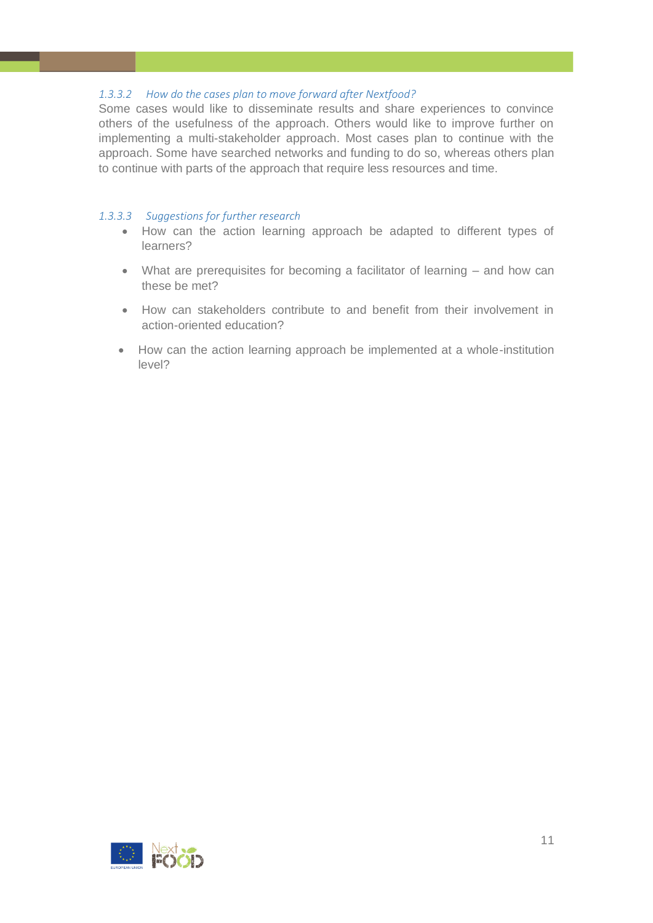# *1.3.3.2 How do the cases plan to move forward after Nextfood?*

Some cases would like to disseminate results and share experiences to convince others of the usefulness of the approach. Others would like to improve further on implementing a multi-stakeholder approach. Most cases plan to continue with the approach. Some have searched networks and funding to do so, whereas others plan to continue with parts of the approach that require less resources and time.

# *1.3.3.3 Suggestions for further research*

- How can the action learning approach be adapted to different types of learners?
- What are prerequisites for becoming a facilitator of learning and how can these be met?
- How can stakeholders contribute to and benefit from their involvement in action-oriented education?
- How can the action learning approach be implemented at a whole-institution level?

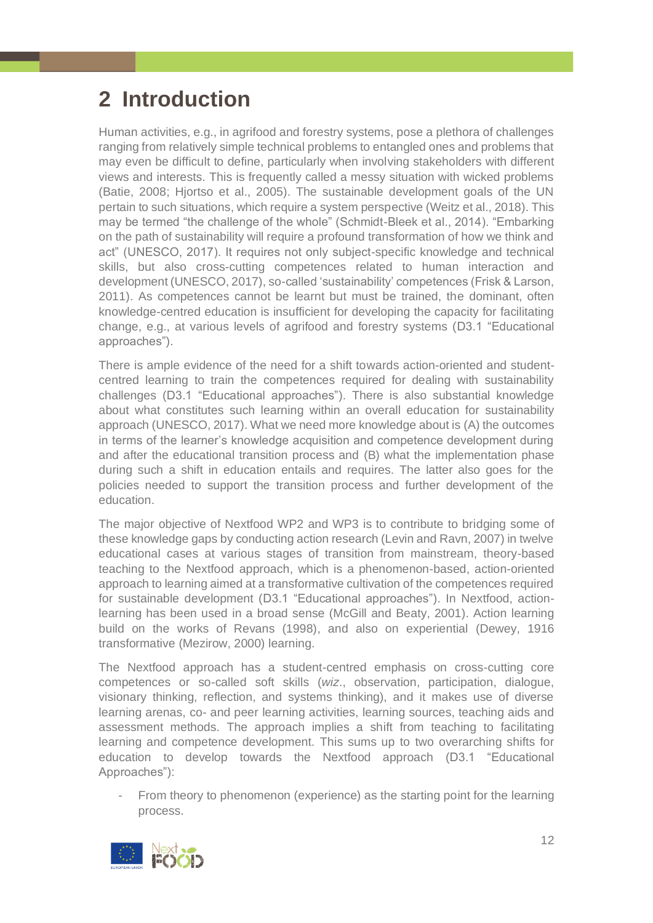# <span id="page-11-0"></span>**2 Introduction**

Human activities, e.g., in agrifood and forestry systems, pose a plethora of challenges ranging from relatively simple technical problems to entangled ones and problems that may even be difficult to define, particularly when involving stakeholders with different views and interests. This is frequently called a messy situation with wicked problems (Batie, 2008; Hjortso et al., 2005). The sustainable development goals of the UN pertain to such situations, which require a system perspective (Weitz et al., 2018). This may be termed "the challenge of the whole" (Schmidt-Bleek et al., 2014). "Embarking on the path of sustainability will require a profound transformation of how we think and act" (UNESCO, 2017). It requires not only subject-specific knowledge and technical skills, but also cross-cutting competences related to human interaction and development (UNESCO, 2017), so-called 'sustainability' competences (Frisk & Larson, 2011). As competences cannot be learnt but must be trained, the dominant, often knowledge-centred education is insufficient for developing the capacity for facilitating change, e.g., at various levels of agrifood and forestry systems (D3.1 "Educational approaches").

There is ample evidence of the need for a shift towards action-oriented and studentcentred learning to train the competences required for dealing with sustainability challenges (D3.1 "Educational approaches"). There is also substantial knowledge about what constitutes such learning within an overall education for sustainability approach (UNESCO, 2017). What we need more knowledge about is (A) the outcomes in terms of the learner's knowledge acquisition and competence development during and after the educational transition process and (B) what the implementation phase during such a shift in education entails and requires. The latter also goes for the policies needed to support the transition process and further development of the education.

The major objective of Nextfood WP2 and WP3 is to contribute to bridging some of these knowledge gaps by conducting action research (Levin and Ravn, 2007) in twelve educational cases at various stages of transition from mainstream, theory-based teaching to the Nextfood approach, which is a phenomenon-based, action-oriented approach to learning aimed at a transformative cultivation of the competences required for sustainable development (D3.1 "Educational approaches"). In Nextfood, actionlearning has been used in a broad sense (McGill and Beaty, 2001). Action learning build on the works of Revans (1998), and also on experiential (Dewey, 1916 transformative (Mezirow, 2000) learning.

The Nextfood approach has a student-centred emphasis on cross-cutting core competences or so-called soft skills (*wiz*., observation, participation, dialogue, visionary thinking, reflection, and systems thinking), and it makes use of diverse learning arenas, co- and peer learning activities, learning sources, teaching aids and assessment methods. The approach implies a shift from teaching to facilitating learning and competence development. This sums up to two overarching shifts for education to develop towards the Nextfood approach (D3.1 "Educational Approaches"):

From theory to phenomenon (experience) as the starting point for the learning process.

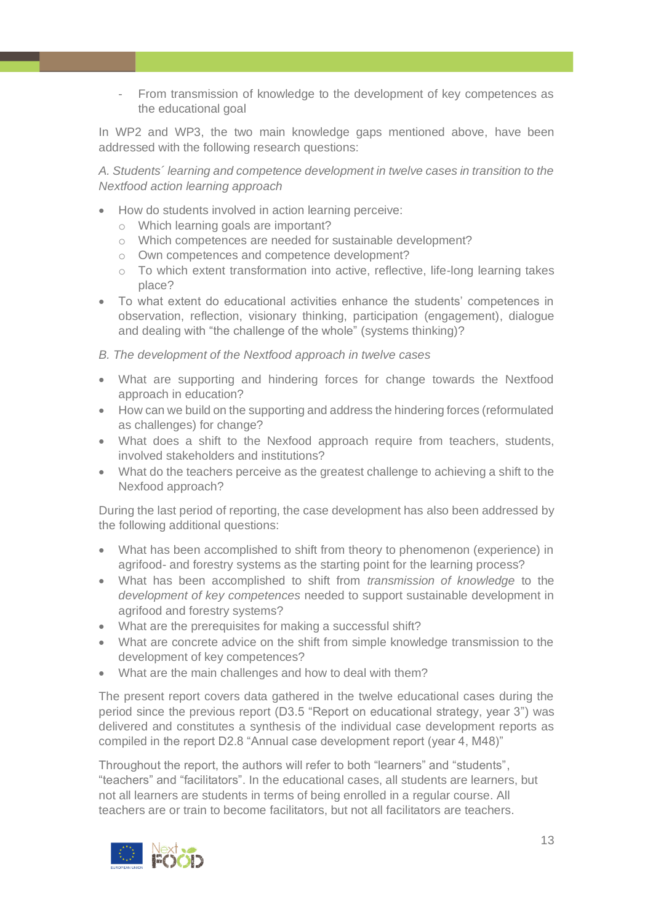From transmission of knowledge to the development of key competences as the educational goal

In WP2 and WP3, the two main knowledge gaps mentioned above, have been addressed with the following research questions:

*A. Students´ learning and competence development in twelve cases in transition to the Nextfood action learning approach*

- How do students involved in action learning perceive:
	- o Which learning goals are important?
	- o Which competences are needed for sustainable development?
	- o Own competences and competence development?
	- o To which extent transformation into active, reflective, life-long learning takes place?
- To what extent do educational activities enhance the students' competences in observation, reflection, visionary thinking, participation (engagement), dialogue and dealing with "the challenge of the whole" (systems thinking)?
- *B. The development of the Nextfood approach in twelve cases*
- What are supporting and hindering forces for change towards the Nextfood approach in education?
- How can we build on the supporting and address the hindering forces (reformulated as challenges) for change?
- What does a shift to the Nexfood approach require from teachers, students, involved stakeholders and institutions?
- What do the teachers perceive as the greatest challenge to achieving a shift to the Nexfood approach?

During the last period of reporting, the case development has also been addressed by the following additional questions:

- What has been accomplished to shift from theory to phenomenon (experience) in agrifood- and forestry systems as the starting point for the learning process?
- What has been accomplished to shift from *transmission of knowledge* to the *development of key competences* needed to support sustainable development in agrifood and forestry systems?
- What are the prerequisites for making a successful shift?
- What are concrete advice on the shift from simple knowledge transmission to the development of key competences?
- What are the main challenges and how to deal with them?

The present report covers data gathered in the twelve educational cases during the period since the previous report (D3.5 "Report on educational strategy, year 3") was delivered and constitutes a synthesis of the individual case development reports as compiled in the report D2.8 "Annual case development report (year 4, M48)"

Throughout the report, the authors will refer to both "learners" and "students", "teachers" and "facilitators". In the educational cases, all students are learners, but not all learners are students in terms of being enrolled in a regular course. All teachers are or train to become facilitators, but not all facilitators are teachers.

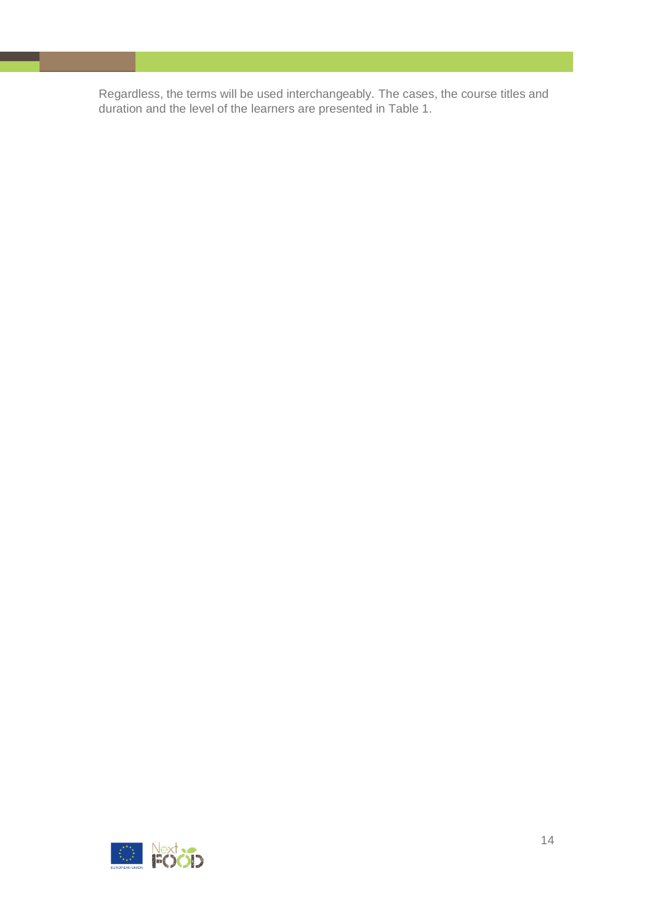Regardless, the terms will be used interchangeably. The cases, the course titles and duration and the level of the learners are presented in Table 1.

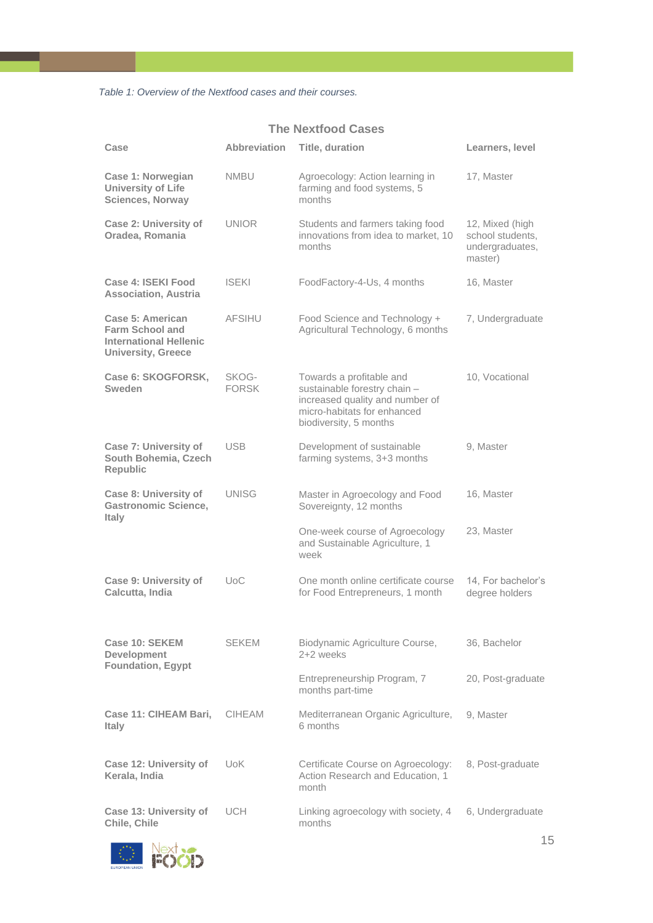*Table 1: Overview of the Nextfood cases and their courses.*

# **The Nextfood Cases**

| Case                                                                                                     | <b>Abbreviation</b>   | Title, duration                                                                                                                                      | Learners, level                                                   |
|----------------------------------------------------------------------------------------------------------|-----------------------|------------------------------------------------------------------------------------------------------------------------------------------------------|-------------------------------------------------------------------|
| Case 1: Norwegian<br><b>University of Life</b><br><b>Sciences, Norway</b>                                | NMBU                  | Agroecology: Action learning in<br>farming and food systems, 5<br>months                                                                             | 17, Master                                                        |
| <b>Case 2: University of</b><br>Oradea, Romania                                                          | <b>UNIOR</b>          | Students and farmers taking food<br>innovations from idea to market, 10<br>months                                                                    | 12, Mixed (high<br>school students,<br>undergraduates,<br>master) |
| Case 4: ISEKI Food<br><b>Association, Austria</b>                                                        | <b>ISEKI</b>          | FoodFactory-4-Us, 4 months                                                                                                                           | 16, Master                                                        |
| Case 5: American<br><b>Farm School and</b><br><b>International Hellenic</b><br><b>University, Greece</b> | <b>AFSIHU</b>         | Food Science and Technology +<br>Agricultural Technology, 6 months                                                                                   | 7, Undergraduate                                                  |
| Case 6: SKOGFORSK,<br>Sweden                                                                             | SKOG-<br><b>FORSK</b> | Towards a profitable and<br>sustainable forestry chain -<br>increased quality and number of<br>micro-habitats for enhanced<br>biodiversity, 5 months | 10, Vocational                                                    |
| <b>Case 7: University of</b><br>South Bohemia, Czech<br><b>Republic</b>                                  | <b>USB</b>            | Development of sustainable<br>farming systems, 3+3 months                                                                                            | 9, Master                                                         |
| Case 8: University of<br><b>Gastronomic Science,</b><br>Italy                                            | <b>UNISG</b>          | Master in Agroecology and Food<br>Sovereignty, 12 months                                                                                             | 16, Master                                                        |
|                                                                                                          |                       | One-week course of Agroecology<br>and Sustainable Agriculture, 1<br>week                                                                             | 23, Master                                                        |
| <b>Case 9: University of</b><br>Calcutta, India                                                          | UoC                   | One month online certificate course<br>for Food Entrepreneurs, 1 month                                                                               | 14, For bachelor's<br>degree holders                              |
| Case 10: SEKEM<br><b>Development</b><br><b>Foundation, Egypt</b>                                         | SEKEM                 | Biodynamic Agriculture Course,<br>2+2 weeks                                                                                                          | 36, Bachelor                                                      |
|                                                                                                          |                       | Entrepreneurship Program, 7<br>months part-time                                                                                                      | 20, Post-graduate                                                 |
| Case 11: CIHEAM Bari,<br><b>Italy</b>                                                                    | <b>CIHEAM</b>         | Mediterranean Organic Agriculture,<br>6 months                                                                                                       | 9, Master                                                         |
| Case 12: University of<br>Kerala, India                                                                  | UoK.                  | Certificate Course on Agroecology:<br>Action Research and Education, 1<br>month                                                                      | 8, Post-graduate                                                  |
| Case 13: University of<br>Chile, Chile                                                                   | UCH.                  | Linking agroecology with society, 4<br>months                                                                                                        | 6, Undergraduate                                                  |

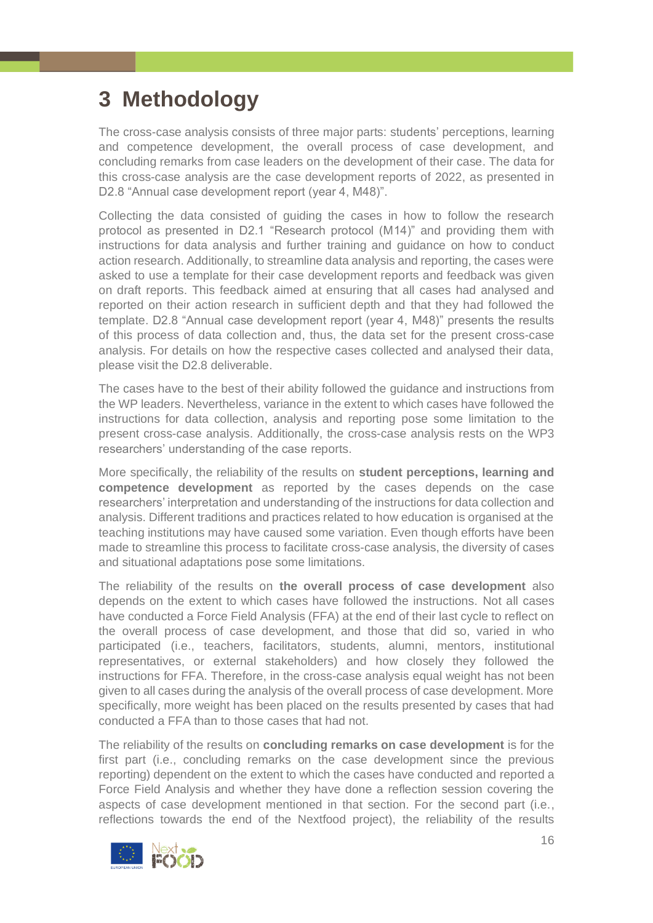# <span id="page-15-0"></span>**3 Methodology**

The cross-case analysis consists of three major parts: students' perceptions, learning and competence development, the overall process of case development, and concluding remarks from case leaders on the development of their case. The data for this cross-case analysis are the case development reports of 2022, as presented in D2.8 "Annual case development report (year 4, M48)".

Collecting the data consisted of guiding the cases in how to follow the research protocol as presented in D2.1 "Research protocol (M14)" and providing them with instructions for data analysis and further training and guidance on how to conduct action research. Additionally, to streamline data analysis and reporting, the cases were asked to use a template for their case development reports and feedback was given on draft reports. This feedback aimed at ensuring that all cases had analysed and reported on their action research in sufficient depth and that they had followed the template. D2.8 "Annual case development report (year 4, M48)" presents the results of this process of data collection and, thus, the data set for the present cross-case analysis. For details on how the respective cases collected and analysed their data, please visit the D2.8 deliverable.

The cases have to the best of their ability followed the guidance and instructions from the WP leaders. Nevertheless, variance in the extent to which cases have followed the instructions for data collection, analysis and reporting pose some limitation to the present cross-case analysis. Additionally, the cross-case analysis rests on the WP3 researchers' understanding of the case reports.

More specifically, the reliability of the results on **student perceptions, learning and competence development** as reported by the cases depends on the case researchers' interpretation and understanding of the instructions for data collection and analysis. Different traditions and practices related to how education is organised at the teaching institutions may have caused some variation. Even though efforts have been made to streamline this process to facilitate cross-case analysis, the diversity of cases and situational adaptations pose some limitations.

The reliability of the results on **the overall process of case development** also depends on the extent to which cases have followed the instructions. Not all cases have conducted a Force Field Analysis (FFA) at the end of their last cycle to reflect on the overall process of case development, and those that did so, varied in who participated (i.e., teachers, facilitators, students, alumni, mentors, institutional representatives, or external stakeholders) and how closely they followed the instructions for FFA. Therefore, in the cross-case analysis equal weight has not been given to all cases during the analysis of the overall process of case development. More specifically, more weight has been placed on the results presented by cases that had conducted a FFA than to those cases that had not.

The reliability of the results on **concluding remarks on case development** is for the first part (i.e., concluding remarks on the case development since the previous reporting) dependent on the extent to which the cases have conducted and reported a Force Field Analysis and whether they have done a reflection session covering the aspects of case development mentioned in that section. For the second part (i.e., reflections towards the end of the Nextfood project), the reliability of the results

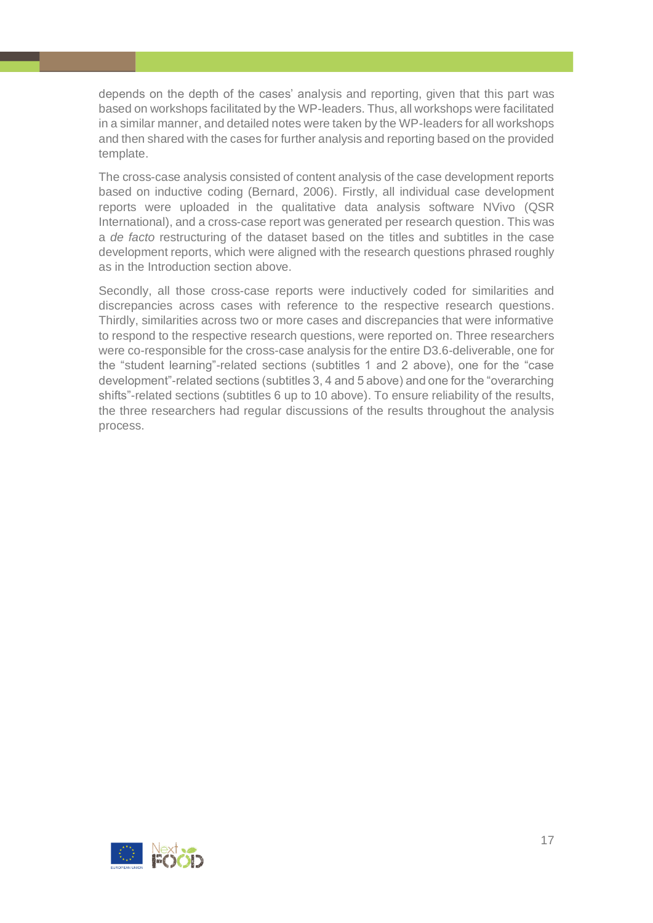depends on the depth of the cases' analysis and reporting, given that this part was based on workshops facilitated by the WP-leaders. Thus, all workshops were facilitated in a similar manner, and detailed notes were taken by the WP-leaders for all workshops and then shared with the cases for further analysis and reporting based on the provided template.

The cross-case analysis consisted of content analysis of the case development reports based on inductive coding (Bernard, 2006). Firstly, all individual case development reports were uploaded in the qualitative data analysis software NVivo (QSR International), and a cross-case report was generated per research question. This was a *de facto* restructuring of the dataset based on the titles and subtitles in the case development reports, which were aligned with the research questions phrased roughly as in the Introduction section above.

Secondly, all those cross-case reports were inductively coded for similarities and discrepancies across cases with reference to the respective research questions. Thirdly, similarities across two or more cases and discrepancies that were informative to respond to the respective research questions, were reported on. Three researchers were co-responsible for the cross-case analysis for the entire D3.6-deliverable, one for the "student learning"-related sections (subtitles 1 and 2 above), one for the "case development"-related sections (subtitles 3, 4 and 5 above) and one for the "overarching shifts"-related sections (subtitles 6 up to 10 above). To ensure reliability of the results, the three researchers had regular discussions of the results throughout the analysis process.

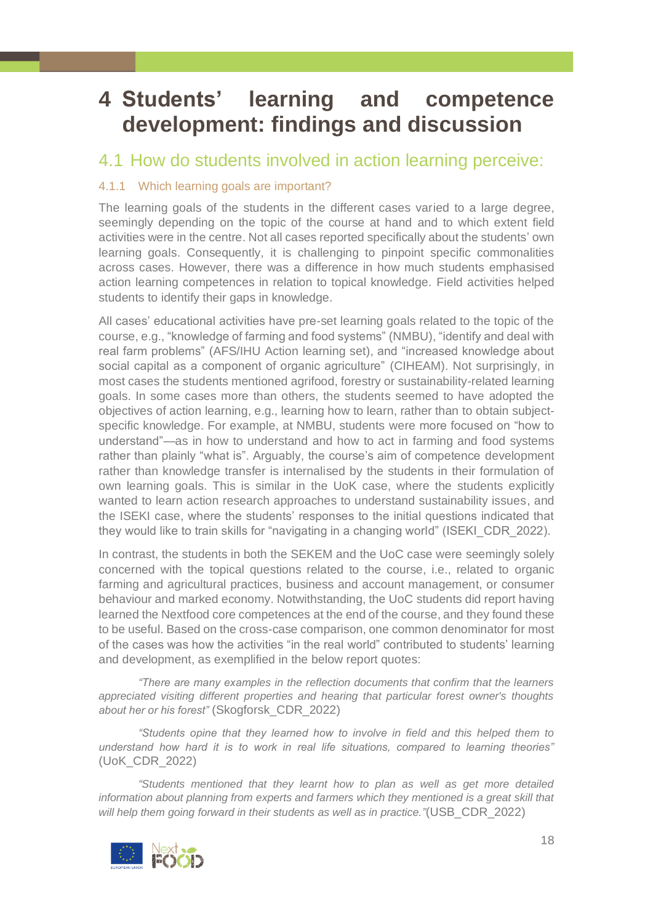# <span id="page-17-0"></span>**4 Students' learning and competence development: findings and discussion**

# <span id="page-17-1"></span>4.1 How do students involved in action learning perceive:

# <span id="page-17-2"></span>4.1.1 Which learning goals are important?

The learning goals of the students in the different cases varied to a large degree, seemingly depending on the topic of the course at hand and to which extent field activities were in the centre. Not all cases reported specifically about the students' own learning goals. Consequently, it is challenging to pinpoint specific commonalities across cases. However, there was a difference in how much students emphasised action learning competences in relation to topical knowledge. Field activities helped students to identify their gaps in knowledge.

All cases' educational activities have pre-set learning goals related to the topic of the course, e.g., "knowledge of farming and food systems" (NMBU), "identify and deal with real farm problems" (AFS/IHU Action learning set), and "increased knowledge about social capital as a component of organic agriculture" (CIHEAM). Not surprisingly, in most cases the students mentioned agrifood, forestry or sustainability-related learning goals. In some cases more than others, the students seemed to have adopted the objectives of action learning, e.g., learning how to learn, rather than to obtain subjectspecific knowledge. For example, at NMBU, students were more focused on "how to understand"—as in how to understand and how to act in farming and food systems rather than plainly "what is". Arguably, the course's aim of competence development rather than knowledge transfer is internalised by the students in their formulation of own learning goals. This is similar in the UoK case, where the students explicitly wanted to learn action research approaches to understand sustainability issues, and the ISEKI case, where the students' responses to the initial questions indicated that they would like to train skills for "navigating in a changing world" (ISEKI\_CDR\_2022).

In contrast, the students in both the SEKEM and the UoC case were seemingly solely concerned with the topical questions related to the course, i.e., related to organic farming and agricultural practices, business and account management, or consumer behaviour and marked economy. Notwithstanding, the UoC students did report having learned the Nextfood core competences at the end of the course, and they found these to be useful. Based on the cross-case comparison, one common denominator for most of the cases was how the activities "in the real world" contributed to students' learning and development, as exemplified in the below report quotes:

*"There are many examples in the reflection documents that confirm that the learners appreciated visiting different properties and hearing that particular forest owner's thoughts about her or his forest"* (Skogforsk\_CDR\_2022)

*"Students opine that they learned how to involve in field and this helped them to understand how hard it is to work in real life situations, compared to learning theories"* (UoK\_CDR\_2022)

*"Students mentioned that they learnt how to plan as well as get more detailed information about planning from experts and farmers which they mentioned is a great skill that will help them going forward in their students as well as in practice."*(USB\_CDR\_2022)

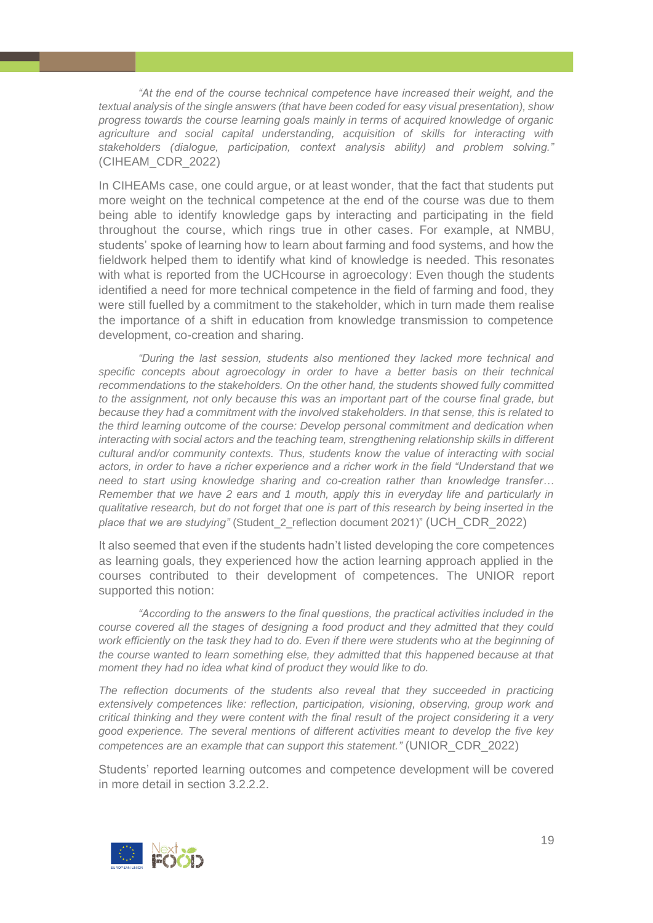*"At the end of the course technical competence have increased their weight, and the textual analysis of the single answers (that have been coded for easy visual presentation), show progress towards the course learning goals mainly in terms of acquired knowledge of organic agriculture and social capital understanding, acquisition of skills for interacting with stakeholders (dialogue, participation, context analysis ability) and problem solving."*  (CIHEAM\_CDR\_2022)

In CIHEAMs case, one could argue, or at least wonder, that the fact that students put more weight on the technical competence at the end of the course was due to them being able to identify knowledge gaps by interacting and participating in the field throughout the course, which rings true in other cases. For example, at NMBU, students' spoke of learning how to learn about farming and food systems, and how the fieldwork helped them to identify what kind of knowledge is needed. This resonates with what is reported from the UCH course in agroecology: Even though the students identified a need for more technical competence in the field of farming and food, they were still fuelled by a commitment to the stakeholder, which in turn made them realise the importance of a shift in education from knowledge transmission to competence development, co-creation and sharing.

*"During the last session, students also mentioned they lacked more technical and specific concepts about agroecology in order to have a better basis on their technical recommendations to the stakeholders. On the other hand, the students showed fully committed to the assignment, not only because this was an important part of the course final grade, but because they had a commitment with the involved stakeholders. In that sense, this is related to the third learning outcome of the course: Develop personal commitment and dedication when interacting with social actors and the teaching team, strengthening relationship skills in different cultural and/or community contexts. Thus, students know the value of interacting with social actors, in order to have a richer experience and a richer work in the field "Understand that we need to start using knowledge sharing and co-creation rather than knowledge transfer… Remember that we have 2 ears and 1 mouth, apply this in everyday life and particularly in qualitative research, but do not forget that one is part of this research by being inserted in the place that we are studying"* (Student\_2\_reflection document 2021)" (UCH\_CDR\_2022)

It also seemed that even if the students hadn't listed developing the core competences as learning goals, they experienced how the action learning approach applied in the courses contributed to their development of competences. The UNIOR report supported this notion:

*"According to the answers to the final questions, the practical activities included in the course covered all the stages of designing a food product and they admitted that they could work efficiently on the task they had to do. Even if there were students who at the beginning of the course wanted to learn something else, they admitted that this happened because at that moment they had no idea what kind of product they would like to do.*

*The reflection documents of the students also reveal that they succeeded in practicing extensively competences like: reflection, participation, visioning, observing, group work and critical thinking and they were content with the final result of the project considering it a very good experience. The several mentions of different activities meant to develop the five key competences are an example that can support this statement."* (UNIOR\_CDR\_2022)

Students' reported learning outcomes and competence development will be covered in more detail in section 3.2.2.2.

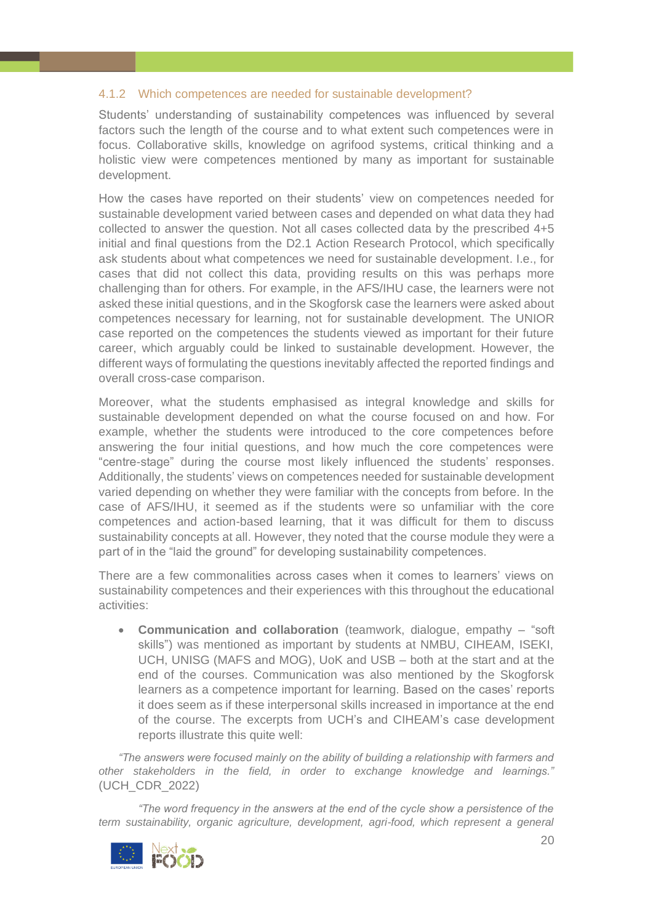# <span id="page-19-0"></span>4.1.2 Which competences are needed for sustainable development?

Students' understanding of sustainability competences was influenced by several factors such the length of the course and to what extent such competences were in focus. Collaborative skills, knowledge on agrifood systems, critical thinking and a holistic view were competences mentioned by many as important for sustainable development.

How the cases have reported on their students' view on competences needed for sustainable development varied between cases and depended on what data they had collected to answer the question. Not all cases collected data by the prescribed 4+5 initial and final questions from the D2.1 Action Research Protocol, which specifically ask students about what competences we need for sustainable development. I.e., for cases that did not collect this data, providing results on this was perhaps more challenging than for others. For example, in the AFS/IHU case, the learners were not asked these initial questions, and in the Skogforsk case the learners were asked about competences necessary for learning, not for sustainable development. The UNIOR case reported on the competences the students viewed as important for their future career, which arguably could be linked to sustainable development. However, the different ways of formulating the questions inevitably affected the reported findings and overall cross-case comparison.

Moreover, what the students emphasised as integral knowledge and skills for sustainable development depended on what the course focused on and how. For example, whether the students were introduced to the core competences before answering the four initial questions, and how much the core competences were "centre-stage" during the course most likely influenced the students' responses. Additionally, the students' views on competences needed for sustainable development varied depending on whether they were familiar with the concepts from before. In the case of AFS/IHU, it seemed as if the students were so unfamiliar with the core competences and action-based learning, that it was difficult for them to discuss sustainability concepts at all. However, they noted that the course module they were a part of in the "laid the ground" for developing sustainability competences.

There are a few commonalities across cases when it comes to learners' views on sustainability competences and their experiences with this throughout the educational activities:

• **Communication and collaboration** (teamwork, dialogue, empathy – "soft skills") was mentioned as important by students at NMBU, CIHEAM, ISEKI, UCH, UNISG (MAFS and MOG), UoK and USB – both at the start and at the end of the courses. Communication was also mentioned by the Skogforsk learners as a competence important for learning. Based on the cases' reports it does seem as if these interpersonal skills increased in importance at the end of the course. The excerpts from UCH's and CIHEAM's case development reports illustrate this quite well:

*"The answers were focused mainly on the ability of building a relationship with farmers and other stakeholders in the field, in order to exchange knowledge and learnings."* (UCH\_CDR\_2022)

*"The word frequency in the answers at the end of the cycle show a persistence of the term sustainability, organic agriculture, development, agri-food, which represent a general* 

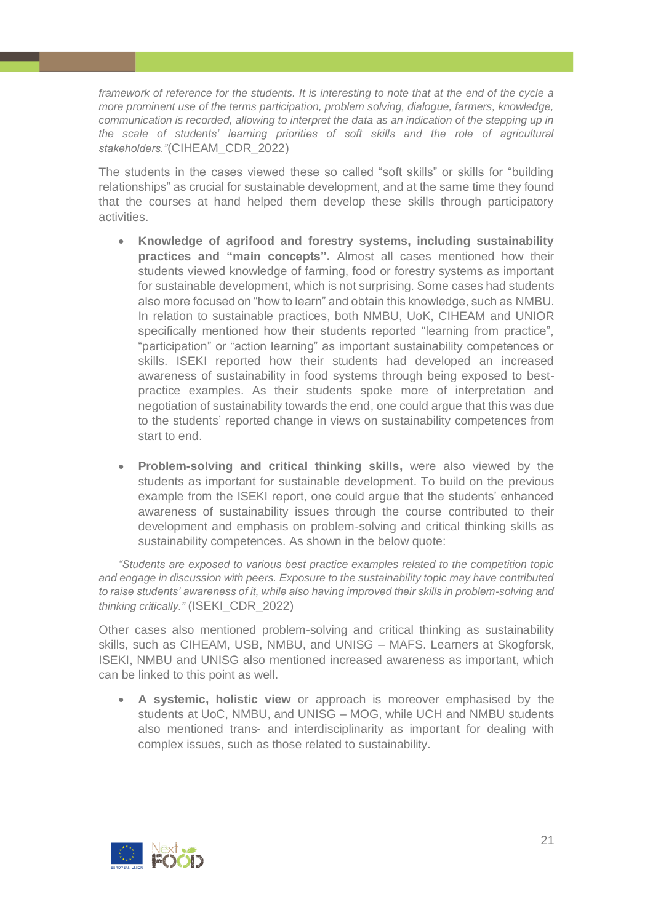*framework of reference for the students. It is interesting to note that at the end of the cycle a more prominent use of the terms participation, problem solving, dialogue, farmers, knowledge, communication is recorded, allowing to interpret the data as an indication of the stepping up in the scale of students' learning priorities of soft skills and the role of agricultural stakeholders."*(CIHEAM\_CDR\_2022)

The students in the cases viewed these so called "soft skills" or skills for "building relationships" as crucial for sustainable development, and at the same time they found that the courses at hand helped them develop these skills through participatory activities.

- **Knowledge of agrifood and forestry systems, including sustainability practices and "main concepts".** Almost all cases mentioned how their students viewed knowledge of farming, food or forestry systems as important for sustainable development, which is not surprising. Some cases had students also more focused on "how to learn" and obtain this knowledge, such as NMBU. In relation to sustainable practices, both NMBU, UoK, CIHEAM and UNIOR specifically mentioned how their students reported "learning from practice", "participation" or "action learning" as important sustainability competences or skills. ISEKI reported how their students had developed an increased awareness of sustainability in food systems through being exposed to bestpractice examples. As their students spoke more of interpretation and negotiation of sustainability towards the end, one could argue that this was due to the students' reported change in views on sustainability competences from start to end.
- **Problem-solving and critical thinking skills,** were also viewed by the students as important for sustainable development. To build on the previous example from the ISEKI report, one could argue that the students' enhanced awareness of sustainability issues through the course contributed to their development and emphasis on problem-solving and critical thinking skills as sustainability competences. As shown in the below quote:

*"Students are exposed to various best practice examples related to the competition topic and engage in discussion with peers. Exposure to the sustainability topic may have contributed to raise students' awareness of it, while also having improved their skills in problem-solving and thinking critically."* (ISEKI\_CDR\_2022)

Other cases also mentioned problem-solving and critical thinking as sustainability skills, such as CIHEAM, USB, NMBU, and UNISG – MAFS. Learners at Skogforsk, ISEKI, NMBU and UNISG also mentioned increased awareness as important, which can be linked to this point as well.

• **A systemic, holistic view** or approach is moreover emphasised by the students at UoC, NMBU, and UNISG – MOG, while UCH and NMBU students also mentioned trans- and interdisciplinarity as important for dealing with complex issues, such as those related to sustainability.

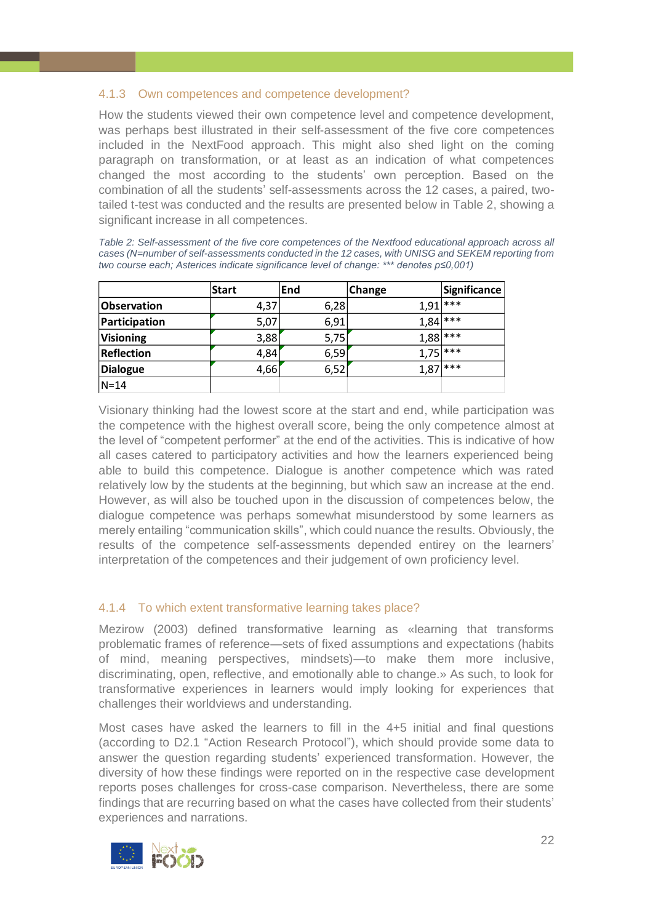# <span id="page-21-0"></span>4.1.3 Own competences and competence development?

How the students viewed their own competence level and competence development, was perhaps best illustrated in their self-assessment of the five core competences included in the NextFood approach. This might also shed light on the coming paragraph on transformation, or at least as an indication of what competences changed the most according to the students' own perception. Based on the combination of all the students' self-assessments across the 12 cases, a paired, twotailed t-test was conducted and the results are presented below in Table 2, showing a significant increase in all competences.

| Table 2: Self-assessment of the five core competences of the Nextfood educational approach across all |
|-------------------------------------------------------------------------------------------------------|
| cases (N=number of self-assessments conducted in the 12 cases, with UNISG and SEKEM reporting from    |
| two course each: Asterices indicate significance level of change: *** denotes p≤0,001)                |
|                                                                                                       |

|                   | <b>Start</b> | lEnd | Change     | Significance |
|-------------------|--------------|------|------------|--------------|
| Observation       | 4,37         | 6,28 | 1,91       | ***          |
| Participation     | 5,07         | 6,91 | $1,84$ *** |              |
| <b>Visioning</b>  | 3,88         | 5,75 | $1,88$ *** |              |
| <b>Reflection</b> | 4,84         | 6,59 | $1,75$ *** |              |
| <b>Dialogue</b>   | 4,66         | 6,52 | $1,87$ *** |              |
| $N = 14$          |              |      |            |              |

Visionary thinking had the lowest score at the start and end, while participation was the competence with the highest overall score, being the only competence almost at the level of "competent performer" at the end of the activities. This is indicative of how all cases catered to participatory activities and how the learners experienced being able to build this competence. Dialogue is another competence which was rated relatively low by the students at the beginning, but which saw an increase at the end. However, as will also be touched upon in the discussion of competences below, the dialogue competence was perhaps somewhat misunderstood by some learners as merely entailing "communication skills", which could nuance the results. Obviously, the results of the competence self-assessments depended entirey on the learners' interpretation of the competences and their judgement of own proficiency level.

# <span id="page-21-1"></span>4.1.4 To which extent transformative learning takes place?

Mezirow (2003) defined transformative learning as «learning that transforms problematic frames of reference—sets of fixed assumptions and expectations (habits of mind, meaning perspectives, mindsets)—to make them more inclusive, discriminating, open, reflective, and emotionally able to change.» As such, to look for transformative experiences in learners would imply looking for experiences that challenges their worldviews and understanding.

Most cases have asked the learners to fill in the 4+5 initial and final questions (according to D2.1 "Action Research Protocol"), which should provide some data to answer the question regarding students' experienced transformation. However, the diversity of how these findings were reported on in the respective case development reports poses challenges for cross-case comparison. Nevertheless, there are some findings that are recurring based on what the cases have collected from their students' experiences and narrations.

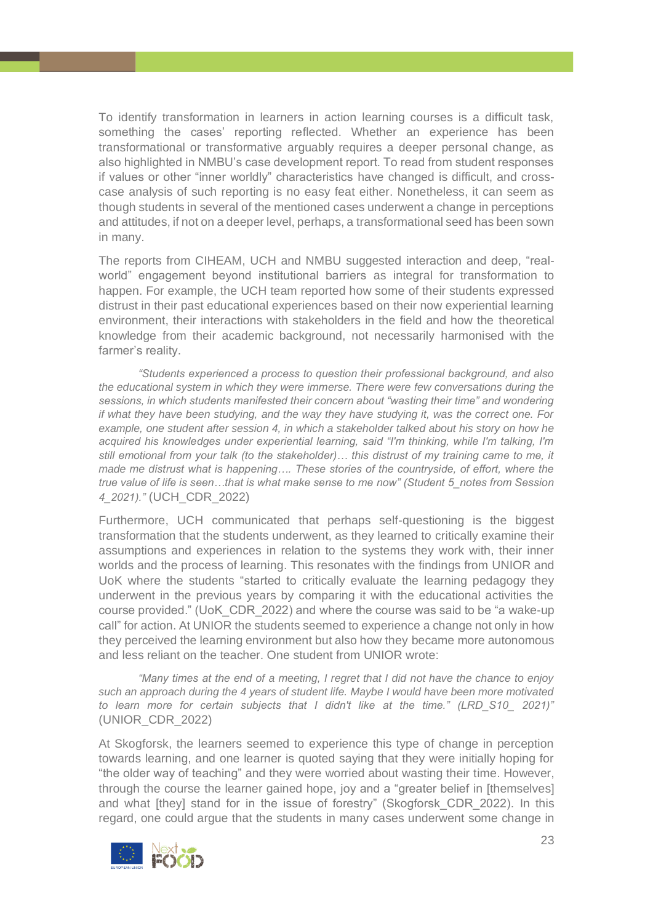To identify transformation in learners in action learning courses is a difficult task, something the cases' reporting reflected. Whether an experience has been transformational or transformative arguably requires a deeper personal change, as also highlighted in NMBU's case development report. To read from student responses if values or other "inner worldly" characteristics have changed is difficult, and crosscase analysis of such reporting is no easy feat either. Nonetheless, it can seem as though students in several of the mentioned cases underwent a change in perceptions and attitudes, if not on a deeper level, perhaps, a transformational seed has been sown in many.

The reports from CIHEAM, UCH and NMBU suggested interaction and deep, "realworld" engagement beyond institutional barriers as integral for transformation to happen. For example, the UCH team reported how some of their students expressed distrust in their past educational experiences based on their now experiential learning environment, their interactions with stakeholders in the field and how the theoretical knowledge from their academic background, not necessarily harmonised with the farmer's reality.

*"Students experienced a process to question their professional background, and also the educational system in which they were immerse. There were few conversations during the sessions, in which students manifested their concern about "wasting their time" and wondering if what they have been studying, and the way they have studying it, was the correct one. For example, one student after session 4, in which a stakeholder talked about his story on how he acquired his knowledges under experiential learning, said "I'm thinking, while I'm talking, I'm still emotional from your talk (to the stakeholder)… this distrust of my training came to me, it made me distrust what is happening…. These stories of the countryside, of effort, where the true value of life is seen…that is what make sense to me now" (Student 5\_notes from Session 4\_2021)."* (UCH\_CDR\_2022)

Furthermore, UCH communicated that perhaps self-questioning is the biggest transformation that the students underwent, as they learned to critically examine their assumptions and experiences in relation to the systems they work with, their inner worlds and the process of learning. This resonates with the findings from UNIOR and UoK where the students "started to critically evaluate the learning pedagogy they underwent in the previous years by comparing it with the educational activities the course provided." (UoK\_CDR\_2022) and where the course was said to be "a wake-up call" for action. At UNIOR the students seemed to experience a change not only in how they perceived the learning environment but also how they became more autonomous and less reliant on the teacher. One student from UNIOR wrote:

*"Many times at the end of a meeting, I regret that I did not have the chance to enjoy such an approach during the 4 years of student life. Maybe I would have been more motivated to learn more for certain subjects that I didn't like at the time." (LRD\_S10\_ 2021)"*  (UNIOR\_CDR\_2022)

At Skogforsk, the learners seemed to experience this type of change in perception towards learning, and one learner is quoted saying that they were initially hoping for "the older way of teaching" and they were worried about wasting their time. However, through the course the learner gained hope, joy and a "greater belief in [themselves] and what [they] stand for in the issue of forestry" (Skogforsk\_CDR\_2022). In this regard, one could argue that the students in many cases underwent some change in

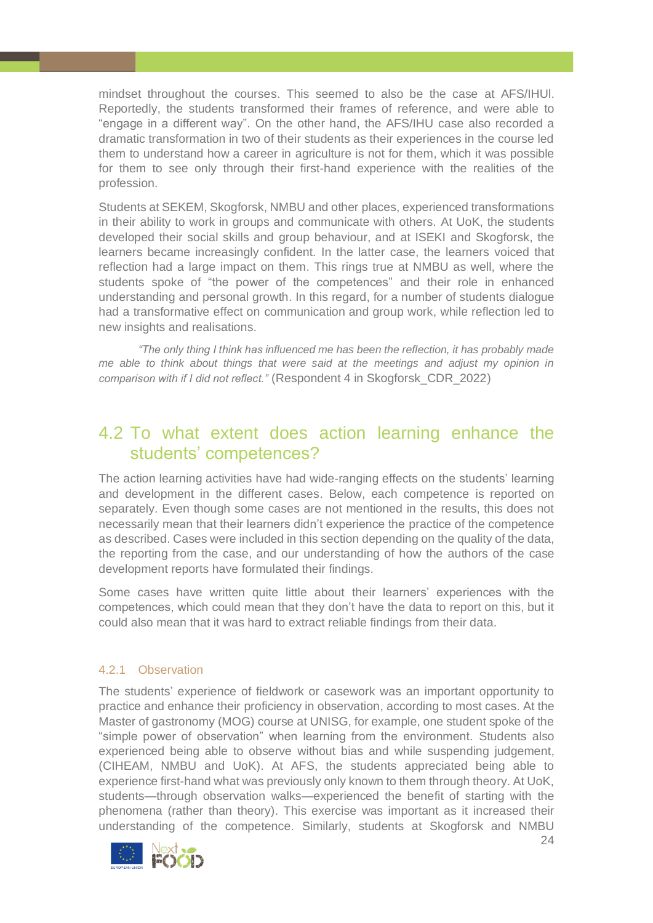mindset throughout the courses. This seemed to also be the case at AFS/IHUl. Reportedly, the students transformed their frames of reference, and were able to "engage in a different way". On the other hand, the AFS/IHU case also recorded a dramatic transformation in two of their students as their experiences in the course led them to understand how a career in agriculture is not for them, which it was possible for them to see only through their first-hand experience with the realities of the profession.

Students at SEKEM, Skogforsk, NMBU and other places, experienced transformations in their ability to work in groups and communicate with others. At UoK, the students developed their social skills and group behaviour, and at ISEKI and Skogforsk, the learners became increasingly confident. In the latter case, the learners voiced that reflection had a large impact on them. This rings true at NMBU as well, where the students spoke of "the power of the competences" and their role in enhanced understanding and personal growth. In this regard, for a number of students dialogue had a transformative effect on communication and group work, while reflection led to new insights and realisations.

*"The only thing I think has influenced me has been the reflection, it has probably made me able to think about things that were said at the meetings and adjust my opinion in comparison with if I did not reflect."* (Respondent 4 in Skogforsk\_CDR\_2022)

# <span id="page-23-0"></span>4.2 To what extent does action learning enhance the students' competences?

The action learning activities have had wide-ranging effects on the students' learning and development in the different cases. Below, each competence is reported on separately. Even though some cases are not mentioned in the results, this does not necessarily mean that their learners didn't experience the practice of the competence as described. Cases were included in this section depending on the quality of the data, the reporting from the case, and our understanding of how the authors of the case development reports have formulated their findings.

Some cases have written quite little about their learners' experiences with the competences, which could mean that they don't have the data to report on this, but it could also mean that it was hard to extract reliable findings from their data.

# <span id="page-23-1"></span>4.2.1 Observation

The students' experience of fieldwork or casework was an important opportunity to practice and enhance their proficiency in observation, according to most cases. At the Master of gastronomy (MOG) course at UNISG, for example, one student spoke of the "simple power of observation" when learning from the environment. Students also experienced being able to observe without bias and while suspending judgement, (CIHEAM, NMBU and UoK). At AFS, the students appreciated being able to experience first-hand what was previously only known to them through theory. At UoK, students—through observation walks—experienced the benefit of starting with the phenomena (rather than theory). This exercise was important as it increased their understanding of the competence. Similarly, students at Skogforsk and NMBU

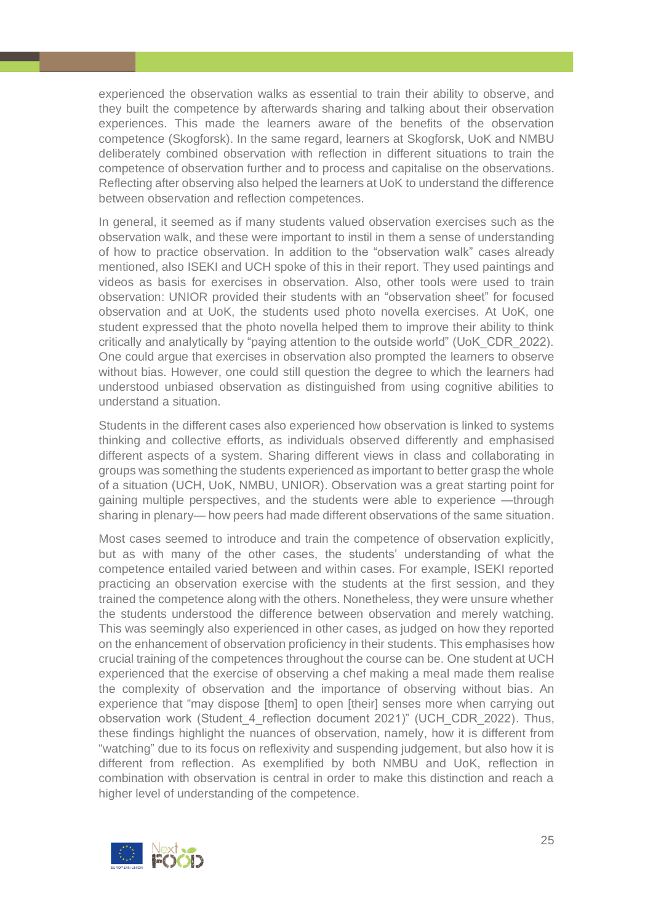experienced the observation walks as essential to train their ability to observe, and they built the competence by afterwards sharing and talking about their observation experiences. This made the learners aware of the benefits of the observation competence (Skogforsk). In the same regard, learners at Skogforsk, UoK and NMBU deliberately combined observation with reflection in different situations to train the competence of observation further and to process and capitalise on the observations. Reflecting after observing also helped the learners at UoK to understand the difference between observation and reflection competences.

In general, it seemed as if many students valued observation exercises such as the observation walk, and these were important to instil in them a sense of understanding of how to practice observation. In addition to the "observation walk" cases already mentioned, also ISEKI and UCH spoke of this in their report. They used paintings and videos as basis for exercises in observation. Also, other tools were used to train observation: UNIOR provided their students with an "observation sheet" for focused observation and at UoK, the students used photo novella exercises. At UoK, one student expressed that the photo novella helped them to improve their ability to think critically and analytically by "paying attention to the outside world" (UoK\_CDR\_2022). One could argue that exercises in observation also prompted the learners to observe without bias. However, one could still question the degree to which the learners had understood unbiased observation as distinguished from using cognitive abilities to understand a situation.

Students in the different cases also experienced how observation is linked to systems thinking and collective efforts, as individuals observed differently and emphasised different aspects of a system. Sharing different views in class and collaborating in groups was something the students experienced as important to better grasp the whole of a situation (UCH, UoK, NMBU, UNIOR). Observation was a great starting point for gaining multiple perspectives, and the students were able to experience —through sharing in plenary— how peers had made different observations of the same situation.

Most cases seemed to introduce and train the competence of observation explicitly, but as with many of the other cases, the students' understanding of what the competence entailed varied between and within cases. For example, ISEKI reported practicing an observation exercise with the students at the first session, and they trained the competence along with the others. Nonetheless, they were unsure whether the students understood the difference between observation and merely watching. This was seemingly also experienced in other cases, as judged on how they reported on the enhancement of observation proficiency in their students. This emphasises how crucial training of the competences throughout the course can be. One student at UCH experienced that the exercise of observing a chef making a meal made them realise the complexity of observation and the importance of observing without bias. An experience that "may dispose [them] to open [their] senses more when carrying out observation work (Student 4 reflection document 2021)" (UCH CDR 2022). Thus, these findings highlight the nuances of observation, namely, how it is different from "watching" due to its focus on reflexivity and suspending judgement, but also how it is different from reflection. As exemplified by both NMBU and UoK, reflection in combination with observation is central in order to make this distinction and reach a higher level of understanding of the competence.

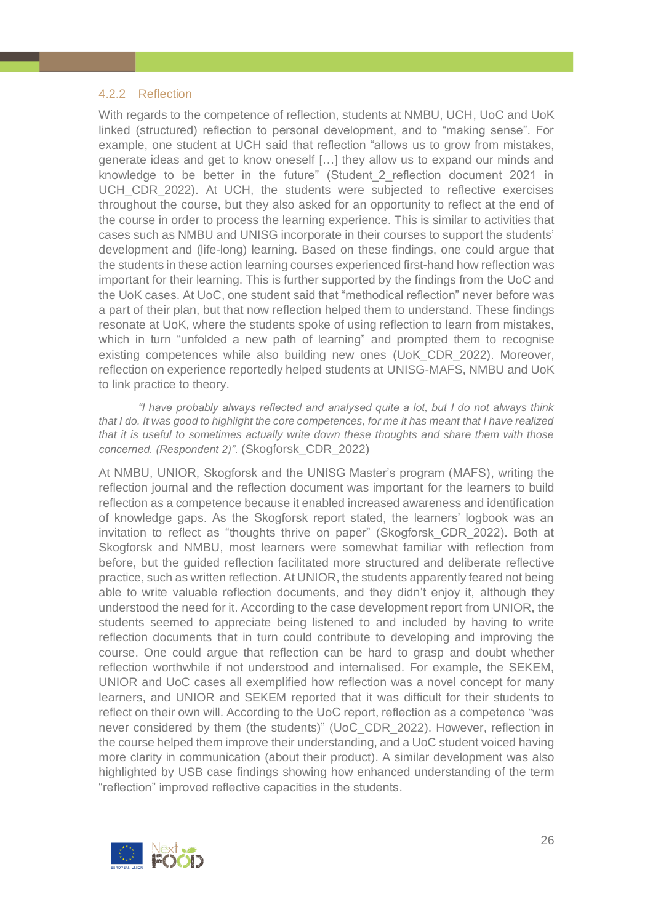# <span id="page-25-0"></span>4.2.2 Reflection

With regards to the competence of reflection, students at NMBU, UCH, UoC and UoK linked (structured) reflection to personal development, and to "making sense". For example, one student at UCH said that reflection "allows us to grow from mistakes, generate ideas and get to know oneself […] they allow us to expand our minds and knowledge to be better in the future" (Student\_2\_reflection document 2021 in UCH CDR 2022). At UCH, the students were subjected to reflective exercises throughout the course, but they also asked for an opportunity to reflect at the end of the course in order to process the learning experience. This is similar to activities that cases such as NMBU and UNISG incorporate in their courses to support the students' development and (life-long) learning. Based on these findings, one could argue that the students in these action learning courses experienced first-hand how reflection was important for their learning. This is further supported by the findings from the UoC and the UoK cases. At UoC, one student said that "methodical reflection" never before was a part of their plan, but that now reflection helped them to understand. These findings resonate at UoK, where the students spoke of using reflection to learn from mistakes, which in turn "unfolded a new path of learning" and prompted them to recognise existing competences while also building new ones (UoK\_CDR\_2022). Moreover, reflection on experience reportedly helped students at UNISG-MAFS, NMBU and UoK to link practice to theory.

*"I have probably always reflected and analysed quite a lot, but I do not always think that I do. It was good to highlight the core competences, for me it has meant that I have realized that it is useful to sometimes actually write down these thoughts and share them with those concerned. (Respondent 2)".* (Skogforsk\_CDR\_2022)

At NMBU, UNIOR, Skogforsk and the UNISG Master's program (MAFS), writing the reflection journal and the reflection document was important for the learners to build reflection as a competence because it enabled increased awareness and identification of knowledge gaps. As the Skogforsk report stated, the learners' logbook was an invitation to reflect as "thoughts thrive on paper" (Skogforsk\_CDR\_2022). Both at Skogforsk and NMBU, most learners were somewhat familiar with reflection from before, but the guided reflection facilitated more structured and deliberate reflective practice, such as written reflection. At UNIOR, the students apparently feared not being able to write valuable reflection documents, and they didn't enjoy it, although they understood the need for it. According to the case development report from UNIOR, the students seemed to appreciate being listened to and included by having to write reflection documents that in turn could contribute to developing and improving the course. One could argue that reflection can be hard to grasp and doubt whether reflection worthwhile if not understood and internalised. For example, the SEKEM, UNIOR and UoC cases all exemplified how reflection was a novel concept for many learners, and UNIOR and SEKEM reported that it was difficult for their students to reflect on their own will. According to the UoC report, reflection as a competence "was never considered by them (the students)" (UoC\_CDR\_2022). However, reflection in the course helped them improve their understanding, and a UoC student voiced having more clarity in communication (about their product). A similar development was also highlighted by USB case findings showing how enhanced understanding of the term "reflection" improved reflective capacities in the students.

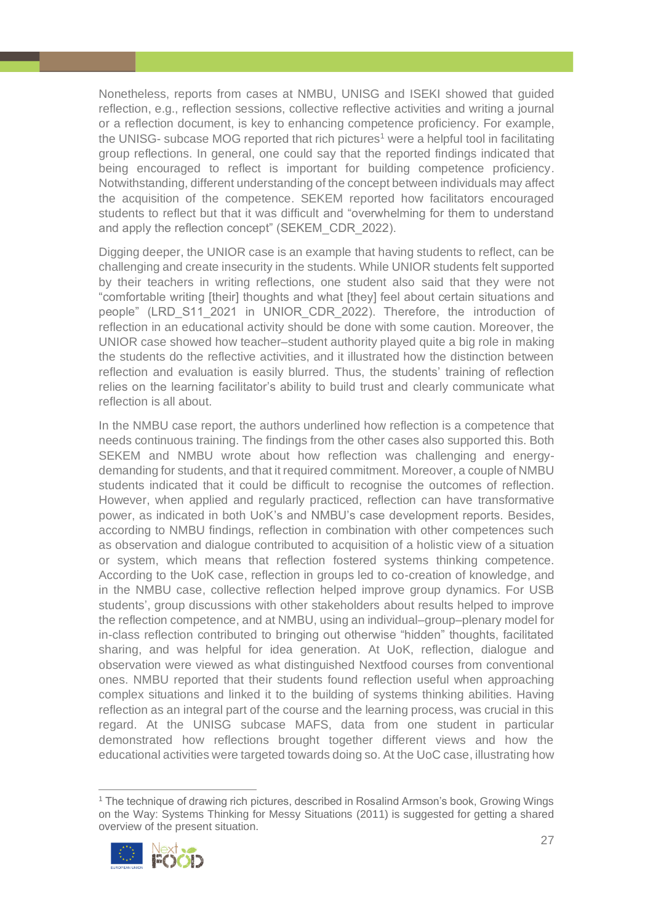Nonetheless, reports from cases at NMBU, UNISG and ISEKI showed that guided reflection, e.g., reflection sessions, collective reflective activities and writing a journal or a reflection document, is key to enhancing competence proficiency. For example, the UNISG- subcase MOG reported that rich pictures<sup>1</sup> were a helpful tool in facilitating group reflections. In general, one could say that the reported findings indicated that being encouraged to reflect is important for building competence proficiency. Notwithstanding, different understanding of the concept between individuals may affect the acquisition of the competence. SEKEM reported how facilitators encouraged students to reflect but that it was difficult and "overwhelming for them to understand and apply the reflection concept" (SEKEM\_CDR\_2022).

Digging deeper, the UNIOR case is an example that having students to reflect, can be challenging and create insecurity in the students. While UNIOR students felt supported by their teachers in writing reflections, one student also said that they were not "comfortable writing [their] thoughts and what [they] feel about certain situations and people" (LRD\_S11\_2021 in UNIOR\_CDR\_2022). Therefore, the introduction of reflection in an educational activity should be done with some caution. Moreover, the UNIOR case showed how teacher–student authority played quite a big role in making the students do the reflective activities, and it illustrated how the distinction between reflection and evaluation is easily blurred. Thus, the students' training of reflection relies on the learning facilitator's ability to build trust and clearly communicate what reflection is all about.

In the NMBU case report, the authors underlined how reflection is a competence that needs continuous training. The findings from the other cases also supported this. Both SEKEM and NMBU wrote about how reflection was challenging and energydemanding for students, and that it required commitment. Moreover, a couple of NMBU students indicated that it could be difficult to recognise the outcomes of reflection. However, when applied and regularly practiced, reflection can have transformative power, as indicated in both UoK's and NMBU's case development reports. Besides, according to NMBU findings, reflection in combination with other competences such as observation and dialogue contributed to acquisition of a holistic view of a situation or system, which means that reflection fostered systems thinking competence. According to the UoK case, reflection in groups led to co-creation of knowledge, and in the NMBU case, collective reflection helped improve group dynamics. For USB students', group discussions with other stakeholders about results helped to improve the reflection competence, and at NMBU, using an individual–group–plenary model for in-class reflection contributed to bringing out otherwise "hidden" thoughts, facilitated sharing, and was helpful for idea generation. At UoK, reflection, dialogue and observation were viewed as what distinguished Nextfood courses from conventional ones. NMBU reported that their students found reflection useful when approaching complex situations and linked it to the building of systems thinking abilities. Having reflection as an integral part of the course and the learning process, was crucial in this regard. At the UNISG subcase MAFS, data from one student in particular demonstrated how reflections brought together different views and how the educational activities were targeted towards doing so. At the UoC case, illustrating how

<sup>&</sup>lt;sup>1</sup> The technique of drawing rich pictures, described in Rosalind Armson's book, Growing Wings on the Way: Systems Thinking for Messy Situations (2011) is suggested for getting a shared overview of the present situation.

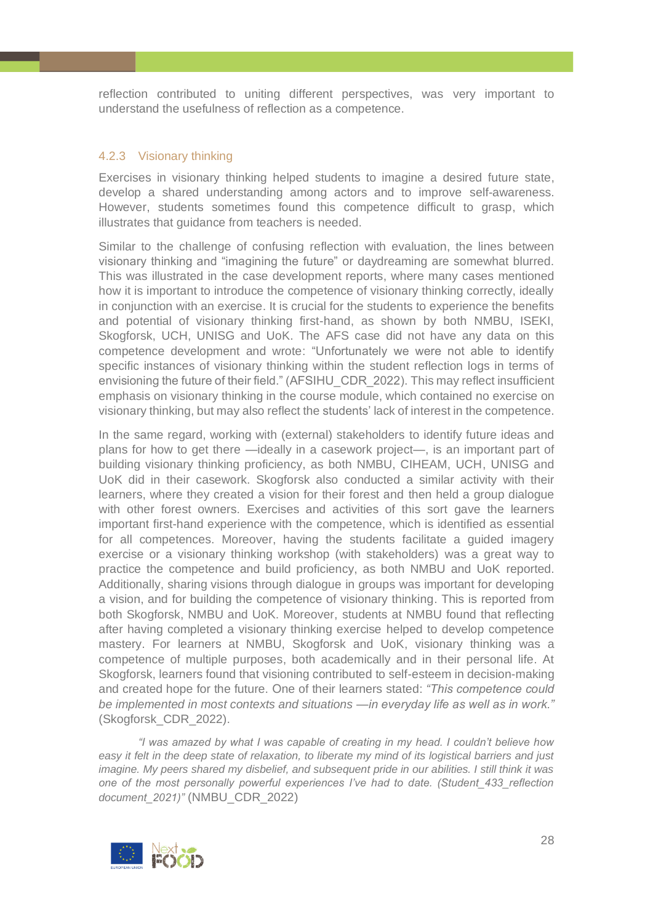reflection contributed to uniting different perspectives, was very important to understand the usefulness of reflection as a competence.

#### <span id="page-27-0"></span>4.2.3 Visionary thinking

Exercises in visionary thinking helped students to imagine a desired future state, develop a shared understanding among actors and to improve self-awareness. However, students sometimes found this competence difficult to grasp, which illustrates that guidance from teachers is needed.

Similar to the challenge of confusing reflection with evaluation, the lines between visionary thinking and "imagining the future" or daydreaming are somewhat blurred. This was illustrated in the case development reports, where many cases mentioned how it is important to introduce the competence of visionary thinking correctly, ideally in conjunction with an exercise. It is crucial for the students to experience the benefits and potential of visionary thinking first-hand, as shown by both NMBU, ISEKI, Skogforsk, UCH, UNISG and UoK. The AFS case did not have any data on this competence development and wrote: "Unfortunately we were not able to identify specific instances of visionary thinking within the student reflection logs in terms of envisioning the future of their field." (AFSIHU\_CDR\_2022). This may reflect insufficient emphasis on visionary thinking in the course module, which contained no exercise on visionary thinking, but may also reflect the students' lack of interest in the competence.

In the same regard, working with (external) stakeholders to identify future ideas and plans for how to get there —ideally in a casework project—, is an important part of building visionary thinking proficiency, as both NMBU, CIHEAM, UCH, UNISG and UoK did in their casework. Skogforsk also conducted a similar activity with their learners, where they created a vision for their forest and then held a group dialogue with other forest owners. Exercises and activities of this sort gave the learners important first-hand experience with the competence, which is identified as essential for all competences. Moreover, having the students facilitate a guided imagery exercise or a visionary thinking workshop (with stakeholders) was a great way to practice the competence and build proficiency, as both NMBU and UoK reported. Additionally, sharing visions through dialogue in groups was important for developing a vision, and for building the competence of visionary thinking. This is reported from both Skogforsk, NMBU and UoK. Moreover, students at NMBU found that reflecting after having completed a visionary thinking exercise helped to develop competence mastery. For learners at NMBU, Skogforsk and UoK, visionary thinking was a competence of multiple purposes, both academically and in their personal life. At Skogforsk, learners found that visioning contributed to self-esteem in decision-making and created hope for the future. Οne of their learners stated: *"This competence could be implemented in most contexts and situations —in everyday life as well as in work."*  (Skogforsk\_CDR\_2022).

*"I was amazed by what I was capable of creating in my head. I couldn't believe how easy it felt in the deep state of relaxation, to liberate my mind of its logistical barriers and just imagine. My peers shared my disbelief, and subsequent pride in our abilities. I still think it was one of the most personally powerful experiences I've had to date. (Student\_433\_reflection document\_2021)"* (NMBU\_CDR\_2022)

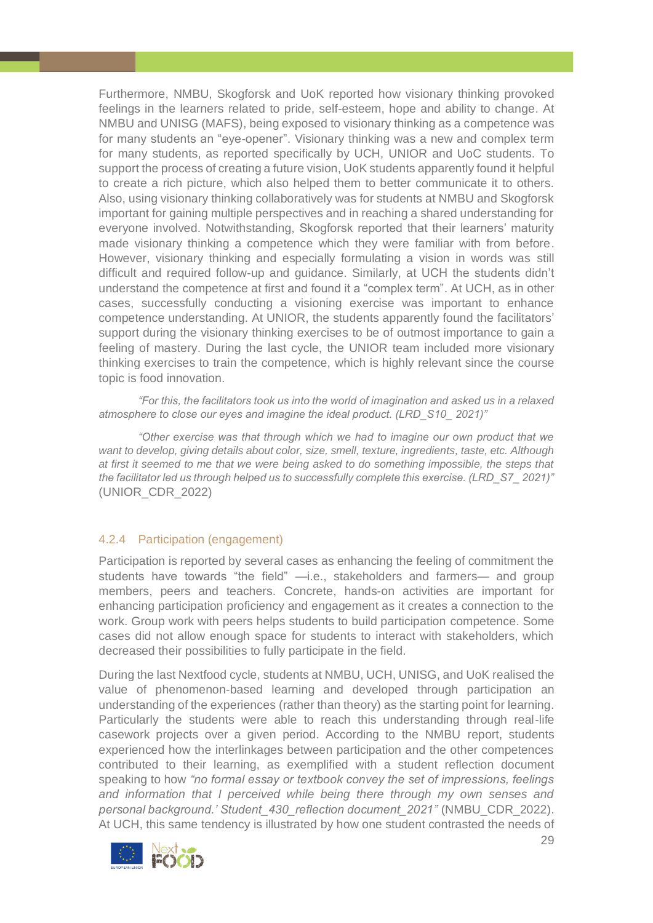Furthermore, NMBU, Skogforsk and UoK reported how visionary thinking provoked feelings in the learners related to pride, self-esteem, hope and ability to change. At NMBU and UNISG (MAFS), being exposed to visionary thinking as a competence was for many students an "eye-opener". Visionary thinking was a new and complex term for many students, as reported specifically by UCH, UNIOR and UoC students. To support the process of creating a future vision, UoK students apparently found it helpful to create a rich picture, which also helped them to better communicate it to others. Also, using visionary thinking collaboratively was for students at NMBU and Skogforsk important for gaining multiple perspectives and in reaching a shared understanding for everyone involved. Notwithstanding, Skogforsk reported that their learners' maturity made visionary thinking a competence which they were familiar with from before. However, visionary thinking and especially formulating a vision in words was still difficult and required follow-up and guidance. Similarly, at UCH the students didn't understand the competence at first and found it a "complex term". At UCH, as in other cases, successfully conducting a visioning exercise was important to enhance competence understanding. At UNIOR, the students apparently found the facilitators' support during the visionary thinking exercises to be of outmost importance to gain a feeling of mastery. During the last cycle, the UNIOR team included more visionary thinking exercises to train the competence, which is highly relevant since the course topic is food innovation.

*"For this, the facilitators took us into the world of imagination and asked us in a relaxed atmosphere to close our eyes and imagine the ideal product. (LRD\_S10\_ 2021)"*

*"Other exercise was that through which we had to imagine our own product that we want to develop, giving details about color, size, smell, texture, ingredients, taste, etc. Although at first it seemed to me that we were being asked to do something impossible, the steps that the facilitator led us through helped us to successfully complete this exercise. (LRD\_S7\_ 2021)"*  (UNIOR\_CDR\_2022)

# <span id="page-28-0"></span>4.2.4 Participation (engagement)

Participation is reported by several cases as enhancing the feeling of commitment the students have towards "the field" —i.e., stakeholders and farmers— and group members, peers and teachers. Concrete, hands-on activities are important for enhancing participation proficiency and engagement as it creates a connection to the work. Group work with peers helps students to build participation competence. Some cases did not allow enough space for students to interact with stakeholders, which decreased their possibilities to fully participate in the field.

During the last Nextfood cycle, students at NMBU, UCH, UNISG, and UoK realised the value of phenomenon-based learning and developed through participation an understanding of the experiences (rather than theory) as the starting point for learning. Particularly the students were able to reach this understanding through real-life casework projects over a given period. According to the NMBU report, students experienced how the interlinkages between participation and the other competences contributed to their learning, as exemplified with a student reflection document speaking to how *"no formal essay or textbook convey the set of impressions, feelings and information that I perceived while being there through my own senses and personal background.' Student\_430\_reflection document\_2021"* (NMBU\_CDR\_2022). At UCH, this same tendency is illustrated by how one student contrasted the needs of

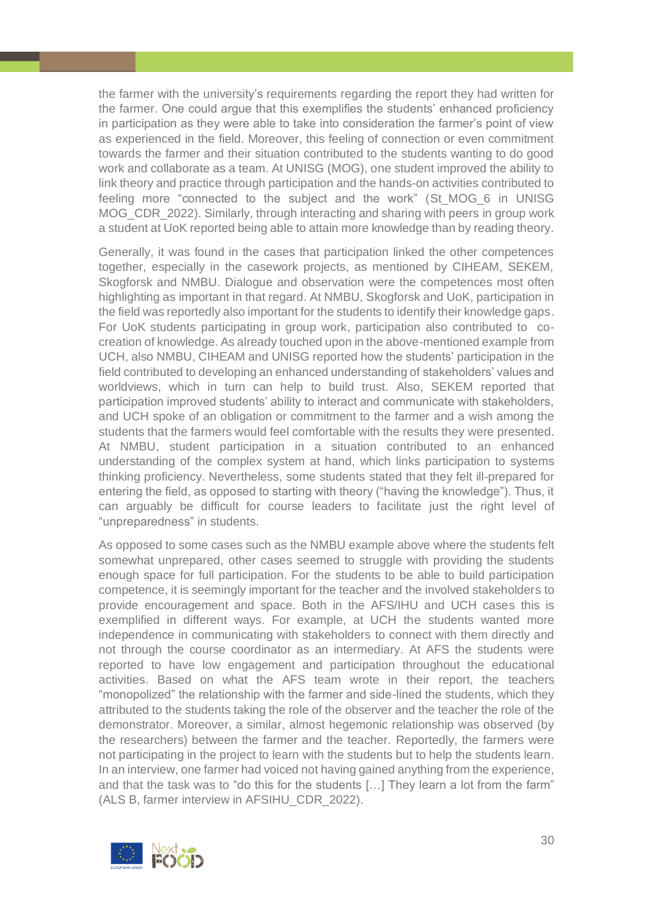the farmer with the university's requirements regarding the report they had written for the farmer. One could argue that this exemplifies the students' enhanced proficiency in participation as they were able to take into consideration the farmer's point of view as experienced in the field. Moreover, this feeling of connection or even commitment towards the farmer and their situation contributed to the students wanting to do good work and collaborate as a team. At UNISG (MOG), one student improved the ability to link theory and practice through participation and the hands-on activities contributed to feeling more "connected to the subject and the work" (St\_MOG\_6 in UNISG MOG CDR 2022). Similarly, through interacting and sharing with peers in group work a student at UoK reported being able to attain more knowledge than by reading theory.

Generally, it was found in the cases that participation linked the other competences together, especially in the casework projects, as mentioned by CIHEAM, SEKEM, Skogforsk and NMBU. Dialogue and observation were the competences most often highlighting as important in that regard. At NMBU, Skogforsk and UoK, participation in the field was reportedly also important for the students to identify their knowledge gaps. For UoK students participating in group work, participation also contributed to cocreation of knowledge. As already touched upon in the above-mentioned example from UCH, also NMBU, CIHEAM and UNISG reported how the students' participation in the field contributed to developing an enhanced understanding of stakeholders' values and worldviews, which in turn can help to build trust. Also, SEKEM reported that participation improved students' ability to interact and communicate with stakeholders, and UCH spoke of an obligation or commitment to the farmer and a wish among the students that the farmers would feel comfortable with the results they were presented. At NMBU, student participation in a situation contributed to an enhanced understanding of the complex system at hand, which links participation to systems thinking proficiency. Nevertheless, some students stated that they felt ill-prepared for entering the field, as opposed to starting with theory ("having the knowledge"). Thus, it can arguably be difficult for course leaders to facilitate just the right level of "unpreparedness" in students.

As opposed to some cases such as the NMBU example above where the students felt somewhat unprepared, other cases seemed to struggle with providing the students enough space for full participation. For the students to be able to build participation competence, it is seemingly important for the teacher and the involved stakeholders to provide encouragement and space. Both in the AFS/IHU and UCH cases this is exemplified in different ways. For example, at UCH the students wanted more independence in communicating with stakeholders to connect with them directly and not through the course coordinator as an intermediary. At AFS the students were reported to have low engagement and participation throughout the educational activities. Based on what the AFS team wrote in their report, the teachers "monopolized" the relationship with the farmer and side-lined the students, which they attributed to the students taking the role of the observer and the teacher the role of the demonstrator. Moreover, a similar, almost hegemonic relationship was observed (by the researchers) between the farmer and the teacher. Reportedly, the farmers were not participating in the project to learn with the students but to help the students learn. In an interview, one farmer had voiced not having gained anything from the experience, and that the task was to "do this for the students […] They learn a lot from the farm" (ALS B, farmer interview in AFSIHU\_CDR\_2022).

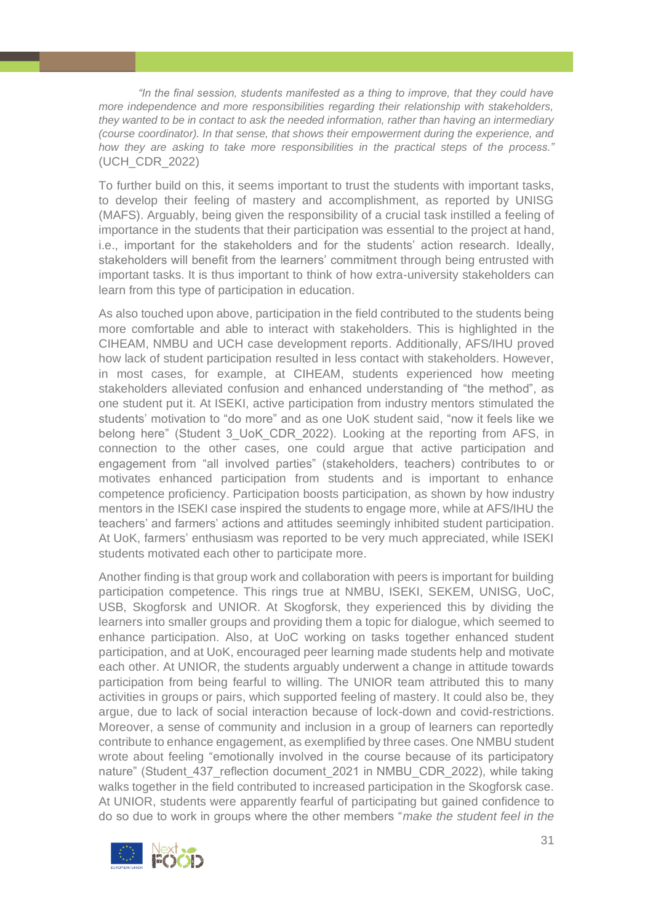*"In the final session, students manifested as a thing to improve, that they could have more independence and more responsibilities regarding their relationship with stakeholders, they wanted to be in contact to ask the needed information, rather than having an intermediary (course coordinator). In that sense, that shows their empowerment during the experience, and how they are asking to take more responsibilities in the practical steps of the process."* (UCH\_CDR\_2022)

To further build on this, it seems important to trust the students with important tasks, to develop their feeling of mastery and accomplishment, as reported by UNISG (MAFS). Arguably, being given the responsibility of a crucial task instilled a feeling of importance in the students that their participation was essential to the project at hand, i.e., important for the stakeholders and for the students' action research. Ideally, stakeholders will benefit from the learners' commitment through being entrusted with important tasks. It is thus important to think of how extra-university stakeholders can learn from this type of participation in education.

As also touched upon above, participation in the field contributed to the students being more comfortable and able to interact with stakeholders. This is highlighted in the CIHEAM, NMBU and UCH case development reports. Additionally, AFS/IHU proved how lack of student participation resulted in less contact with stakeholders. However, in most cases, for example, at CIHEAM, students experienced how meeting stakeholders alleviated confusion and enhanced understanding of "the method", as one student put it. At ISEKI, active participation from industry mentors stimulated the students' motivation to "do more" and as one UoK student said, "now it feels like we belong here" (Student 3\_UoK\_CDR\_2022). Looking at the reporting from AFS, in connection to the other cases, one could argue that active participation and engagement from "all involved parties" (stakeholders, teachers) contributes to or motivates enhanced participation from students and is important to enhance competence proficiency. Participation boosts participation, as shown by how industry mentors in the ISEKI case inspired the students to engage more, while at AFS/IHU the teachers' and farmers' actions and attitudes seemingly inhibited student participation. At UoK, farmers' enthusiasm was reported to be very much appreciated, while ISEKI students motivated each other to participate more.

Another finding is that group work and collaboration with peers is important for building participation competence. This rings true at NMBU, ISEKI, SEKEM, UNISG, UoC, USB, Skogforsk and UNIOR. At Skogforsk, they experienced this by dividing the learners into smaller groups and providing them a topic for dialogue, which seemed to enhance participation. Also, at UoC working on tasks together enhanced student participation, and at UoK, encouraged peer learning made students help and motivate each other. At UNIOR, the students arguably underwent a change in attitude towards participation from being fearful to willing. The UNIOR team attributed this to many activities in groups or pairs, which supported feeling of mastery. It could also be, they argue, due to lack of social interaction because of lock-down and covid-restrictions. Moreover, a sense of community and inclusion in a group of learners can reportedly contribute to enhance engagement, as exemplified by three cases. One NMBU student wrote about feeling "emotionally involved in the course because of its participatory nature" (Student 437 reflection document 2021 in NMBU CDR 2022), while taking walks together in the field contributed to increased participation in the Skogforsk case. At UNIOR, students were apparently fearful of participating but gained confidence to do so due to work in groups where the other members "*make the student feel in the* 

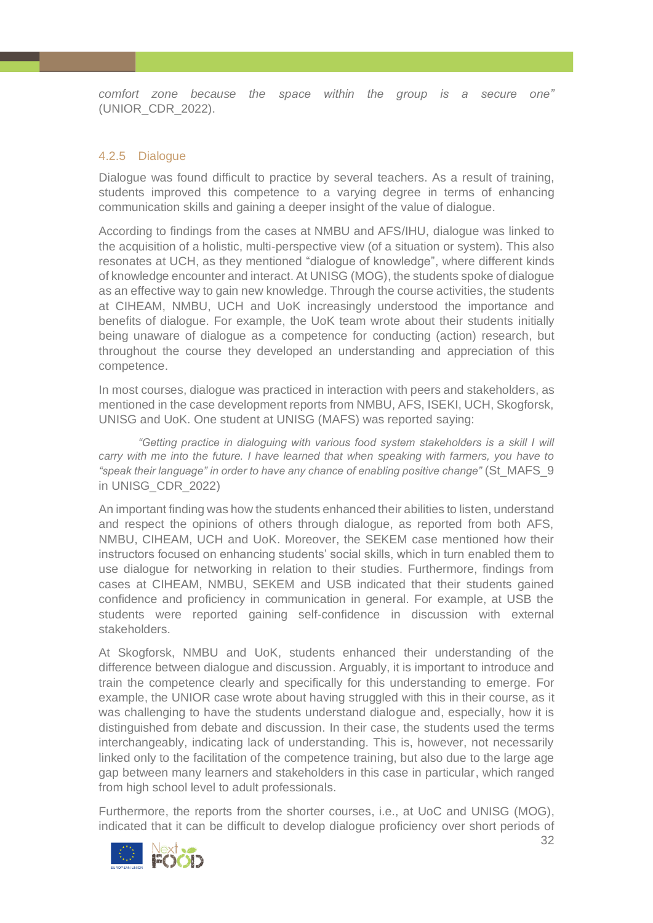*comfort zone because the space within the group is a secure one"*  (UNIOR\_CDR\_2022).

### <span id="page-31-0"></span>4.2.5 Dialogue

Dialogue was found difficult to practice by several teachers. As a result of training, students improved this competence to a varying degree in terms of enhancing communication skills and gaining a deeper insight of the value of dialogue.

According to findings from the cases at NMBU and AFS/IHU, dialogue was linked to the acquisition of a holistic, multi-perspective view (of a situation or system). This also resonates at UCH, as they mentioned "dialogue of knowledge", where different kinds of knowledge encounter and interact. At UNISG (MOG), the students spoke of dialogue as an effective way to gain new knowledge. Through the course activities, the students at CIHEAM, NMBU, UCH and UoK increasingly understood the importance and benefits of dialogue. For example, the UoK team wrote about their students initially being unaware of dialogue as a competence for conducting (action) research, but throughout the course they developed an understanding and appreciation of this competence.

In most courses, dialogue was practiced in interaction with peers and stakeholders, as mentioned in the case development reports from NMBU, AFS, ISEKI, UCH, Skogforsk, UNISG and UoK. One student at UNISG (MAFS) was reported saying:

*"Getting practice in dialoguing with various food system stakeholders is a skill I will carry with me into the future. I have learned that when speaking with farmers, you have to "speak their language" in order to have any chance of enabling positive change"* (St\_MAFS\_9 in UNISG\_CDR\_2022)

An important finding was how the students enhanced their abilities to listen, understand and respect the opinions of others through dialogue, as reported from both AFS, NMBU, CIHEAM, UCH and UoK. Moreover, the SEKEM case mentioned how their instructors focused on enhancing students' social skills, which in turn enabled them to use dialogue for networking in relation to their studies. Furthermore, findings from cases at CIHEAM, NMBU, SEKEM and USB indicated that their students gained confidence and proficiency in communication in general. For example, at USB the students were reported gaining self-confidence in discussion with external stakeholders.

At Skogforsk, NMBU and UoK, students enhanced their understanding of the difference between dialogue and discussion. Arguably, it is important to introduce and train the competence clearly and specifically for this understanding to emerge. For example, the UNIOR case wrote about having struggled with this in their course, as it was challenging to have the students understand dialogue and, especially, how it is distinguished from debate and discussion. In their case, the students used the terms interchangeably, indicating lack of understanding. This is, however, not necessarily linked only to the facilitation of the competence training, but also due to the large age gap between many learners and stakeholders in this case in particular, which ranged from high school level to adult professionals.

Furthermore, the reports from the shorter courses, i.e., at UoC and UNISG (MOG), indicated that it can be difficult to develop dialogue proficiency over short periods of

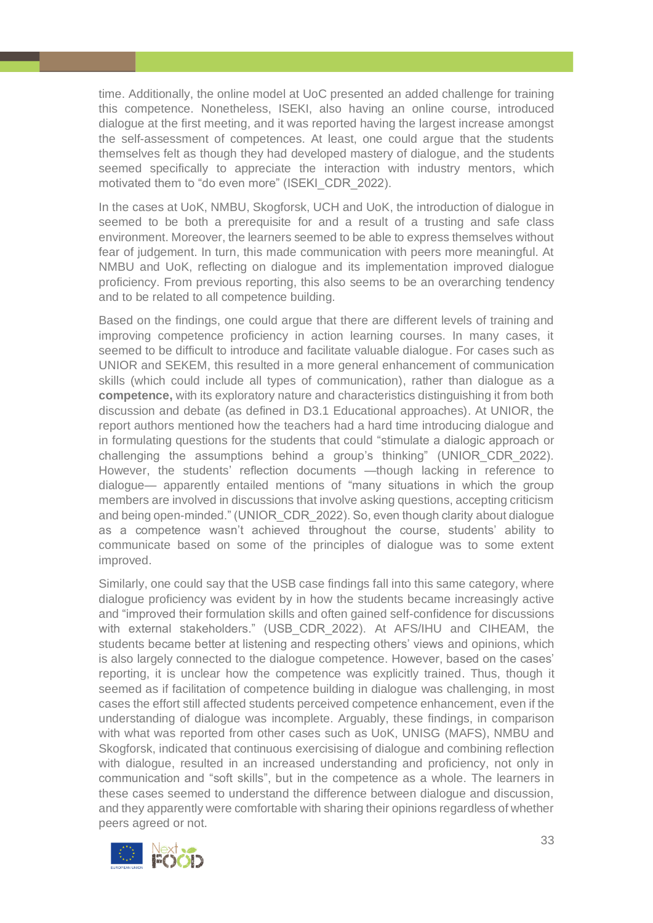time. Additionally, the online model at UoC presented an added challenge for training this competence. Nonetheless, ISEKI, also having an online course, introduced dialogue at the first meeting, and it was reported having the largest increase amongst the self-assessment of competences. At least, one could argue that the students themselves felt as though they had developed mastery of dialogue, and the students seemed specifically to appreciate the interaction with industry mentors, which motivated them to "do even more" (ISEKI\_CDR\_2022).

In the cases at UoK, NMBU, Skogforsk, UCH and UoK, the introduction of dialogue in seemed to be both a prerequisite for and a result of a trusting and safe class environment. Moreover, the learners seemed to be able to express themselves without fear of judgement. In turn, this made communication with peers more meaningful. At NMBU and UoK, reflecting on dialogue and its implementation improved dialogue proficiency. From previous reporting, this also seems to be an overarching tendency and to be related to all competence building.

Based on the findings, one could argue that there are different levels of training and improving competence proficiency in action learning courses. In many cases, it seemed to be difficult to introduce and facilitate valuable dialogue. For cases such as UNIOR and SEKEM, this resulted in a more general enhancement of communication skills (which could include all types of communication), rather than dialogue as a **competence,** with its exploratory nature and characteristics distinguishing it from both discussion and debate (as defined in D3.1 Educational approaches). At UNIOR, the report authors mentioned how the teachers had a hard time introducing dialogue and in formulating questions for the students that could "stimulate a dialogic approach or challenging the assumptions behind a group's thinking" (UNIOR\_CDR\_2022). However, the students' reflection documents —though lacking in reference to dialogue— apparently entailed mentions of "many situations in which the group members are involved in discussions that involve asking questions, accepting criticism and being open-minded." (UNIOR CDR 2022). So, even though clarity about dialogue as a competence wasn't achieved throughout the course, students' ability to communicate based on some of the principles of dialogue was to some extent improved.

Similarly, one could say that the USB case findings fall into this same category, where dialogue proficiency was evident by in how the students became increasingly active and "improved their formulation skills and often gained self-confidence for discussions with external stakeholders." (USB\_CDR\_2022). At AFS/IHU and CIHEAM, the students became better at listening and respecting others' views and opinions, which is also largely connected to the dialogue competence. However, based on the cases' reporting, it is unclear how the competence was explicitly trained. Thus, though it seemed as if facilitation of competence building in dialogue was challenging, in most cases the effort still affected students perceived competence enhancement, even if the understanding of dialogue was incomplete. Arguably, these findings, in comparison with what was reported from other cases such as UoK, UNISG (MAFS), NMBU and Skogforsk, indicated that continuous exercisising of dialogue and combining reflection with dialogue, resulted in an increased understanding and proficiency, not only in communication and "soft skills", but in the competence as a whole. The learners in these cases seemed to understand the difference between dialogue and discussion, and they apparently were comfortable with sharing their opinions regardless of whether peers agreed or not.

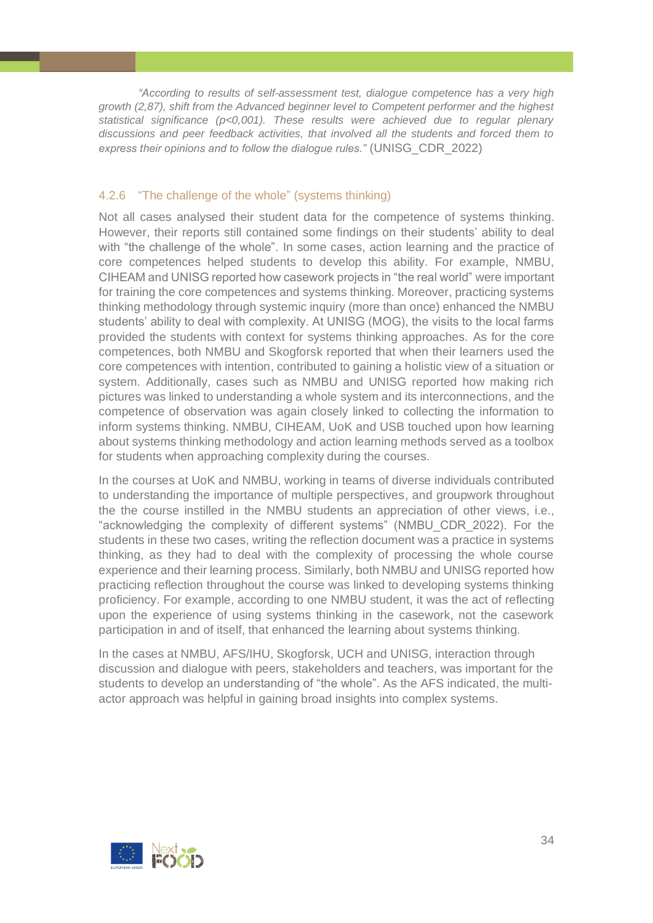*"According to results of self-assessment test, dialogue competence has a very high growth (2,87), shift from the Advanced beginner level to Competent performer and the highest statistical significance (p<0,001). These results were achieved due to regular plenary discussions and peer feedback activities, that involved all the students and forced them to express their opinions and to follow the dialogue rules."* (UNISG\_CDR\_2022)

# <span id="page-33-0"></span>4.2.6 "The challenge of the whole" (systems thinking)

Not all cases analysed their student data for the competence of systems thinking. However, their reports still contained some findings on their students' ability to deal with "the challenge of the whole". In some cases, action learning and the practice of core competences helped students to develop this ability. For example, NMBU, CIHEAM and UNISG reported how casework projects in "the real world" were important for training the core competences and systems thinking. Moreover, practicing systems thinking methodology through systemic inquiry (more than once) enhanced the NMBU students' ability to deal with complexity. At UNISG (MOG), the visits to the local farms provided the students with context for systems thinking approaches. As for the core competences, both NMBU and Skogforsk reported that when their learners used the core competences with intention, contributed to gaining a holistic view of a situation or system. Additionally, cases such as NMBU and UNISG reported how making rich pictures was linked to understanding a whole system and its interconnections, and the competence of observation was again closely linked to collecting the information to inform systems thinking. NMBU, CIHEAM, UoK and USB touched upon how learning about systems thinking methodology and action learning methods served as a toolbox for students when approaching complexity during the courses.

In the courses at UoK and NMBU, working in teams of diverse individuals contributed to understanding the importance of multiple perspectives, and groupwork throughout the the course instilled in the NMBU students an appreciation of other views, i.e., "acknowledging the complexity of different systems" (NMBU\_CDR\_2022). For the students in these two cases, writing the reflection document was a practice in systems thinking, as they had to deal with the complexity of processing the whole course experience and their learning process. Similarly, both NMBU and UNISG reported how practicing reflection throughout the course was linked to developing systems thinking proficiency. For example, according to one NMBU student, it was the act of reflecting upon the experience of using systems thinking in the casework, not the casework participation in and of itself, that enhanced the learning about systems thinking.

In the cases at NMBU, AFS/IHU, Skogforsk, UCH and UNISG, interaction through discussion and dialogue with peers, stakeholders and teachers, was important for the students to develop an understanding of "the whole". As the AFS indicated, the multiactor approach was helpful in gaining broad insights into complex systems.

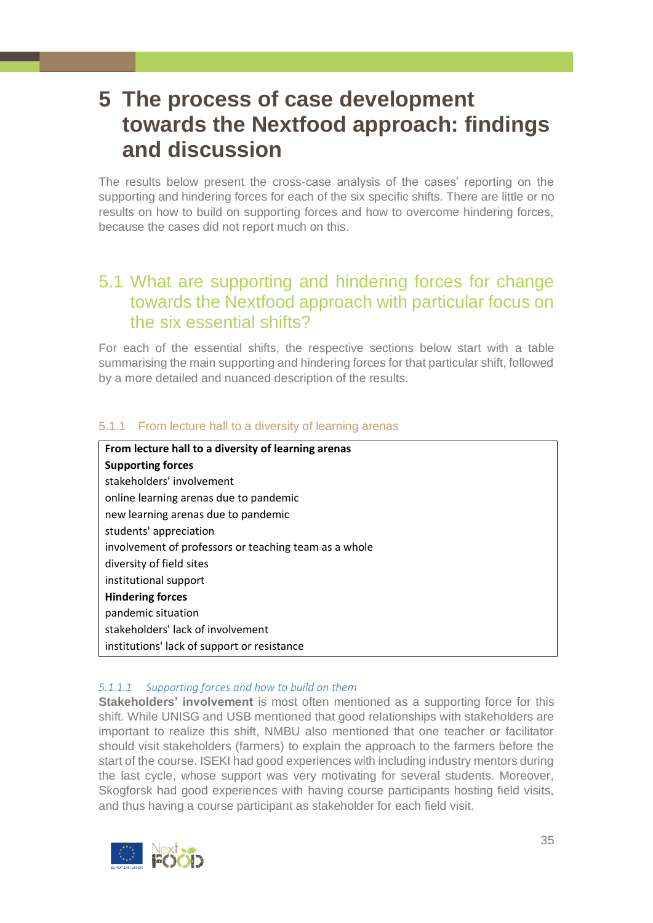# <span id="page-34-0"></span>**5 The process of case development towards the Nextfood approach: findings and discussion**

The results below present the cross-case analysis of the cases' reporting on the supporting and hindering forces for each of the six specific shifts. There are little or no results on how to build on supporting forces and how to overcome hindering forces, because the cases did not report much on this.

# <span id="page-34-1"></span>5.1 What are supporting and hindering forces for change towards the Nextfood approach with particular focus on the six essential shifts?

For each of the essential shifts, the respective sections below start with a table summarising the main supporting and hindering forces for that particular shift, followed by a more detailed and nuanced description of the results.

# <span id="page-34-2"></span>5.1.1 From lecture hall to a diversity of learning arenas

**From lecture hall to a diversity of learning arenas Supporting forces** stakeholders' involvement online learning arenas due to pandemic new learning arenas due to pandemic students' appreciation involvement of professors or teaching team as a whole diversity of field sites institutional support **Hindering forces** pandemic situation stakeholders' lack of involvement institutions' lack of support or resistance

#### *5.1.1.1 Supporting forces and how to build on them*

**Stakeholders' involvement** is most often mentioned as a supporting force for this shift. While UNISG and USB mentioned that good relationships with stakeholders are important to realize this shift, NMBU also mentioned that one teacher or facilitator should visit stakeholders (farmers) to explain the approach to the farmers before the start of the course. ISEKI had good experiences with including industry mentors during the last cycle, whose support was very motivating for several students. Moreover, Skogforsk had good experiences with having course participants hosting field visits, and thus having a course participant as stakeholder for each field visit.

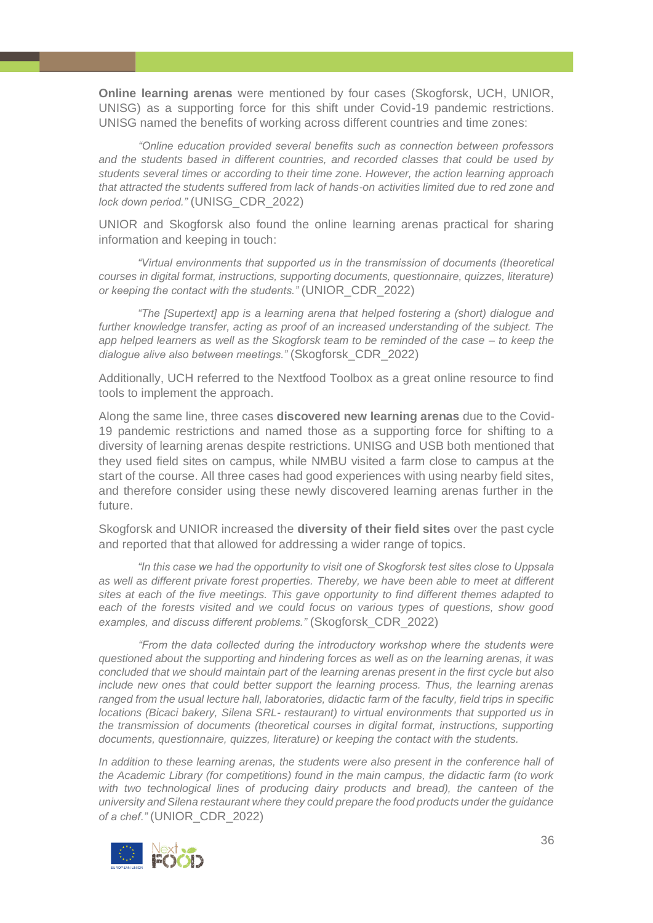**Online learning arenas** were mentioned by four cases (Skogforsk, UCH, UNIOR, UNISG) as a supporting force for this shift under Covid-19 pandemic restrictions. UNISG named the benefits of working across different countries and time zones:

*"Online education provided several benefits such as connection between professors and the students based in different countries, and recorded classes that could be used by students several times or according to their time zone. However, the action learning approach that attracted the students suffered from lack of hands-on activities limited due to red zone and lock down period."* (UNISG\_CDR\_2022)

UNIOR and Skogforsk also found the online learning arenas practical for sharing information and keeping in touch:

*"Virtual environments that supported us in the transmission of documents (theoretical courses in digital format, instructions, supporting documents, questionnaire, quizzes, literature) or keeping the contact with the students."* (UNIOR\_CDR\_2022)

*"The [Supertext] app is a learning arena that helped fostering a (short) dialogue and further knowledge transfer, acting as proof of an increased understanding of the subject. The app helped learners as well as the Skogforsk team to be reminded of the case – to keep the dialogue alive also between meetings."* (Skogforsk\_CDR\_2022)

Additionally, UCH referred to the Nextfood Toolbox as a great online resource to find tools to implement the approach.

Along the same line, three cases **discovered new learning arenas** due to the Covid-19 pandemic restrictions and named those as a supporting force for shifting to a diversity of learning arenas despite restrictions. UNISG and USB both mentioned that they used field sites on campus, while NMBU visited a farm close to campus at the start of the course. All three cases had good experiences with using nearby field sites, and therefore consider using these newly discovered learning arenas further in the future.

Skogforsk and UNIOR increased the **diversity of their field sites** over the past cycle and reported that that allowed for addressing a wider range of topics.

*"In this case we had the opportunity to visit one of Skogforsk test sites close to Uppsala as well as different private forest properties. Thereby, we have been able to meet at different sites at each of the five meetings. This gave opportunity to find different themes adapted to each of the forests visited and we could focus on various types of questions, show good examples, and discuss different problems."* (Skogforsk\_CDR\_2022)

*"From the data collected during the introductory workshop where the students were questioned about the supporting and hindering forces as well as on the learning arenas, it was concluded that we should maintain part of the learning arenas present in the first cycle but also include new ones that could better support the learning process. Thus, the learning arenas ranged from the usual lecture hall, laboratories, didactic farm of the faculty, field trips in specific locations (Bicaci bakery, Silena SRL- restaurant) to virtual environments that supported us in the transmission of documents (theoretical courses in digital format, instructions, supporting documents, questionnaire, quizzes, literature) or keeping the contact with the students.*

*In addition to these learning arenas, the students were also present in the conference hall of the Academic Library (for competitions) found in the main campus, the didactic farm (to work with two technological lines of producing dairy products and bread), the canteen of the university and Silena restaurant where they could prepare the food products under the guidance of a chef."* (UNIOR\_CDR\_2022)

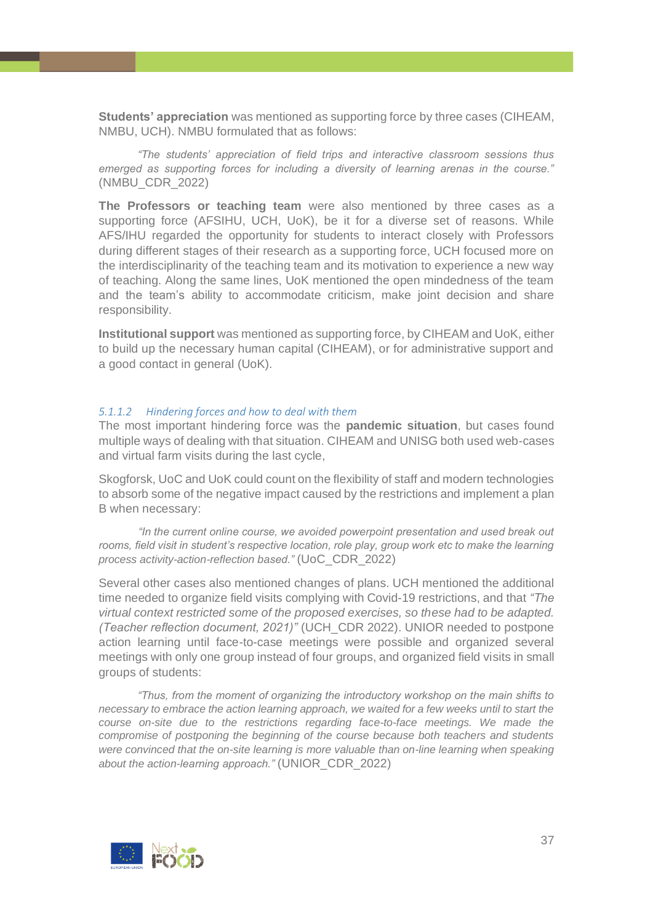**Students' appreciation** was mentioned as supporting force by three cases (CIHEAM, NMBU, UCH). NMBU formulated that as follows:

*"The students' appreciation of field trips and interactive classroom sessions thus emerged as supporting forces for including a diversity of learning arenas in the course."* (NMBU\_CDR\_2022)

**The Professors or teaching team** were also mentioned by three cases as a supporting force (AFSIHU, UCH, UoK), be it for a diverse set of reasons. While AFS/IHU regarded the opportunity for students to interact closely with Professors during different stages of their research as a supporting force, UCH focused more on the interdisciplinarity of the teaching team and its motivation to experience a new way of teaching. Along the same lines, UoK mentioned the open mindedness of the team and the team's ability to accommodate criticism, make joint decision and share responsibility.

**Institutional support** was mentioned as supporting force, by CIHEAM and UoK, either to build up the necessary human capital (CIHEAM), or for administrative support and a good contact in general (UoK).

#### *5.1.1.2 Hindering forces and how to deal with them*

The most important hindering force was the **pandemic situation**, but cases found multiple ways of dealing with that situation. CIHEAM and UNISG both used web-cases and virtual farm visits during the last cycle,

Skogforsk, UoC and UoK could count on the flexibility of staff and modern technologies to absorb some of the negative impact caused by the restrictions and implement a plan B when necessary:

*"In the current online course, we avoided powerpoint presentation and used break out rooms, field visit in student's respective location, role play, group work etc to make the learning process activity-action-reflection based."* (UoC\_CDR\_2022)

Several other cases also mentioned changes of plans. UCH mentioned the additional time needed to organize field visits complying with Covid-19 restrictions, and that *"The virtual context restricted some of the proposed exercises, so these had to be adapted. (Teacher reflection document, 2021)"* (UCH\_CDR 2022). UNIOR needed to postpone action learning until face-to-case meetings were possible and organized several meetings with only one group instead of four groups, and organized field visits in small groups of students:

*"Thus, from the moment of organizing the introductory workshop on the main shifts to necessary to embrace the action learning approach, we waited for a few weeks until to start the course on-site due to the restrictions regarding face-to-face meetings. We made the compromise of postponing the beginning of the course because both teachers and students were convinced that the on-site learning is more valuable than on-line learning when speaking about the action-learning approach."* (UNIOR\_CDR\_2022)

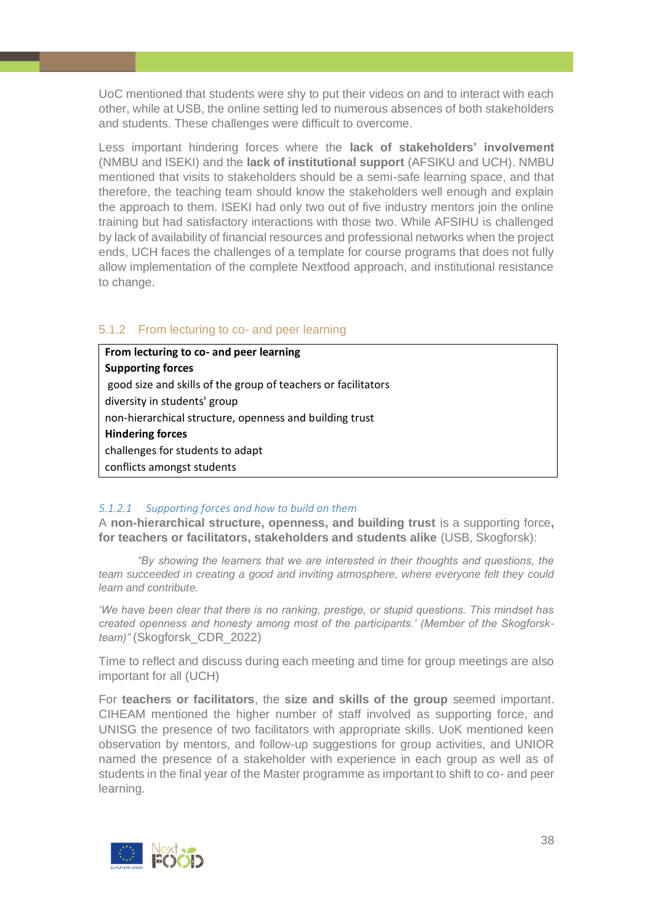UoC mentioned that students were shy to put their videos on and to interact with each other, while at USB, the online setting led to numerous absences of both stakeholders and students. These challenges were difficult to overcome.

Less important hindering forces where the **lack of stakeholders' involvement** (NMBU and ISEKI) and the **lack of institutional support** (AFSIKU and UCH). NMBU mentioned that visits to stakeholders should be a semi-safe learning space, and that therefore, the teaching team should know the stakeholders well enough and explain the approach to them. ISEKI had only two out of five industry mentors join the online training but had satisfactory interactions with those two. While AFSIHU is challenged by lack of availability of financial resources and professional networks when the project ends, UCH faces the challenges of a template for course programs that does not fully allow implementation of the complete Nextfood approach, and institutional resistance to change.

## <span id="page-37-0"></span>5.1.2 From lecturing to co- and peer learning

**From lecturing to co- and peer learning Supporting forces** good size and skills of the group of teachers or facilitators diversity in students' group non-hierarchical structure, openness and building trust **Hindering forces** challenges for students to adapt conflicts amongst students

#### *5.1.2.1 Supporting forces and how to build on them*

A **non-hierarchical structure, openness, and building trust** is a supporting force**, for teachers or facilitators, stakeholders and students alike** (USB, Skogforsk):

*"By showing the learners that we are interested in their thoughts and questions, the team succeeded in creating a good and inviting atmosphere, where everyone felt they could learn and contribute.*

*'We have been clear that there is no ranking, prestige, or stupid questions. This mindset has created openness and honesty among most of the participants.' (Member of the Skogforskteam)"* (Skogforsk\_CDR\_2022)

Time to reflect and discuss during each meeting and time for group meetings are also important for all (UCH)

For **teachers or facilitators**, the **size and skills of the group** seemed important. CIHEAM mentioned the higher number of staff involved as supporting force, and UNISG the presence of two facilitators with appropriate skills. UoK mentioned keen observation by mentors, and follow-up suggestions for group activities, and UNIOR named the presence of a stakeholder with experience in each group as well as of students in the final year of the Master programme as important to shift to co- and peer learning.

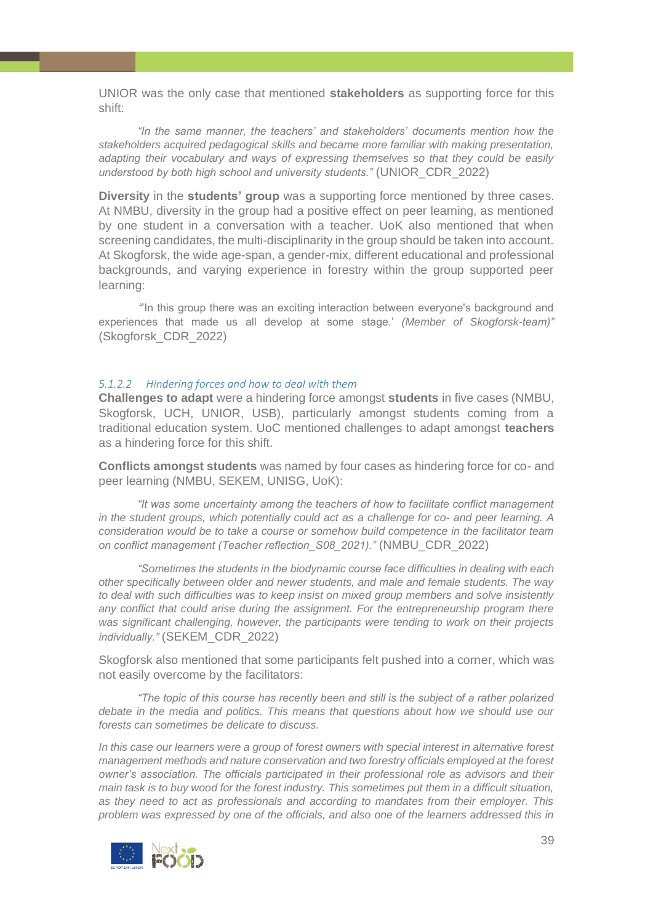UNIOR was the only case that mentioned **stakeholders** as supporting force for this shift:

*"In the same manner, the teachers' and stakeholders' documents mention how the stakeholders acquired pedagogical skills and became more familiar with making presentation, adapting their vocabulary and ways of expressing themselves so that they could be easily understood by both high school and university students."* (UNIOR\_CDR\_2022)

**Diversity** in the **students' group** was a supporting force mentioned by three cases. At NMBU, diversity in the group had a positive effect on peer learning, as mentioned by one student in a conversation with a teacher. UoK also mentioned that when screening candidates, the multi-disciplinarity in the group should be taken into account. At Skogforsk, the wide age-span, a gender-mix, different educational and professional backgrounds, and varying experience in forestry within the group supported peer learning:

*"*'In this group there was an exciting interaction between everyone's background and experiences that made us all develop at some stage.' *(Member of Skogforsk-team)"* (Skogforsk\_CDR\_2022)

#### *5.1.2.2 Hindering forces and how to deal with them*

**Challenges to adapt** were a hindering force amongst **students** in five cases (NMBU, Skogforsk, UCH, UNIOR, USB), particularly amongst students coming from a traditional education system. UoC mentioned challenges to adapt amongst **teachers** as a hindering force for this shift.

**Conflicts amongst students** was named by four cases as hindering force for co- and peer learning (NMBU, SEKEM, UNISG, UoK):

*"It was some uncertainty among the teachers of how to facilitate conflict management in the student groups, which potentially could act as a challenge for co- and peer learning. A consideration would be to take a course or somehow build competence in the facilitator team on conflict management (Teacher reflection\_S08\_2021)."* (NMBU\_CDR\_2022)

*"Sometimes the students in the biodynamic course face difficulties in dealing with each other specifically between older and newer students, and male and female students. The way to deal with such difficulties was to keep insist on mixed group members and solve insistently any conflict that could arise during the assignment. For the entrepreneurship program there was significant challenging, however, the participants were tending to work on their projects individually."* (SEKEM\_CDR\_2022)

Skogforsk also mentioned that some participants felt pushed into a corner, which was not easily overcome by the facilitators:

*"The topic of this course has recently been and still is the subject of a rather polarized debate in the media and politics. This means that questions about how we should use our forests can sometimes be delicate to discuss.* 

*In this case our learners were a group of forest owners with special interest in alternative forest management methods and nature conservation and two forestry officials employed at the forest owner's association. The officials participated in their professional role as advisors and their main task is to buy wood for the forest industry. This sometimes put them in a difficult situation, as they need to act as professionals and according to mandates from their employer. This problem was expressed by one of the officials, and also one of the learners addressed this in* 

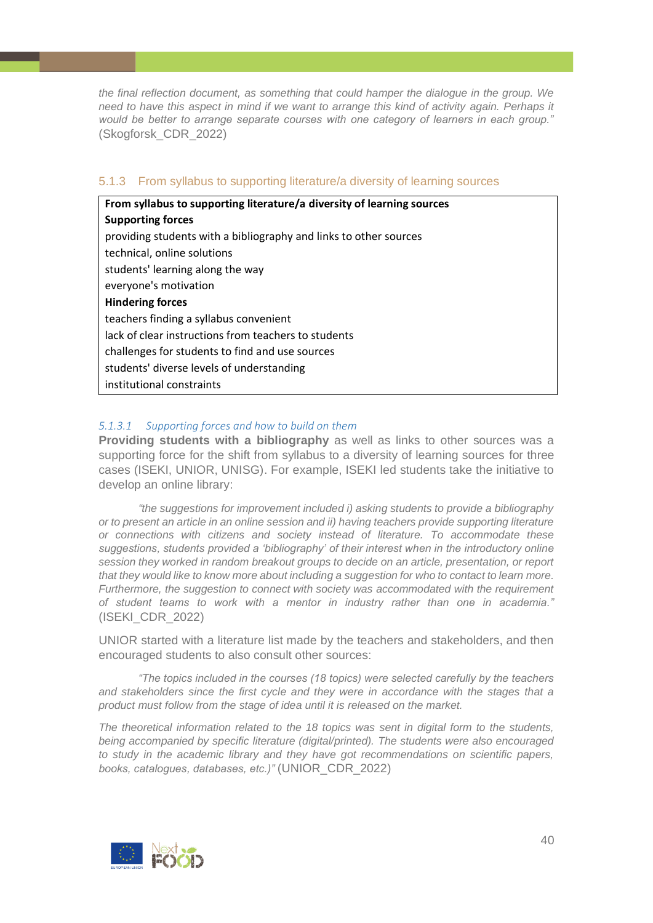*the final reflection document, as something that could hamper the dialogue in the group. We need to have this aspect in mind if we want to arrange this kind of activity again. Perhaps it would be better to arrange separate courses with one category of learners in each group."* (Skogforsk\_CDR\_2022)

#### <span id="page-39-0"></span>5.1.3 From syllabus to supporting literature/a diversity of learning sources

| From syllabus to supporting literature/a diversity of learning sources |  |  |
|------------------------------------------------------------------------|--|--|
| <b>Supporting forces</b>                                               |  |  |
| providing students with a bibliography and links to other sources      |  |  |
| technical, online solutions                                            |  |  |
| students' learning along the way                                       |  |  |
| everyone's motivation                                                  |  |  |
| <b>Hindering forces</b>                                                |  |  |
| teachers finding a syllabus convenient                                 |  |  |
| lack of clear instructions from teachers to students                   |  |  |
| challenges for students to find and use sources                        |  |  |
| students' diverse levels of understanding                              |  |  |
| institutional constraints                                              |  |  |

# *5.1.3.1 Supporting forces and how to build on them*

**Providing students with a bibliography** as well as links to other sources was a supporting force for the shift from syllabus to a diversity of learning sources for three cases (ISEKI, UNIOR, UNISG). For example, ISEKI led students take the initiative to develop an online library:

*"the suggestions for improvement included i) asking students to provide a bibliography or to present an article in an online session and ii) having teachers provide supporting literature or connections with citizens and society instead of literature. To accommodate these suggestions, students provided a 'bibliography' of their interest when in the introductory online session they worked in random breakout groups to decide on an article, presentation, or report that they would like to know more about including a suggestion for who to contact to learn more. Furthermore, the suggestion to connect with society was accommodated with the requirement of student teams to work with a mentor in industry rather than one in academia."* (ISEKI\_CDR\_2022)

UNIOR started with a literature list made by the teachers and stakeholders, and then encouraged students to also consult other sources:

*"The topics included in the courses (18 topics) were selected carefully by the teachers and stakeholders since the first cycle and they were in accordance with the stages that a product must follow from the stage of idea until it is released on the market.*

*The theoretical information related to the 18 topics was sent in digital form to the students, being accompanied by specific literature (digital/printed). The students were also encouraged to study in the academic library and they have got recommendations on scientific papers, books, catalogues, databases, etc.)"* (UNIOR\_CDR\_2022)

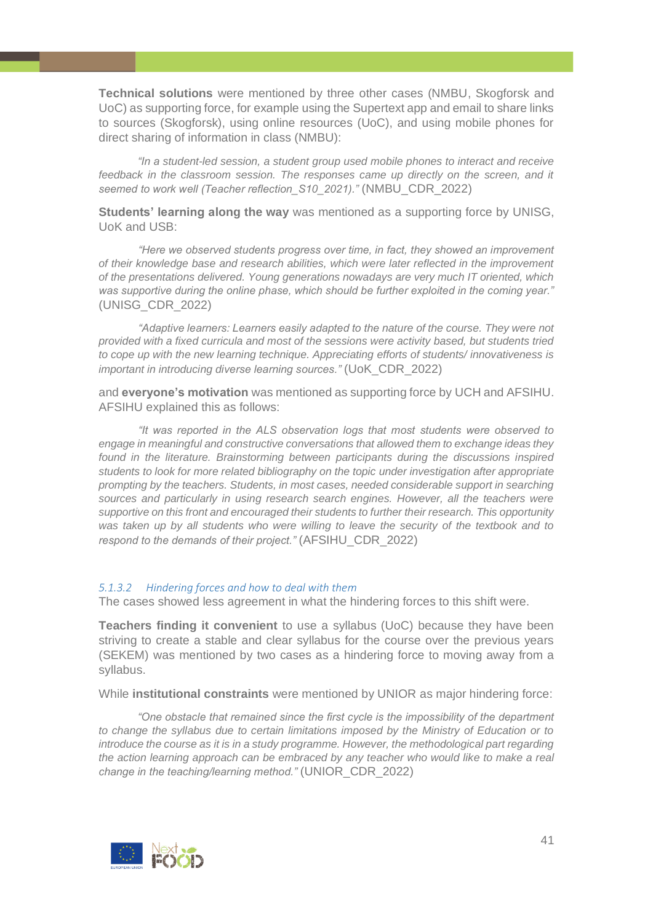**Technical solutions** were mentioned by three other cases (NMBU, Skogforsk and UoC) as supporting force, for example using the Supertext app and email to share links to sources (Skogforsk), using online resources (UoC), and using mobile phones for direct sharing of information in class (NMBU):

*"In a student-led session, a student group used mobile phones to interact and receive feedback in the classroom session. The responses came up directly on the screen, and it seemed to work well (Teacher reflection\_S10\_2021)."* (NMBU\_CDR\_2022)

**Students' learning along the way** was mentioned as a supporting force by UNISG, UoK and USB:

*"Here we observed students progress over time, in fact, they showed an improvement of their knowledge base and research abilities, which were later reflected in the improvement of the presentations delivered. Young generations nowadays are very much IT oriented, which was supportive during the online phase, which should be further exploited in the coming year."* (UNISG\_CDR\_2022)

*"Adaptive learners: Learners easily adapted to the nature of the course. They were not provided with a fixed curricula and most of the sessions were activity based, but students tried to cope up with the new learning technique. Appreciating efforts of students/ innovativeness is important in introducing diverse learning sources."* (UoK\_CDR\_2022)

and **everyone's motivation** was mentioned as supporting force by UCH and AFSIHU. AFSIHU explained this as follows:

*"It was reported in the ALS observation logs that most students were observed to engage in meaningful and constructive conversations that allowed them to exchange ideas they*  found in the literature. Brainstorming between participants during the discussions inspired *students to look for more related bibliography on the topic under investigation after appropriate prompting by the teachers. Students, in most cases, needed considerable support in searching sources and particularly in using research search engines. However, all the teachers were supportive on this front and encouraged their students to further their research. This opportunity was taken up by all students who were willing to leave the security of the textbook and to respond to the demands of their project."* (AFSIHU\_CDR\_2022)

#### *5.1.3.2 Hindering forces and how to deal with them*

The cases showed less agreement in what the hindering forces to this shift were.

**Teachers finding it convenient** to use a syllabus (UoC) because they have been striving to create a stable and clear syllabus for the course over the previous years (SEKEM) was mentioned by two cases as a hindering force to moving away from a syllabus.

While **institutional constraints** were mentioned by UNIOR as major hindering force:

*"One obstacle that remained since the first cycle is the impossibility of the department to change the syllabus due to certain limitations imposed by the Ministry of Education or to introduce the course as it is in a study programme. However, the methodological part regarding the action learning approach can be embraced by any teacher who would like to make a real change in the teaching/learning method."* (UNIOR\_CDR\_2022)

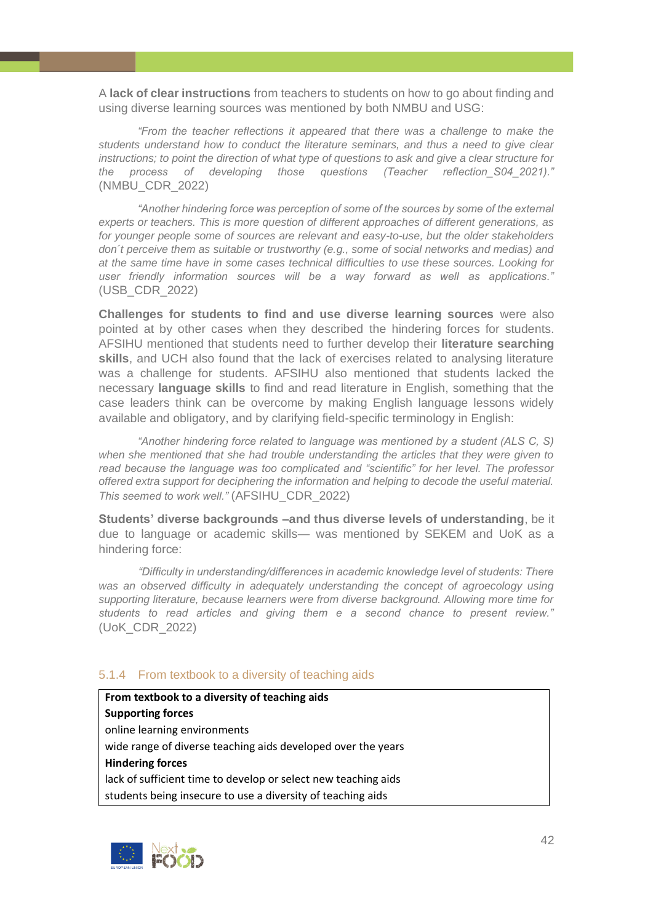A **lack of clear instructions** from teachers to students on how to go about finding and using diverse learning sources was mentioned by both NMBU and USG:

*"From the teacher reflections it appeared that there was a challenge to make the students understand how to conduct the literature seminars, and thus a need to give clear instructions; to point the direction of what type of questions to ask and give a clear structure for the process of developing those questions (Teacher reflection\_S04\_2021)."* (NMBU\_CDR\_2022)

*"Another hindering force was perception of some of the sources by some of the external experts or teachers. This is more question of different approaches of different generations, as for younger people some of sources are relevant and easy-to-use, but the older stakeholders don´t perceive them as suitable or trustworthy (e.g., some of social networks and medias) and at the same time have in some cases technical difficulties to use these sources. Looking for user friendly information sources will be a way forward as well as applications."* (USB\_CDR\_2022)

**Challenges for students to find and use diverse learning sources** were also pointed at by other cases when they described the hindering forces for students. AFSIHU mentioned that students need to further develop their **literature searching skills**, and UCH also found that the lack of exercises related to analysing literature was a challenge for students. AFSIHU also mentioned that students lacked the necessary **language skills** to find and read literature in English, something that the case leaders think can be overcome by making English language lessons widely available and obligatory, and by clarifying field-specific terminology in English:

*"Another hindering force related to language was mentioned by a student (ALS C, S) when she mentioned that she had trouble understanding the articles that they were given to read because the language was too complicated and "scientific" for her level. The professor offered extra support for deciphering the information and helping to decode the useful material. This seemed to work well."* (AFSIHU\_CDR\_2022)

**Students' diverse backgrounds –and thus diverse levels of understanding**, be it due to language or academic skills— was mentioned by SEKEM and UoK as a hindering force:

*"Difficulty in understanding/differences in academic knowledge level of students: There was an observed difficulty in adequately understanding the concept of agroecology using supporting literature, because learners were from diverse background. Allowing more time for students to read articles and giving them e a second chance to present review."* (UoK\_CDR\_2022)

#### <span id="page-41-0"></span>5.1.4 From textbook to a diversity of teaching aids

**From textbook to a diversity of teaching aids Supporting forces** online learning environments wide range of diverse teaching aids developed over the years **Hindering forces** lack of sufficient time to develop or select new teaching aids students being insecure to use a diversity of teaching aids

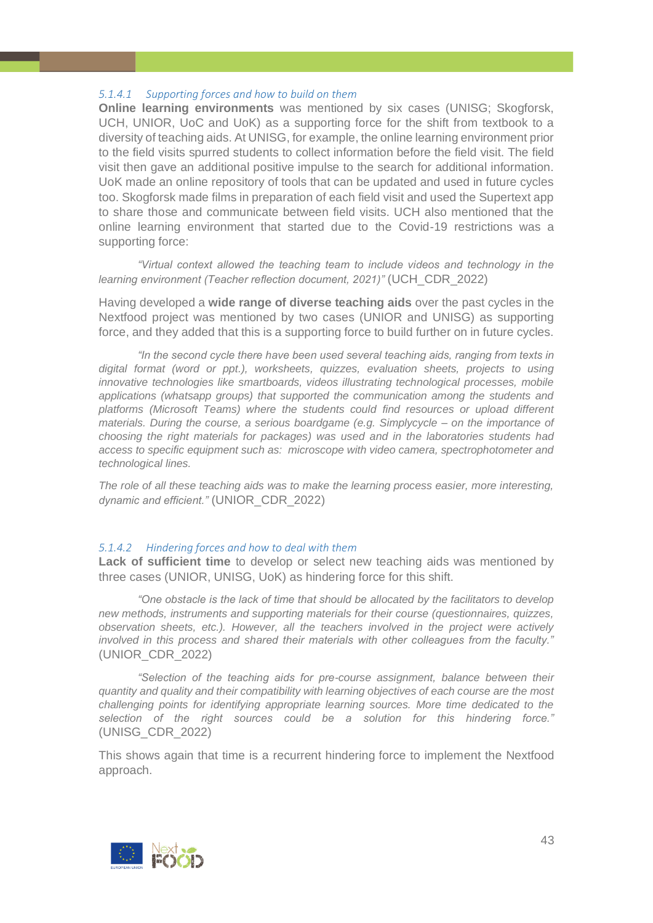## *5.1.4.1 Supporting forces and how to build on them*

**Online learning environments** was mentioned by six cases (UNISG; Skogforsk, UCH, UNIOR, UoC and UoK) as a supporting force for the shift from textbook to a diversity of teaching aids. At UNISG, for example, the online learning environment prior to the field visits spurred students to collect information before the field visit. The field visit then gave an additional positive impulse to the search for additional information. UoK made an online repository of tools that can be updated and used in future cycles too. Skogforsk made films in preparation of each field visit and used the Supertext app to share those and communicate between field visits. UCH also mentioned that the online learning environment that started due to the Covid-19 restrictions was a supporting force:

*"Virtual context allowed the teaching team to include videos and technology in the learning environment (Teacher reflection document, 2021)"* (UCH\_CDR\_2022)

Having developed a **wide range of diverse teaching aids** over the past cycles in the Nextfood project was mentioned by two cases (UNIOR and UNISG) as supporting force, and they added that this is a supporting force to build further on in future cycles.

*"In the second cycle there have been used several teaching aids, ranging from texts in digital format (word or ppt.), worksheets, quizzes, evaluation sheets, projects to using innovative technologies like smartboards, videos illustrating technological processes, mobile applications (whatsapp groups) that supported the communication among the students and platforms (Microsoft Teams) where the students could find resources or upload different materials. During the course, a serious boardgame (e.g. Simplycycle – on the importance of choosing the right materials for packages) was used and in the laboratories students had access to specific equipment such as: microscope with video camera, spectrophotometer and technological lines.* 

*The role of all these teaching aids was to make the learning process easier, more interesting, dynamic and efficient."* (UNIOR\_CDR\_2022)

#### *5.1.4.2 Hindering forces and how to deal with them*

**Lack of sufficient time** to develop or select new teaching aids was mentioned by three cases (UNIOR, UNISG, UoK) as hindering force for this shift.

*"One obstacle is the lack of time that should be allocated by the facilitators to develop new methods, instruments and supporting materials for their course (questionnaires, quizzes, observation sheets, etc.). However, all the teachers involved in the project were actively involved in this process and shared their materials with other colleagues from the faculty."* (UNIOR\_CDR\_2022)

*"Selection of the teaching aids for pre-course assignment, balance between their quantity and quality and their compatibility with learning objectives of each course are the most challenging points for identifying appropriate learning sources. More time dedicated to the selection of the right sources could be a solution for this hindering force."* (UNISG\_CDR\_2022)

This shows again that time is a recurrent hindering force to implement the Nextfood approach.

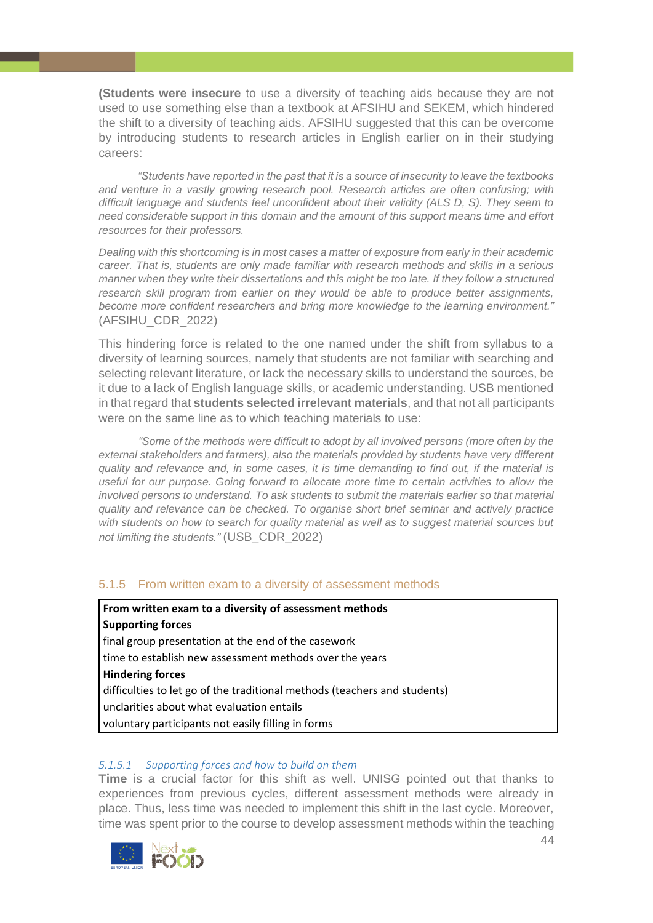**(Students were insecure** to use a diversity of teaching aids because they are not used to use something else than a textbook at AFSIHU and SEKEM, which hindered the shift to a diversity of teaching aids. AFSIHU suggested that this can be overcome by introducing students to research articles in English earlier on in their studying careers:

*"Students have reported in the past that it is a source of insecurity to leave the textbooks and venture in a vastly growing research pool. Research articles are often confusing; with difficult language and students feel unconfident about their validity (ALS D, S). They seem to need considerable support in this domain and the amount of this support means time and effort resources for their professors.*

*Dealing with this shortcoming is in most cases a matter of exposure from early in their academic career. That is, students are only made familiar with research methods and skills in a serious manner when they write their dissertations and this might be too late. If they follow a structured research skill program from earlier on they would be able to produce better assignments, become more confident researchers and bring more knowledge to the learning environment."* (AFSIHU\_CDR\_2022)

This hindering force is related to the one named under the shift from syllabus to a diversity of learning sources, namely that students are not familiar with searching and selecting relevant literature, or lack the necessary skills to understand the sources, be it due to a lack of English language skills, or academic understanding. USB mentioned in that regard that **students selected irrelevant materials**, and that not all participants were on the same line as to which teaching materials to use:

*"Some of the methods were difficult to adopt by all involved persons (more often by the external stakeholders and farmers), also the materials provided by students have very different quality and relevance and, in some cases, it is time demanding to find out, if the material is useful for our purpose. Going forward to allocate more time to certain activities to allow the involved persons to understand. To ask students to submit the materials earlier so that material quality and relevance can be checked. To organise short brief seminar and actively practice with students on how to search for quality material as well as to suggest material sources but not limiting the students."* (USB\_CDR\_2022)

# <span id="page-43-0"></span>5.1.5 From written exam to a diversity of assessment methods

**From written exam to a diversity of assessment methods Supporting forces** final group presentation at the end of the casework time to establish new assessment methods over the years **Hindering forces** difficulties to let go of the traditional methods (teachers and students) unclarities about what evaluation entails voluntary participants not easily filling in forms

# *5.1.5.1 Supporting forces and how to build on them*

**Time** is a crucial factor for this shift as well. UNISG pointed out that thanks to experiences from previous cycles, different assessment methods were already in place. Thus, less time was needed to implement this shift in the last cycle. Moreover, time was spent prior to the course to develop assessment methods within the teaching

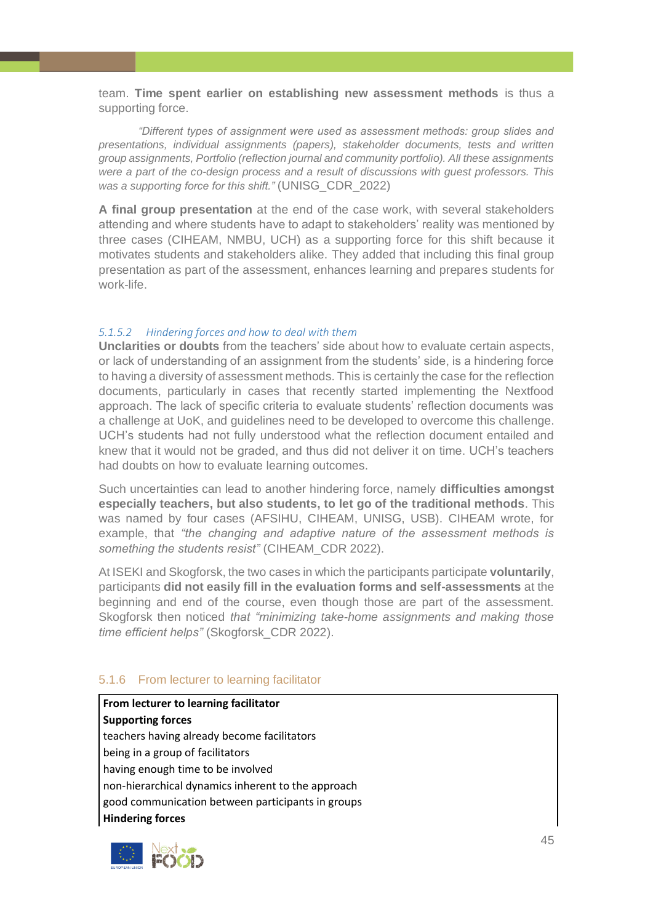team. **Time spent earlier on establishing new assessment methods** is thus a supporting force.

*"Different types of assignment were used as assessment methods: group slides and presentations, individual assignments (papers), stakeholder documents, tests and written group assignments, Portfolio (reflection journal and community portfolio). All these assignments were a part of the co-design process and a result of discussions with guest professors. This was a supporting force for this shift."* (UNISG\_CDR\_2022)

**A final group presentation** at the end of the case work, with several stakeholders attending and where students have to adapt to stakeholders' reality was mentioned by three cases (CIHEAM, NMBU, UCH) as a supporting force for this shift because it motivates students and stakeholders alike. They added that including this final group presentation as part of the assessment, enhances learning and prepares students for work-life.

#### *5.1.5.2 Hindering forces and how to deal with them*

**Unclarities or doubts** from the teachers' side about how to evaluate certain aspects, or lack of understanding of an assignment from the students' side, is a hindering force to having a diversity of assessment methods. This is certainly the case for the reflection documents, particularly in cases that recently started implementing the Nextfood approach. The lack of specific criteria to evaluate students' reflection documents was a challenge at UoK, and guidelines need to be developed to overcome this challenge. UCH's students had not fully understood what the reflection document entailed and knew that it would not be graded, and thus did not deliver it on time. UCH's teachers had doubts on how to evaluate learning outcomes.

Such uncertainties can lead to another hindering force, namely **difficulties amongst especially teachers, but also students, to let go of the traditional methods**. This was named by four cases (AFSIHU, CIHEAM, UNISG, USB). CIHEAM wrote, for example, that *"the changing and adaptive nature of the assessment methods is something the students resist"* (CIHEAM\_CDR 2022).

At ISEKI and Skogforsk, the two cases in which the participants participate **voluntarily**, participants **did not easily fill in the evaluation forms and self-assessments** at the beginning and end of the course, even though those are part of the assessment. Skogforsk then noticed *that "minimizing take-home assignments and making those time efficient helps"* (Skogforsk\_CDR 2022).

#### <span id="page-44-0"></span>5.1.6 From lecturer to learning facilitator

**From lecturer to learning facilitator Supporting forces** teachers having already become facilitators being in a group of facilitators having enough time to be involved non-hierarchical dynamics inherent to the approach good communication between participants in groups **Hindering forces**

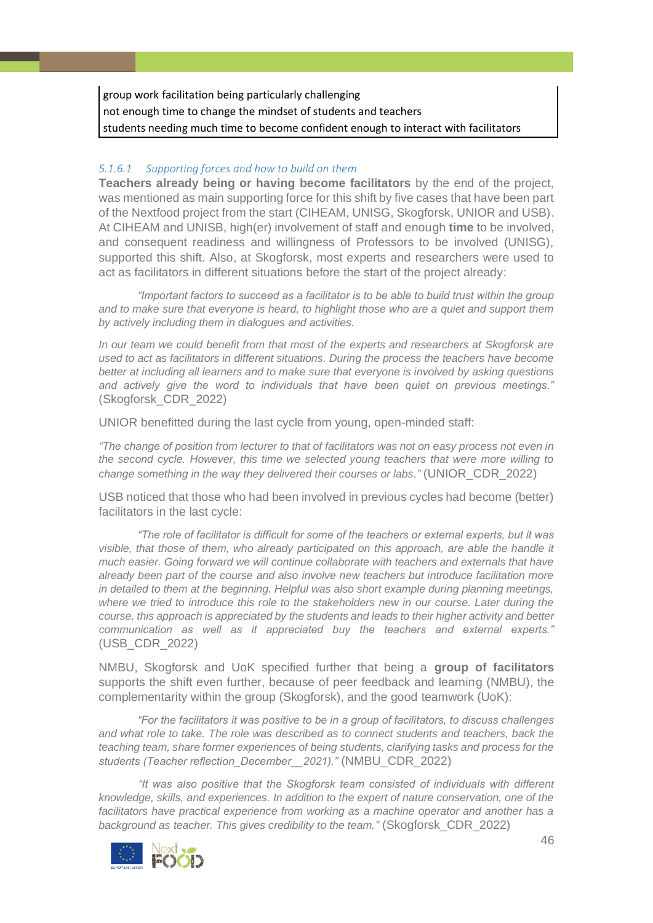group work facilitation being particularly challenging not enough time to change the mindset of students and teachers students needing much time to become confident enough to interact with facilitators

#### *5.1.6.1 Supporting forces and how to build on them*

**Teachers already being or having become facilitators** by the end of the project, was mentioned as main supporting force for this shift by five cases that have been part of the Nextfood project from the start (CIHEAM, UNISG, Skogforsk, UNIOR and USB). At CIHEAM and UNISB, high(er) involvement of staff and enough **time** to be involved, and consequent readiness and willingness of Professors to be involved (UNISG), supported this shift. Also, at Skogforsk, most experts and researchers were used to act as facilitators in different situations before the start of the project already:

*"Important factors to succeed as a facilitator is to be able to build trust within the group and to make sure that everyone is heard, to highlight those who are a quiet and support them by actively including them in dialogues and activities.*

*In our team we could benefit from that most of the experts and researchers at Skogforsk are used to act as facilitators in different situations. During the process the teachers have become better at including all learners and to make sure that everyone is involved by asking questions and actively give the word to individuals that have been quiet on previous meetings."* (Skogforsk\_CDR\_2022)

UNIOR benefitted during the last cycle from young, open-minded staff:

*"The change of position from lecturer to that of facilitators was not on easy process not even in the second cycle. However, this time we selected young teachers that were more willing to change something in the way they delivered their courses or labs."* (UNIOR\_CDR\_2022)

USB noticed that those who had been involved in previous cycles had become (better) facilitators in the last cycle:

*"The role of facilitator is difficult for some of the teachers or external experts, but it was visible, that those of them, who already participated on this approach, are able the handle it much easier. Going forward we will continue collaborate with teachers and externals that have already been part of the course and also involve new teachers but introduce facilitation more in detailed to them at the beginning. Helpful was also short example during planning meetings, where we tried to introduce this role to the stakeholders new in our course. Later during the course, this approach is appreciated by the students and leads to their higher activity and better communication as well as it appreciated buy the teachers and external experts."* (USB\_CDR\_2022)

NMBU, Skogforsk and UoK specified further that being a **group of facilitators** supports the shift even further, because of peer feedback and learning (NMBU), the complementarity within the group (Skogforsk), and the good teamwork (UoK):

*"For the facilitators it was positive to be in a group of facilitators, to discuss challenges and what role to take. The role was described as to connect students and teachers, back the teaching team, share former experiences of being students, clarifying tasks and process for the students (Teacher reflection\_December\_\_2021)."* (NMBU\_CDR\_2022)

*"It was also positive that the Skogforsk team consisted of individuals with different knowledge, skills, and experiences. In addition to the expert of nature conservation, one of the*  facilitators have practical experience from working as a machine operator and another has a *background as teacher. This gives credibility to the team."* (Skogforsk\_CDR\_2022)

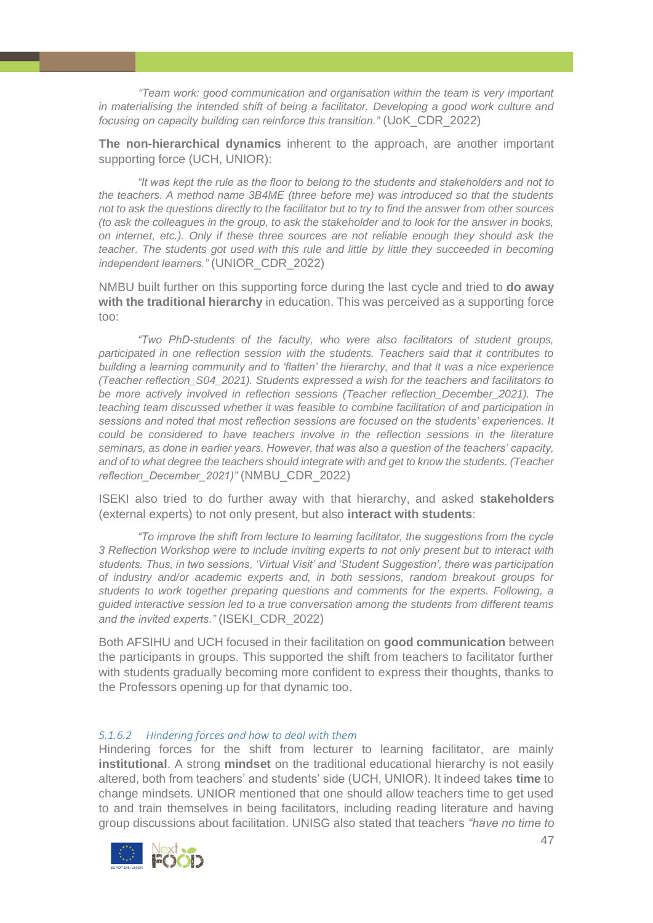*"Team work: good communication and organisation within the team is very important in materialising the intended shift of being a facilitator. Developing a good work culture and focusing on capacity building can reinforce this transition."* (UoK\_CDR\_2022)

**The non-hierarchical dynamics** inherent to the approach, are another important supporting force (UCH, UNIOR):

*"It was kept the rule as the floor to belong to the students and stakeholders and not to the teachers. A method name 3B4ME (three before me) was introduced so that the students not to ask the questions directly to the facilitator but to try to find the answer from other sources (to ask the colleagues in the group, to ask the stakeholder and to look for the answer in books, on internet, etc.). Only if these three sources are not reliable enough they should ask the teacher. The students got used with this rule and little by little they succeeded in becoming independent learners."* (UNIOR\_CDR\_2022)

NMBU built further on this supporting force during the last cycle and tried to **do away with the traditional hierarchy** in education. This was perceived as a supporting force too:

*"Two PhD-students of the faculty, who were also facilitators of student groups, participated in one reflection session with the students. Teachers said that it contributes to building a learning community and to 'flatten' the hierarchy, and that it was a nice experience (Teacher reflection\_S04\_2021). Students expressed a wish for the teachers and facilitators to be more actively involved in reflection sessions (Teacher reflection\_December\_2021). The teaching team discussed whether it was feasible to combine facilitation of and participation in sessions and noted that most reflection sessions are focused on the students' experiences. It could be considered to have teachers involve in the reflection sessions in the literature seminars, as done in earlier years. However, that was also a question of the teachers' capacity, and of to what degree the teachers should integrate with and get to know the students. (Teacher reflection\_December\_2021)"* (NMBU\_CDR\_2022)

ISEKI also tried to do further away with that hierarchy, and asked **stakeholders** (external experts) to not only present, but also **interact with students**:

*"To improve the shift from lecture to learning facilitator, the suggestions from the cycle 3 Reflection Workshop were to include inviting experts to not only present but to interact with students. Thus, in two sessions, 'Virtual Visit' and 'Student Suggestion', there was participation of industry and/or academic experts and, in both sessions, random breakout groups for students to work together preparing questions and comments for the experts. Following, a guided interactive session led to a true conversation among the students from different teams and the invited experts."* (ISEKI\_CDR\_2022)

Both AFSIHU and UCH focused in their facilitation on **good communication** between the participants in groups. This supported the shift from teachers to facilitator further with students gradually becoming more confident to express their thoughts, thanks to the Professors opening up for that dynamic too.

#### *5.1.6.2 Hindering forces and how to deal with them*

Hindering forces for the shift from lecturer to learning facilitator, are mainly **institutional**. A strong **mindset** on the traditional educational hierarchy is not easily altered, both from teachers' and students' side (UCH, UNIOR). It indeed takes **time** to change mindsets. UNIOR mentioned that one should allow teachers time to get used to and train themselves in being facilitators, including reading literature and having group discussions about facilitation. UNISG also stated that teachers *"have no time to* 

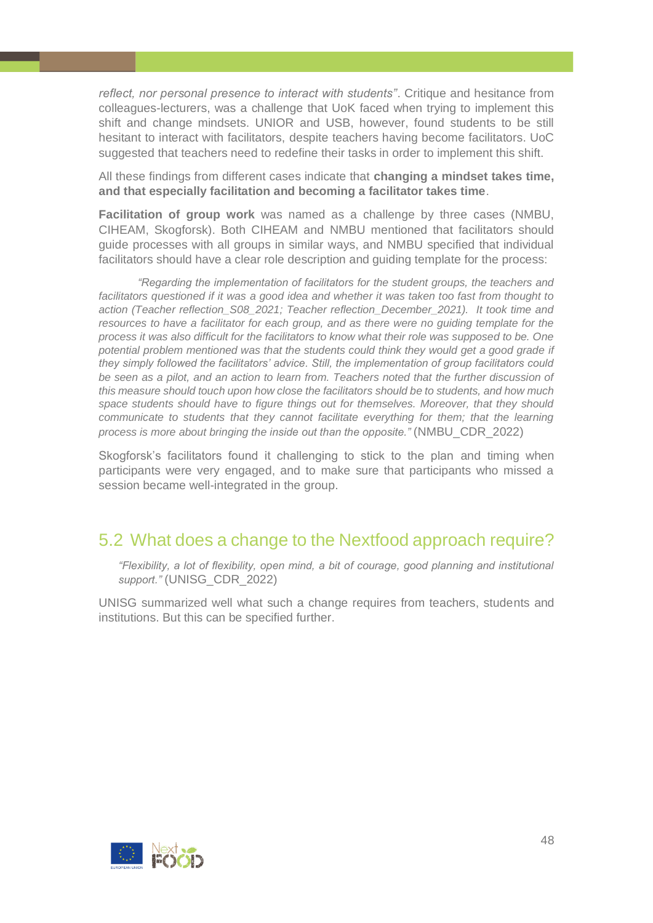*reflect, nor personal presence to interact with students"*. Critique and hesitance from colleagues-lecturers, was a challenge that UoK faced when trying to implement this shift and change mindsets. UNIOR and USB, however, found students to be still hesitant to interact with facilitators, despite teachers having become facilitators. UoC suggested that teachers need to redefine their tasks in order to implement this shift.

All these findings from different cases indicate that **changing a mindset takes time, and that especially facilitation and becoming a facilitator takes time**.

**Facilitation of group work** was named as a challenge by three cases (NMBU, CIHEAM, Skogforsk). Both CIHEAM and NMBU mentioned that facilitators should guide processes with all groups in similar ways, and NMBU specified that individual facilitators should have a clear role description and guiding template for the process:

*"Regarding the implementation of facilitators for the student groups, the teachers and facilitators questioned if it was a good idea and whether it was taken too fast from thought to action (Teacher reflection\_S08\_2021; Teacher reflection\_December\_2021). It took time and resources to have a facilitator for each group, and as there were no guiding template for the process it was also difficult for the facilitators to know what their role was supposed to be. One potential problem mentioned was that the students could think they would get a good grade if they simply followed the facilitators' advice. Still, the implementation of group facilitators could be seen as a pilot, and an action to learn from. Teachers noted that the further discussion of this measure should touch upon how close the facilitators should be to students, and how much space students should have to figure things out for themselves. Moreover, that they should communicate to students that they cannot facilitate everything for them; that the learning process is more about bringing the inside out than the opposite."* (NMBU\_CDR\_2022)

Skogforsk's facilitators found it challenging to stick to the plan and timing when participants were very engaged, and to make sure that participants who missed a session became well-integrated in the group.

# <span id="page-47-0"></span>5.2 What does a change to the Nextfood approach require?

*"Flexibility, a lot of flexibility, open mind, a bit of courage, good planning and institutional support."* (UNISG\_CDR\_2022)

UNISG summarized well what such a change requires from teachers, students and institutions. But this can be specified further.

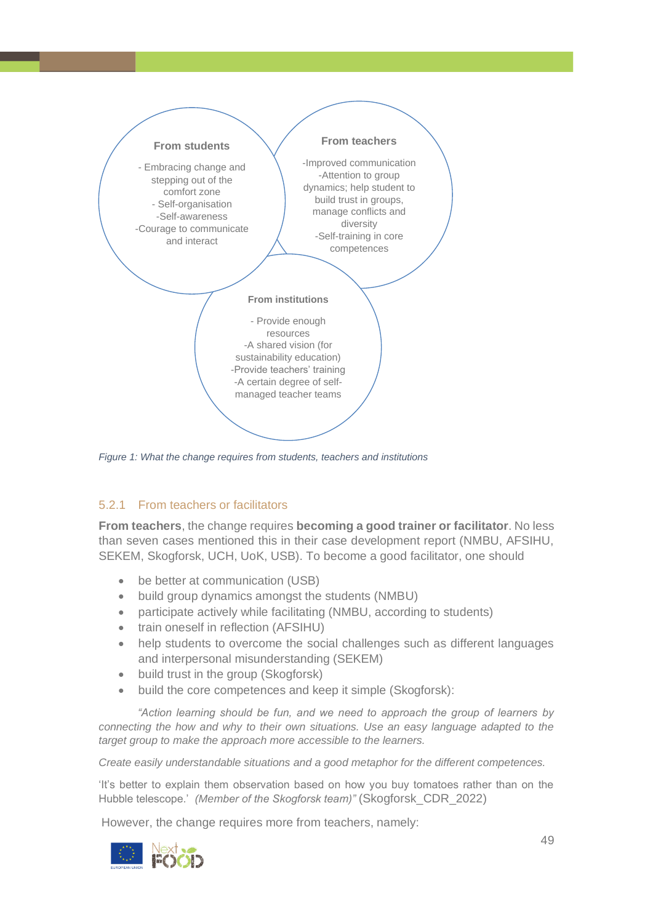

<span id="page-48-1"></span>*Figure 1: What the change requires from students, teachers and institutions*

# <span id="page-48-0"></span>5.2.1 From teachers or facilitators

**From teachers**, the change requires **becoming a good trainer or facilitator**. No less than seven cases mentioned this in their case development report (NMBU, AFSIHU, SEKEM, Skogforsk, UCH, UoK, USB). To become a good facilitator, one should

- be better at communication (USB)
- build group dynamics amongst the students (NMBU)
- participate actively while facilitating (NMBU, according to students)
- train oneself in reflection (AFSIHU)
- help students to overcome the social challenges such as different languages and interpersonal misunderstanding (SEKEM)
- build trust in the group (Skogforsk)
- build the core competences and keep it simple (Skogforsk):

*"Action learning should be fun, and we need to approach the group of learners by connecting the how and why to their own situations. Use an easy language adapted to the target group to make the approach more accessible to the learners.*

*Create easily understandable situations and a good metaphor for the different competences.* 

'It's better to explain them observation based on how you buy tomatoes rather than on the Hubble telescope.' *(Member of the Skogforsk team)"* (Skogforsk\_CDR\_2022)

However, the change requires more from teachers, namely:

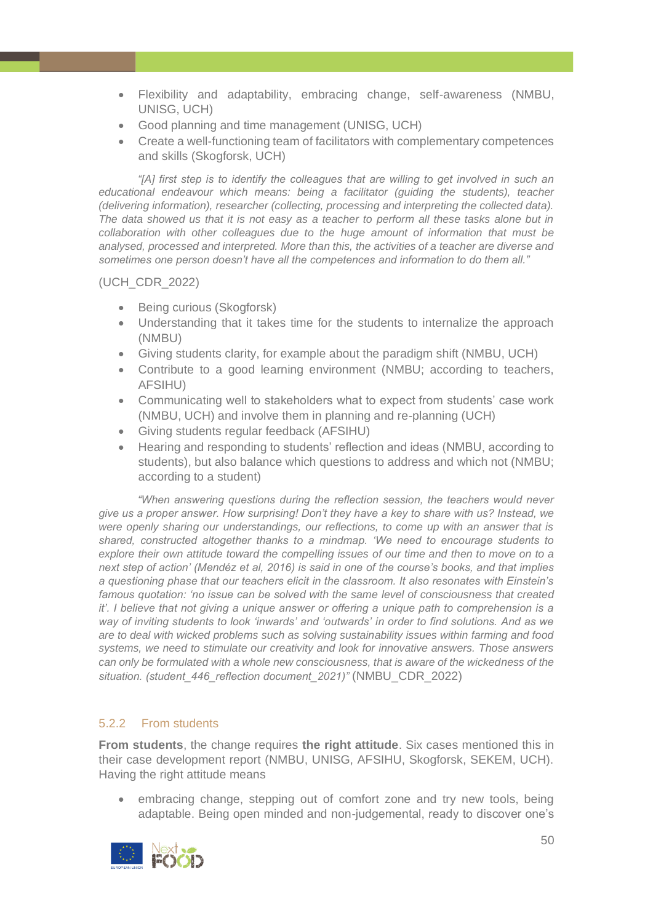- Flexibility and adaptability, embracing change, self-awareness (NMBU, UNISG, UCH)
- Good planning and time management (UNISG, UCH)
- Create a well-functioning team of facilitators with complementary competences and skills (Skogforsk, UCH)

*"[A] first step is to identify the colleagues that are willing to get involved in such an educational endeavour which means: being a facilitator (guiding the students), teacher (delivering information), researcher (collecting, processing and interpreting the collected data). The data showed us that it is not easy as a teacher to perform all these tasks alone but in collaboration with other colleagues due to the huge amount of information that must be analysed, processed and interpreted. More than this, the activities of a teacher are diverse and sometimes one person doesn't have all the competences and information to do them all."*

(UCH\_CDR\_2022)

- Being curious (Skogforsk)
- Understanding that it takes time for the students to internalize the approach (NMBU)
- Giving students clarity, for example about the paradigm shift (NMBU, UCH)
- Contribute to a good learning environment (NMBU; according to teachers, AFSIHU)
- Communicating well to stakeholders what to expect from students' case work (NMBU, UCH) and involve them in planning and re-planning (UCH)
- Giving students regular feedback (AFSIHU)
- Hearing and responding to students' reflection and ideas (NMBU, according to students), but also balance which questions to address and which not (NMBU; according to a student)

*"When answering questions during the reflection session, the teachers would never give us a proper answer. How surprising! Don't they have a key to share with us? Instead, we were openly sharing our understandings, our reflections, to come up with an answer that is shared, constructed altogether thanks to a mindmap. 'We need to encourage students to explore their own attitude toward the compelling issues of our time and then to move on to a next step of action' (Mendéz et al, 2016) is said in one of the course's books, and that implies a questioning phase that our teachers elicit in the classroom. It also resonates with Einstein's famous quotation: 'no issue can be solved with the same level of consciousness that created it'. I believe that not giving a unique answer or offering a unique path to comprehension is a way of inviting students to look 'inwards' and 'outwards' in order to find solutions. And as we are to deal with wicked problems such as solving sustainability issues within farming and food systems, we need to stimulate our creativity and look for innovative answers. Those answers can only be formulated with a whole new consciousness, that is aware of the wickedness of the situation. (student\_446\_reflection document\_2021)"* (NMBU\_CDR\_2022)

# <span id="page-49-0"></span>5.2.2 From students

**From students**, the change requires **the right attitude**. Six cases mentioned this in their case development report (NMBU, UNISG, AFSIHU, Skogforsk, SEKEM, UCH). Having the right attitude means

• embracing change, stepping out of comfort zone and try new tools, being adaptable. Being open minded and non-judgemental, ready to discover one's

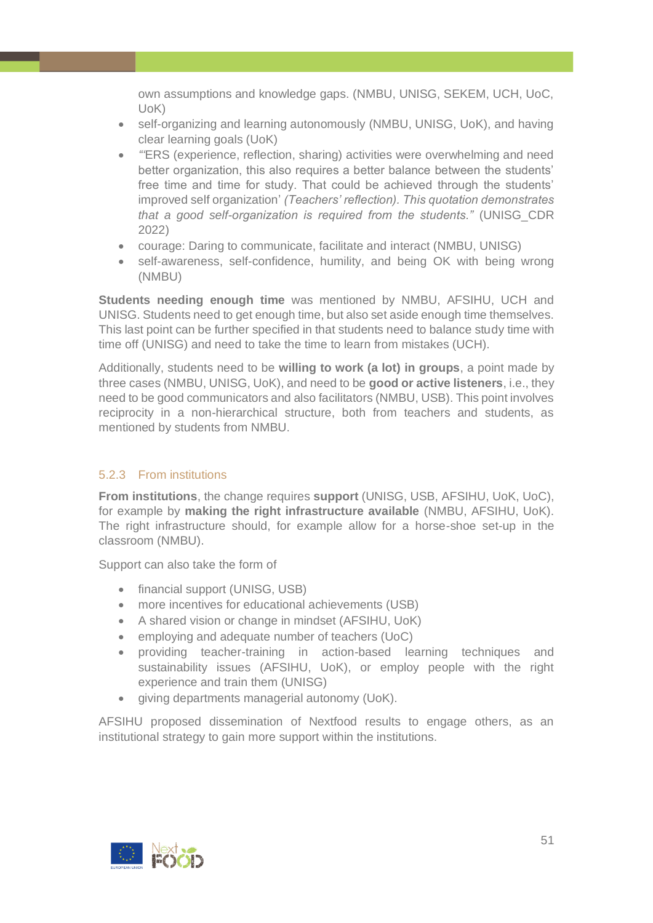own assumptions and knowledge gaps. (NMBU, UNISG, SEKEM, UCH, UoC, UoK)

- self-organizing and learning autonomously (NMBU, UNISG, UoK), and having clear learning goals (UoK)
- *"'*ERS (experience, reflection, sharing) activities were overwhelming and need better organization, this also requires a better balance between the students' free time and time for study. That could be achieved through the students' improved self organization' *(Teachers' reflection). This quotation demonstrates that a good self-organization is required from the students."* (UNISG\_CDR 2022)
- courage: Daring to communicate, facilitate and interact (NMBU, UNISG)
- self-awareness, self-confidence, humility, and being OK with being wrong (NMBU)

**Students needing enough time** was mentioned by NMBU, AFSIHU, UCH and UNISG. Students need to get enough time, but also set aside enough time themselves. This last point can be further specified in that students need to balance study time with time off (UNISG) and need to take the time to learn from mistakes (UCH).

Additionally, students need to be **willing to work (a lot) in groups**, a point made by three cases (NMBU, UNISG, UoK), and need to be **good or active listeners**, i.e., they need to be good communicators and also facilitators (NMBU, USB). This point involves reciprocity in a non-hierarchical structure, both from teachers and students, as mentioned by students from NMBU.

# <span id="page-50-0"></span>5.2.3 From institutions

**From institutions**, the change requires **support** (UNISG, USB, AFSIHU, UoK, UoC), for example by **making the right infrastructure available** (NMBU, AFSIHU, UoK). The right infrastructure should, for example allow for a horse-shoe set-up in the classroom (NMBU).

Support can also take the form of

- financial support (UNISG, USB)
- more incentives for educational achievements (USB)
- A shared vision or change in mindset (AFSIHU, UoK)
- employing and adequate number of teachers (UoC)
- providing teacher-training in action-based learning techniques and sustainability issues (AFSIHU, UoK), or employ people with the right experience and train them (UNISG)
- giving departments managerial autonomy (UoK).

AFSIHU proposed dissemination of Nextfood results to engage others, as an institutional strategy to gain more support within the institutions.

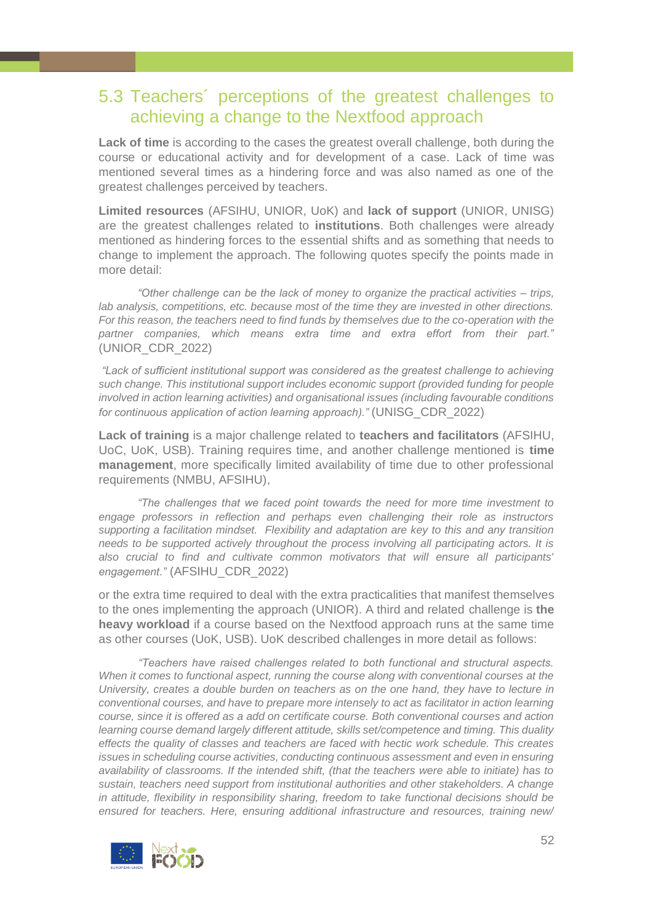# <span id="page-51-0"></span>5.3 Teachers´ perceptions of the greatest challenges to achieving a change to the Nextfood approach

**Lack of time** is according to the cases the greatest overall challenge, both during the course or educational activity and for development of a case. Lack of time was mentioned several times as a hindering force and was also named as one of the greatest challenges perceived by teachers.

**Limited resources** (AFSIHU, UNIOR, UoK) and **lack of support** (UNIOR, UNISG) are the greatest challenges related to **institutions**. Both challenges were already mentioned as hindering forces to the essential shifts and as something that needs to change to implement the approach. The following quotes specify the points made in more detail:

*"Other challenge can be the lack of money to organize the practical activities – trips, lab analysis, competitions, etc. because most of the time they are invested in other directions. For this reason, the teachers need to find funds by themselves due to the co-operation with the partner companies, which means extra time and extra effort from their part."* (UNIOR\_CDR\_2022)

*"Lack of sufficient institutional support was considered as the greatest challenge to achieving such change. This institutional support includes economic support (provided funding for people involved in action learning activities) and organisational issues (including favourable conditions for continuous application of action learning approach)."* (UNISG\_CDR\_2022)

**Lack of training** is a major challenge related to **teachers and facilitators** (AFSIHU, UoC, UoK, USB). Training requires time, and another challenge mentioned is **time management**, more specifically limited availability of time due to other professional requirements (NMBU, AFSIHU),

*"The challenges that we faced point towards the need for more time investment to engage professors in reflection and perhaps even challenging their role as instructors supporting a facilitation mindset. Flexibility and adaptation are key to this and any transition needs to be supported actively throughout the process involving all participating actors. It is also crucial to find and cultivate common motivators that will ensure all participants' engagement."* (AFSIHU\_CDR\_2022)

or the extra time required to deal with the extra practicalities that manifest themselves to the ones implementing the approach (UNIOR). A third and related challenge is **the heavy workload** if a course based on the Nextfood approach runs at the same time as other courses (UoK, USB). UoK described challenges in more detail as follows:

*"Teachers have raised challenges related to both functional and structural aspects. When it comes to functional aspect, running the course along with conventional courses at the University, creates a double burden on teachers as on the one hand, they have to lecture in conventional courses, and have to prepare more intensely to act as facilitator in action learning course, since it is offered as a add on certificate course. Both conventional courses and action learning course demand largely different attitude, skills set/competence and timing. This duality effects the quality of classes and teachers are faced with hectic work schedule. This creates issues in scheduling course activities, conducting continuous assessment and even in ensuring availability of classrooms. If the intended shift, (that the teachers were able to initiate) has to sustain, teachers need support from institutional authorities and other stakeholders. A change in attitude, flexibility in responsibility sharing, freedom to take functional decisions should be ensured for teachers. Here, ensuring additional infrastructure and resources, training new/* 

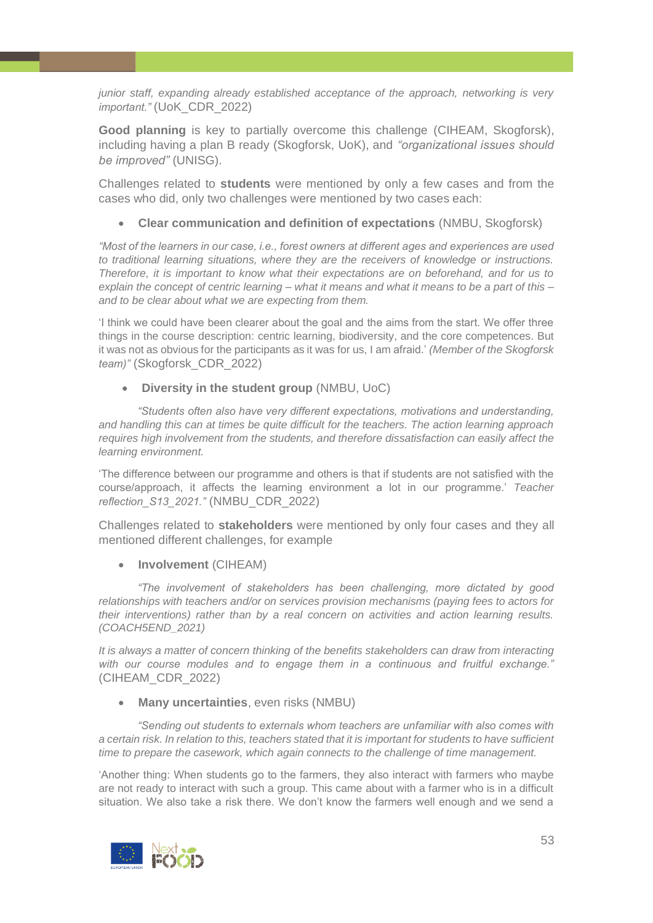*junior staff, expanding already established acceptance of the approach, networking is very important."* (UoK\_CDR\_2022)

**Good planning** is key to partially overcome this challenge (CIHEAM, Skogforsk), including having a plan B ready (Skogforsk, UoK), and *"organizational issues should be improved"* (UNISG).

Challenges related to **students** were mentioned by only a few cases and from the cases who did, only two challenges were mentioned by two cases each:

#### • **Clear communication and definition of expectations** (NMBU, Skogforsk)

*"Most of the learners in our case, i.e., forest owners at different ages and experiences are used to traditional learning situations, where they are the receivers of knowledge or instructions. Therefore, it is important to know what their expectations are on beforehand, and for us to explain the concept of centric learning – what it means and what it means to be a part of this – and to be clear about what we are expecting from them.* 

'I think we could have been clearer about the goal and the aims from the start. We offer three things in the course description: centric learning, biodiversity, and the core competences. But it was not as obvious for the participants as it was for us, I am afraid.' *(Member of the Skogforsk team)"* (Skogforsk\_CDR\_2022)

#### • **Diversity in the student group** (NMBU, UoC)

*"Students often also have very different expectations, motivations and understanding, and handling this can at times be quite difficult for the teachers. The action learning approach requires high involvement from the students, and therefore dissatisfaction can easily affect the learning environment.* 

'The difference between our programme and others is that if students are not satisfied with the course/approach, it affects the learning environment a lot in our programme.' *Teacher reflection\_S13\_2021."* (NMBU\_CDR\_2022)

Challenges related to **stakeholders** were mentioned by only four cases and they all mentioned different challenges, for example

#### • **Involvement** (CIHEAM)

*"The involvement of stakeholders has been challenging, more dictated by good relationships with teachers and/or on services provision mechanisms (paying fees to actors for their interventions) rather than by a real concern on activities and action learning results. (COACH5END\_2021)* 

*It is always a matter of concern thinking of the benefits stakeholders can draw from interacting with our course modules and to engage them in a continuous and fruitful exchange."*  (CIHEAM\_CDR\_2022)

#### • **Many uncertainties**, even risks (NMBU)

*"Sending out students to externals whom teachers are unfamiliar with also comes with a certain risk. In relation to this, teachers stated that it is important for students to have sufficient time to prepare the casework, which again connects to the challenge of time management.* 

'Another thing: When students go to the farmers, they also interact with farmers who maybe are not ready to interact with such a group. This came about with a farmer who is in a difficult situation. We also take a risk there. We don't know the farmers well enough and we send a

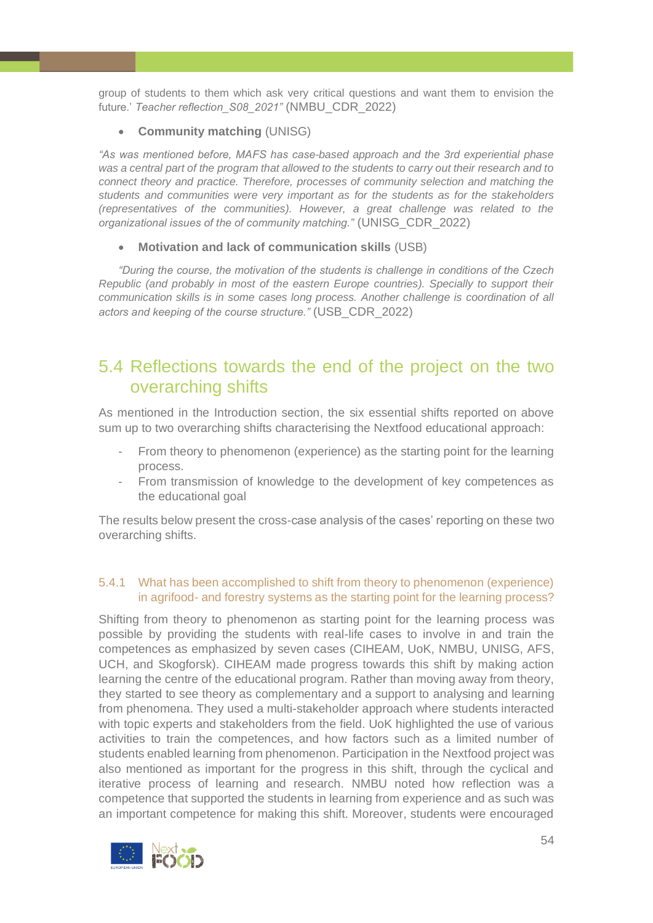group of students to them which ask very critical questions and want them to envision the future.' *Teacher reflection\_S08\_2021"* (NMBU\_CDR\_2022)

#### • **Community matching** (UNISG)

*"As was mentioned before, MAFS has case-based approach and the 3rd experiential phase was a central part of the program that allowed to the students to carry out their research and to connect theory and practice. Therefore, processes of community selection and matching the students and communities were very important as for the students as for the stakeholders (representatives of the communities). However, a great challenge was related to the organizational issues of the of community matching."* (UNISG\_CDR\_2022)

• **Motivation and lack of communication skills** (USB)

*"During the course, the motivation of the students is challenge in conditions of the Czech Republic (and probably in most of the eastern Europe countries). Specially to support their communication skills is in some cases long process. Another challenge is coordination of all actors and keeping of the course structure."* (USB\_CDR\_2022)

# <span id="page-53-0"></span>5.4 Reflections towards the end of the project on the two overarching shifts

As mentioned in the Introduction section, the six essential shifts reported on above sum up to two overarching shifts characterising the Nextfood educational approach:

- From theory to phenomenon (experience) as the starting point for the learning process.
- From transmission of knowledge to the development of key competences as the educational goal

The results below present the cross-case analysis of the cases' reporting on these two overarching shifts.

# <span id="page-53-1"></span>5.4.1 What has been accomplished to shift from theory to phenomenon (experience) in agrifood- and forestry systems as the starting point for the learning process?

Shifting from theory to phenomenon as starting point for the learning process was possible by providing the students with real-life cases to involve in and train the competences as emphasized by seven cases (CIHEAM, UoK, NMBU, UNISG, AFS, UCH, and Skogforsk). CIHEAM made progress towards this shift by making action learning the centre of the educational program. Rather than moving away from theory, they started to see theory as complementary and a support to analysing and learning from phenomena. They used a multi-stakeholder approach where students interacted with topic experts and stakeholders from the field. UoK highlighted the use of various activities to train the competences, and how factors such as a limited number of students enabled learning from phenomenon. Participation in the Nextfood project was also mentioned as important for the progress in this shift, through the cyclical and iterative process of learning and research. NMBU noted how reflection was a competence that supported the students in learning from experience and as such was an important competence for making this shift. Moreover, students were encouraged

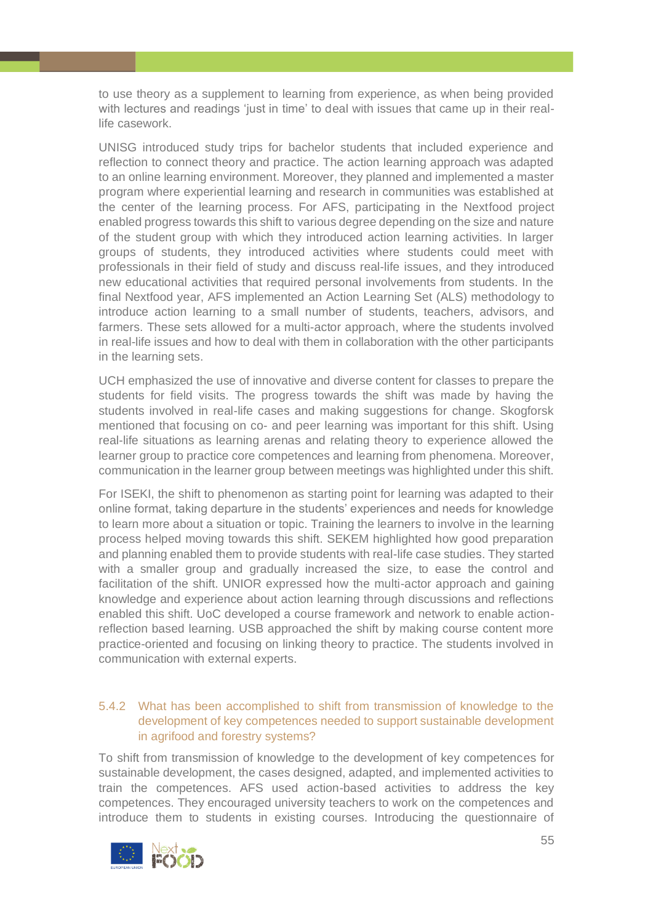to use theory as a supplement to learning from experience, as when being provided with lectures and readings 'just in time' to deal with issues that came up in their reallife casework.

UNISG introduced study trips for bachelor students that included experience and reflection to connect theory and practice. The action learning approach was adapted to an online learning environment. Moreover, they planned and implemented a master program where experiential learning and research in communities was established at the center of the learning process. For AFS, participating in the Nextfood project enabled progress towards this shift to various degree depending on the size and nature of the student group with which they introduced action learning activities. In larger groups of students, they introduced activities where students could meet with professionals in their field of study and discuss real-life issues, and they introduced new educational activities that required personal involvements from students. In the final Nextfood year, AFS implemented an Action Learning Set (ALS) methodology to introduce action learning to a small number of students, teachers, advisors, and farmers. These sets allowed for a multi-actor approach, where the students involved in real-life issues and how to deal with them in collaboration with the other participants in the learning sets.

UCH emphasized the use of innovative and diverse content for classes to prepare the students for field visits. The progress towards the shift was made by having the students involved in real-life cases and making suggestions for change. Skogforsk mentioned that focusing on co- and peer learning was important for this shift. Using real-life situations as learning arenas and relating theory to experience allowed the learner group to practice core competences and learning from phenomena. Moreover, communication in the learner group between meetings was highlighted under this shift.

For ISEKI, the shift to phenomenon as starting point for learning was adapted to their online format, taking departure in the students' experiences and needs for knowledge to learn more about a situation or topic. Training the learners to involve in the learning process helped moving towards this shift. SEKEM highlighted how good preparation and planning enabled them to provide students with real-life case studies. They started with a smaller group and gradually increased the size, to ease the control and facilitation of the shift. UNIOR expressed how the multi-actor approach and gaining knowledge and experience about action learning through discussions and reflections enabled this shift. UoC developed a course framework and network to enable actionreflection based learning. USB approached the shift by making course content more practice-oriented and focusing on linking theory to practice. The students involved in communication with external experts.

### <span id="page-54-0"></span>5.4.2 What has been accomplished to shift from transmission of knowledge to the development of key competences needed to support sustainable development in agrifood and forestry systems?

To shift from transmission of knowledge to the development of key competences for sustainable development, the cases designed, adapted, and implemented activities to train the competences. AFS used action-based activities to address the key competences. They encouraged university teachers to work on the competences and introduce them to students in existing courses. Introducing the questionnaire of

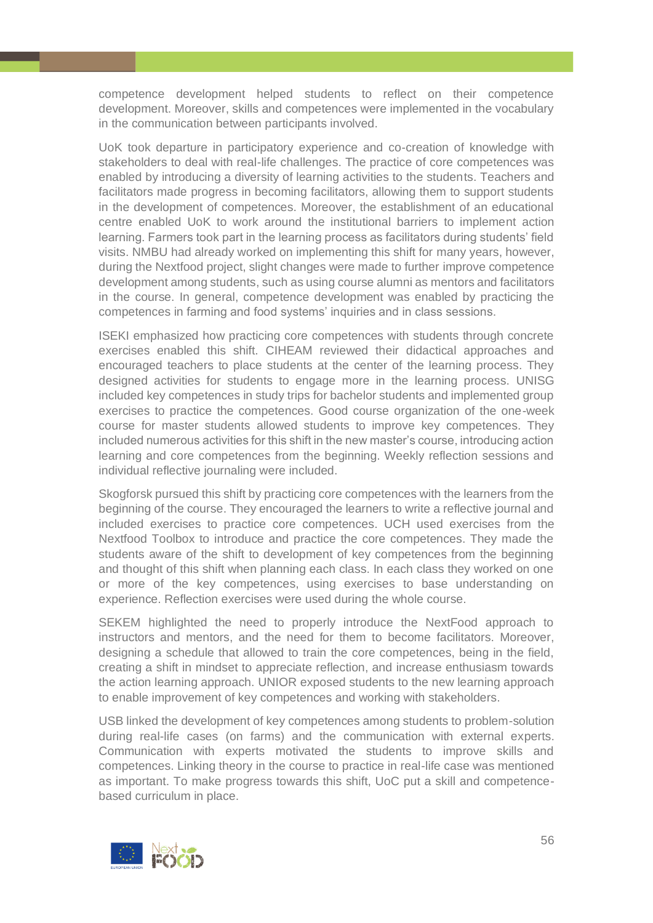competence development helped students to reflect on their competence development. Moreover, skills and competences were implemented in the vocabulary in the communication between participants involved.

UoK took departure in participatory experience and co-creation of knowledge with stakeholders to deal with real-life challenges. The practice of core competences was enabled by introducing a diversity of learning activities to the students. Teachers and facilitators made progress in becoming facilitators, allowing them to support students in the development of competences. Moreover, the establishment of an educational centre enabled UoK to work around the institutional barriers to implement action learning. Farmers took part in the learning process as facilitators during students' field visits. NMBU had already worked on implementing this shift for many years, however, during the Nextfood project, slight changes were made to further improve competence development among students, such as using course alumni as mentors and facilitators in the course. In general, competence development was enabled by practicing the competences in farming and food systems' inquiries and in class sessions.

ISEKI emphasized how practicing core competences with students through concrete exercises enabled this shift. CIHEAM reviewed their didactical approaches and encouraged teachers to place students at the center of the learning process. They designed activities for students to engage more in the learning process. UNISG included key competences in study trips for bachelor students and implemented group exercises to practice the competences. Good course organization of the one-week course for master students allowed students to improve key competences. They included numerous activities for this shift in the new master's course, introducing action learning and core competences from the beginning. Weekly reflection sessions and individual reflective journaling were included.

Skogforsk pursued this shift by practicing core competences with the learners from the beginning of the course. They encouraged the learners to write a reflective journal and included exercises to practice core competences. UCH used exercises from the Nextfood Toolbox to introduce and practice the core competences. They made the students aware of the shift to development of key competences from the beginning and thought of this shift when planning each class. In each class they worked on one or more of the key competences, using exercises to base understanding on experience. Reflection exercises were used during the whole course.

SEKEM highlighted the need to properly introduce the NextFood approach to instructors and mentors, and the need for them to become facilitators. Moreover, designing a schedule that allowed to train the core competences, being in the field, creating a shift in mindset to appreciate reflection, and increase enthusiasm towards the action learning approach. UNIOR exposed students to the new learning approach to enable improvement of key competences and working with stakeholders.

USB linked the development of key competences among students to problem-solution during real-life cases (on farms) and the communication with external experts. Communication with experts motivated the students to improve skills and competences. Linking theory in the course to practice in real-life case was mentioned as important. To make progress towards this shift, UoC put a skill and competencebased curriculum in place.

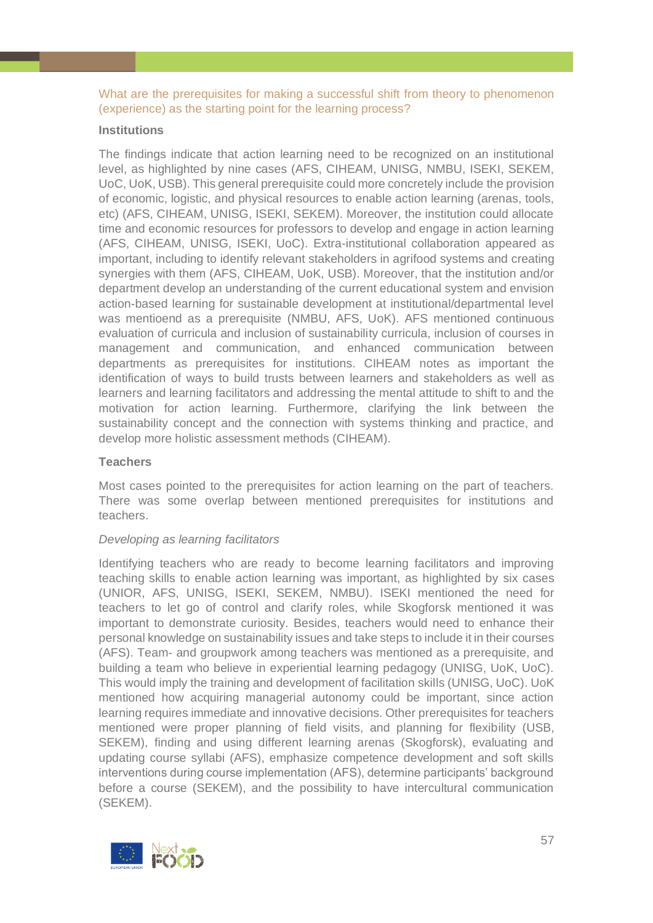<span id="page-56-0"></span>What are the prerequisites for making a successful shift from theory to phenomenon (experience) as the starting point for the learning process?

#### **Institutions**

The findings indicate that action learning need to be recognized on an institutional level, as highlighted by nine cases (AFS, CIHEAM, UNISG, NMBU, ISEKI, SEKEM, UoC, UoK, USB). This general prerequisite could more concretely include the provision of economic, logistic, and physical resources to enable action learning (arenas, tools, etc) (AFS, CIHEAM, UNISG, ISEKI, SEKEM). Moreover, the institution could allocate time and economic resources for professors to develop and engage in action learning (AFS, CIHEAM, UNISG, ISEKI, UoC). Extra-institutional collaboration appeared as important, including to identify relevant stakeholders in agrifood systems and creating synergies with them (AFS, CIHEAM, UoK, USB). Moreover, that the institution and/or department develop an understanding of the current educational system and envision action-based learning for sustainable development at institutional/departmental level was mentioend as a prerequisite (NMBU, AFS, UoK). AFS mentioned continuous evaluation of curricula and inclusion of sustainability curricula, inclusion of courses in management and communication, and enhanced communication between departments as prerequisites for institutions. CIHEAM notes as important the identification of ways to build trusts between learners and stakeholders as well as learners and learning facilitators and addressing the mental attitude to shift to and the motivation for action learning. Furthermore, clarifying the link between the sustainability concept and the connection with systems thinking and practice, and develop more holistic assessment methods (CIHEAM).

#### **Teachers**

Most cases pointed to the prerequisites for action learning on the part of teachers. There was some overlap between mentioned prerequisites for institutions and teachers.

#### *Developing as learning facilitators*

Identifying teachers who are ready to become learning facilitators and improving teaching skills to enable action learning was important, as highlighted by six cases (UNIOR, AFS, UNISG, ISEKI, SEKEM, NMBU). ISEKI mentioned the need for teachers to let go of control and clarify roles, while Skogforsk mentioned it was important to demonstrate curiosity. Besides, teachers would need to enhance their personal knowledge on sustainability issues and take steps to include it in their courses (AFS). Team- and groupwork among teachers was mentioned as a prerequisite, and building a team who believe in experiential learning pedagogy (UNISG, UoK, UoC). This would imply the training and development of facilitation skills (UNISG, UoC). UoK mentioned how acquiring managerial autonomy could be important, since action learning requires immediate and innovative decisions. Other prerequisites for teachers mentioned were proper planning of field visits, and planning for flexibility (USB, SEKEM), finding and using different learning arenas (Skogforsk), evaluating and updating course syllabi (AFS), emphasize competence development and soft skills interventions during course implementation (AFS), determine participants' background before a course (SEKEM), and the possibility to have intercultural communication (SEKEM).

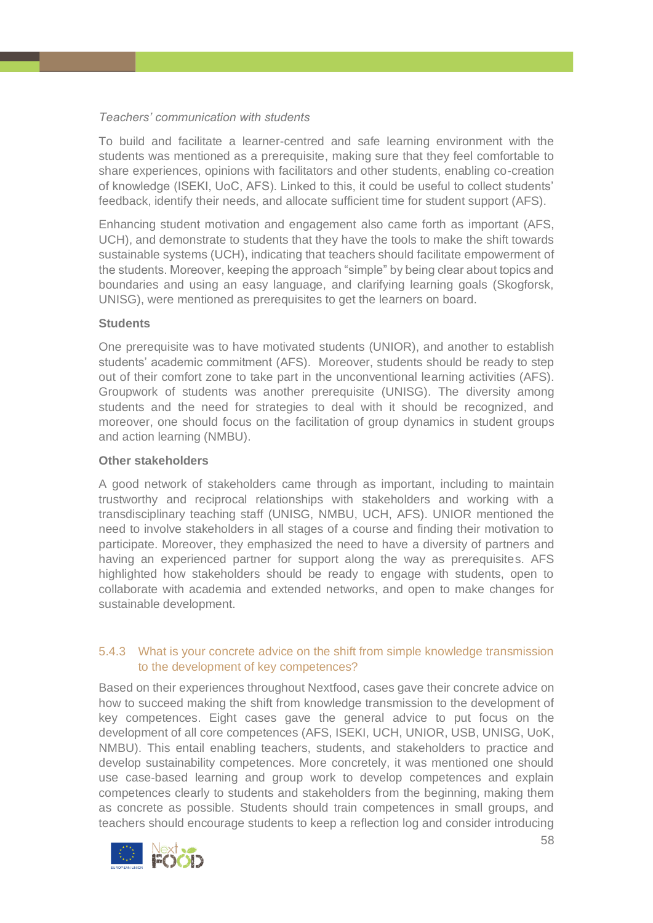# *Teachers' communication with students*

To build and facilitate a learner-centred and safe learning environment with the students was mentioned as a prerequisite, making sure that they feel comfortable to share experiences, opinions with facilitators and other students, enabling co-creation of knowledge (ISEKI, UoC, AFS). Linked to this, it could be useful to collect students' feedback, identify their needs, and allocate sufficient time for student support (AFS).

Enhancing student motivation and engagement also came forth as important (AFS, UCH), and demonstrate to students that they have the tools to make the shift towards sustainable systems (UCH), indicating that teachers should facilitate empowerment of the students. Moreover, keeping the approach "simple" by being clear about topics and boundaries and using an easy language, and clarifying learning goals (Skogforsk, UNISG), were mentioned as prerequisites to get the learners on board.

# **Students**

One prerequisite was to have motivated students (UNIOR), and another to establish students' academic commitment (AFS). Moreover, students should be ready to step out of their comfort zone to take part in the unconventional learning activities (AFS). Groupwork of students was another prerequisite (UNISG). The diversity among students and the need for strategies to deal with it should be recognized, and moreover, one should focus on the facilitation of group dynamics in student groups and action learning (NMBU).

# **Other stakeholders**

A good network of stakeholders came through as important, including to maintain trustworthy and reciprocal relationships with stakeholders and working with a transdisciplinary teaching staff (UNISG, NMBU, UCH, AFS). UNIOR mentioned the need to involve stakeholders in all stages of a course and finding their motivation to participate. Moreover, they emphasized the need to have a diversity of partners and having an experienced partner for support along the way as prerequisites. AFS highlighted how stakeholders should be ready to engage with students, open to collaborate with academia and extended networks, and open to make changes for sustainable development.

# <span id="page-57-0"></span>5.4.3 What is your concrete advice on the shift from simple knowledge transmission to the development of key competences?

Based on their experiences throughout Nextfood, cases gave their concrete advice on how to succeed making the shift from knowledge transmission to the development of key competences. Eight cases gave the general advice to put focus on the development of all core competences (AFS, ISEKI, UCH, UNIOR, USB, UNISG, UoK, NMBU). This entail enabling teachers, students, and stakeholders to practice and develop sustainability competences. More concretely, it was mentioned one should use case-based learning and group work to develop competences and explain competences clearly to students and stakeholders from the beginning, making them as concrete as possible. Students should train competences in small groups, and teachers should encourage students to keep a reflection log and consider introducing

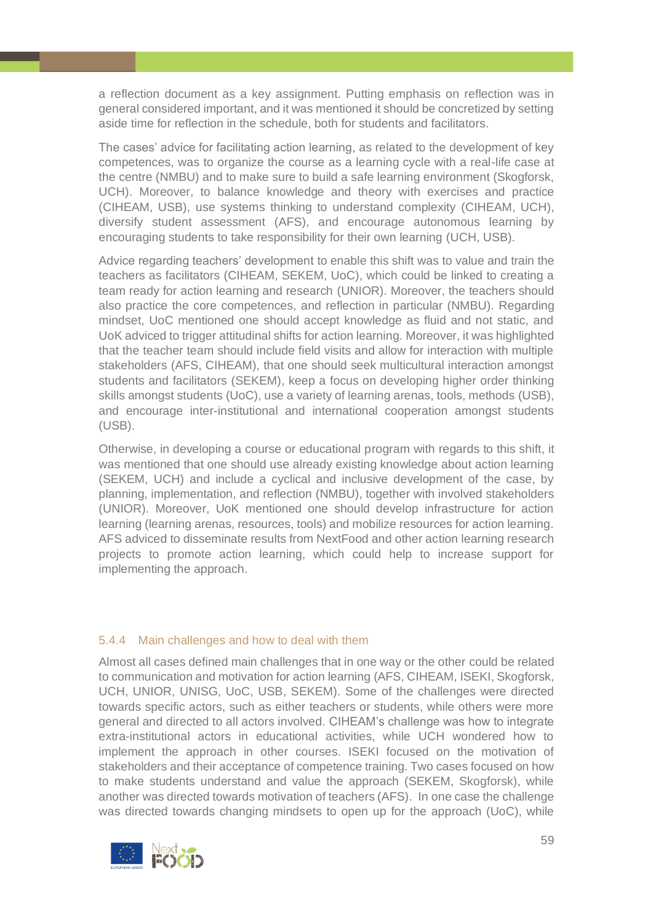a reflection document as a key assignment. Putting emphasis on reflection was in general considered important, and it was mentioned it should be concretized by setting aside time for reflection in the schedule, both for students and facilitators.

The cases' advice for facilitating action learning, as related to the development of key competences, was to organize the course as a learning cycle with a real-life case at the centre (NMBU) and to make sure to build a safe learning environment (Skogforsk, UCH). Moreover, to balance knowledge and theory with exercises and practice (CIHEAM, USB), use systems thinking to understand complexity (CIHEAM, UCH), diversify student assessment (AFS), and encourage autonomous learning by encouraging students to take responsibility for their own learning (UCH, USB).

Advice regarding teachers' development to enable this shift was to value and train the teachers as facilitators (CIHEAM, SEKEM, UoC), which could be linked to creating a team ready for action learning and research (UNIOR). Moreover, the teachers should also practice the core competences, and reflection in particular (NMBU). Regarding mindset, UoC mentioned one should accept knowledge as fluid and not static, and UoK adviced to trigger attitudinal shifts for action learning. Moreover, it was highlighted that the teacher team should include field visits and allow for interaction with multiple stakeholders (AFS, CIHEAM), that one should seek multicultural interaction amongst students and facilitators (SEKEM), keep a focus on developing higher order thinking skills amongst students (UoC), use a variety of learning arenas, tools, methods (USB), and encourage inter-institutional and international cooperation amongst students (USB).

Otherwise, in developing a course or educational program with regards to this shift, it was mentioned that one should use already existing knowledge about action learning (SEKEM, UCH) and include a cyclical and inclusive development of the case, by planning, implementation, and reflection (NMBU), together with involved stakeholders (UNIOR). Moreover, UoK mentioned one should develop infrastructure for action learning (learning arenas, resources, tools) and mobilize resources for action learning*.* AFS adviced to disseminate results from NextFood and other action learning research projects to promote action learning, which could help to increase support for implementing the approach.

#### <span id="page-58-0"></span>5.4.4 Main challenges and how to deal with them

Almost all cases defined main challenges that in one way or the other could be related to communication and motivation for action learning (AFS, CIHEAM, ISEKI, Skogforsk, UCH, UNIOR, UNISG, UoC, USB, SEKEM). Some of the challenges were directed towards specific actors, such as either teachers or students, while others were more general and directed to all actors involved. CIHEAM's challenge was how to integrate extra-institutional actors in educational activities, while UCH wondered how to implement the approach in other courses. ISEKI focused on the motivation of stakeholders and their acceptance of competence training. Two cases focused on how to make students understand and value the approach (SEKEM, Skogforsk), while another was directed towards motivation of teachers (AFS). In one case the challenge was directed towards changing mindsets to open up for the approach (UoC), while

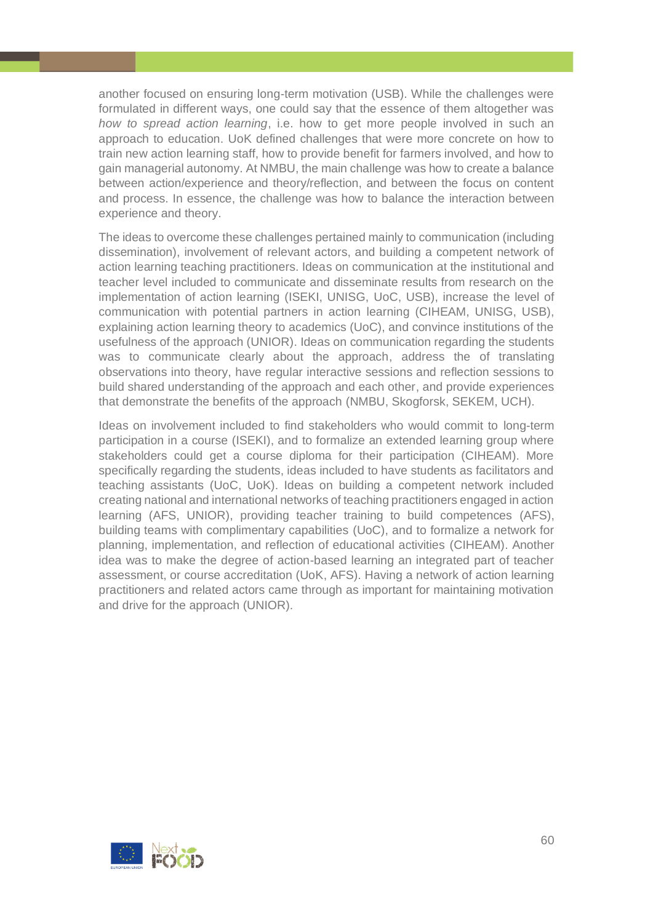another focused on ensuring long-term motivation (USB). While the challenges were formulated in different ways, one could say that the essence of them altogether was *how to spread action learning*, i.e. how to get more people involved in such an approach to education. UoK defined challenges that were more concrete on how to train new action learning staff, how to provide benefit for farmers involved, and how to gain managerial autonomy. At NMBU, the main challenge was how to create a balance between action/experience and theory/reflection, and between the focus on content and process. In essence, the challenge was how to balance the interaction between experience and theory.

The ideas to overcome these challenges pertained mainly to communication (including dissemination), involvement of relevant actors, and building a competent network of action learning teaching practitioners. Ideas on communication at the institutional and teacher level included to communicate and disseminate results from research on the implementation of action learning (ISEKI, UNISG, UoC, USB), increase the level of communication with potential partners in action learning (CIHEAM, UNISG, USB), explaining action learning theory to academics (UoC), and convince institutions of the usefulness of the approach (UNIOR). Ideas on communication regarding the students was to communicate clearly about the approach, address the of translating observations into theory, have regular interactive sessions and reflection sessions to build shared understanding of the approach and each other, and provide experiences that demonstrate the benefits of the approach (NMBU, Skogforsk, SEKEM, UCH).

Ideas on involvement included to find stakeholders who would commit to long-term participation in a course (ISEKI), and to formalize an extended learning group where stakeholders could get a course diploma for their participation (CIHEAM). More specifically regarding the students, ideas included to have students as facilitators and teaching assistants (UoC, UoK). Ideas on building a competent network included creating national and international networks of teaching practitioners engaged in action learning (AFS, UNIOR), providing teacher training to build competences (AFS), building teams with complimentary capabilities (UoC), and to formalize a network for planning, implementation, and reflection of educational activities (CIHEAM). Another idea was to make the degree of action-based learning an integrated part of teacher assessment, or course accreditation (UoK, AFS). Having a network of action learning practitioners and related actors came through as important for maintaining motivation and drive for the approach (UNIOR).

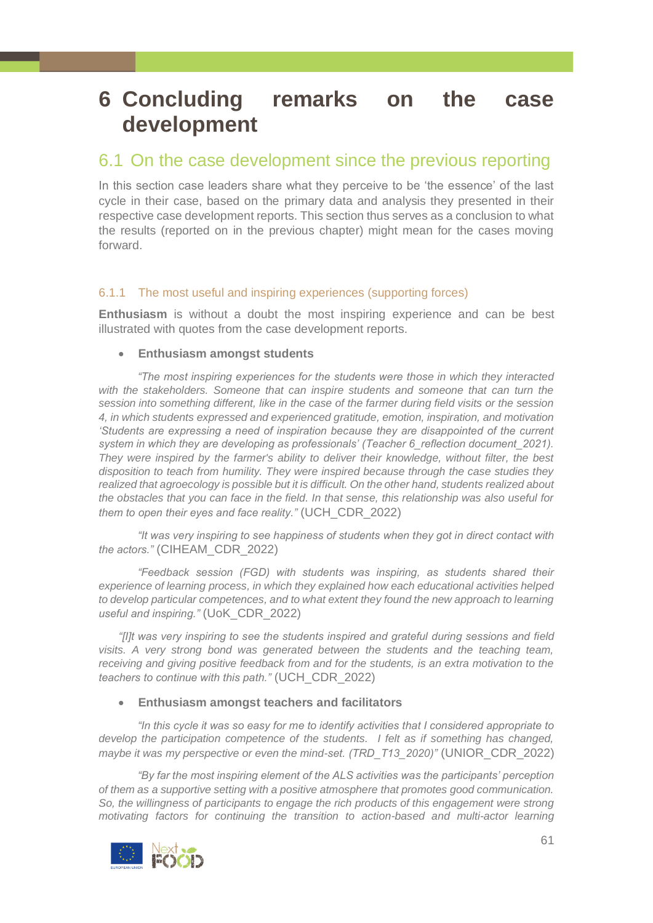# <span id="page-60-0"></span>**6 Concluding remarks on the case development**

# <span id="page-60-1"></span>6.1 On the case development since the previous reporting

In this section case leaders share what they perceive to be 'the essence' of the last cycle in their case, based on the primary data and analysis they presented in their respective case development reports. This section thus serves as a conclusion to what the results (reported on in the previous chapter) might mean for the cases moving forward.

# <span id="page-60-2"></span>6.1.1 The most useful and inspiring experiences (supporting forces)

**Enthusiasm** is without a doubt the most inspiring experience and can be best illustrated with quotes from the case development reports.

# • **Enthusiasm amongst students**

*"The most inspiring experiences for the students were those in which they interacted with the stakeholders. Someone that can inspire students and someone that can turn the session into something different, like in the case of the farmer during field visits or the session 4, in which students expressed and experienced gratitude, emotion, inspiration, and motivation 'Students are expressing a need of inspiration because they are disappointed of the current system in which they are developing as professionals' (Teacher 6\_reflection document\_2021). They were inspired by the farmer's ability to deliver their knowledge, without filter, the best disposition to teach from humility. They were inspired because through the case studies they realized that agroecology is possible but it is difficult. On the other hand, students realized about the obstacles that you can face in the field. In that sense, this relationship was also useful for them to open their eyes and face reality."* (UCH\_CDR\_2022)

*"It was very inspiring to see happiness of students when they got in direct contact with the actors."* (CIHEAM\_CDR\_2022)

*"Feedback session (FGD) with students was inspiring, as students shared their experience of learning process, in which they explained how each educational activities helped to develop particular competences, and to what extent they found the new approach to learning useful and inspiring."* (UoK\_CDR\_2022)

*"[I]t was very inspiring to see the students inspired and grateful during sessions and field visits. A very strong bond was generated between the students and the teaching team, receiving and giving positive feedback from and for the students, is an extra motivation to the teachers to continue with this path."* (UCH\_CDR\_2022)

#### • **Enthusiasm amongst teachers and facilitators**

*"In this cycle it was so easy for me to identify activities that I considered appropriate to develop the participation competence of the students. I felt as if something has changed, maybe it was my perspective or even the mind-set. (TRD\_T13\_2020)"* (UNIOR\_CDR\_2022)

*"By far the most inspiring element of the ALS activities was the participants' perception of them as a supportive setting with a positive atmosphere that promotes good communication. So, the willingness of participants to engage the rich products of this engagement were strong motivating factors for continuing the transition to action-based and multi-actor learning* 

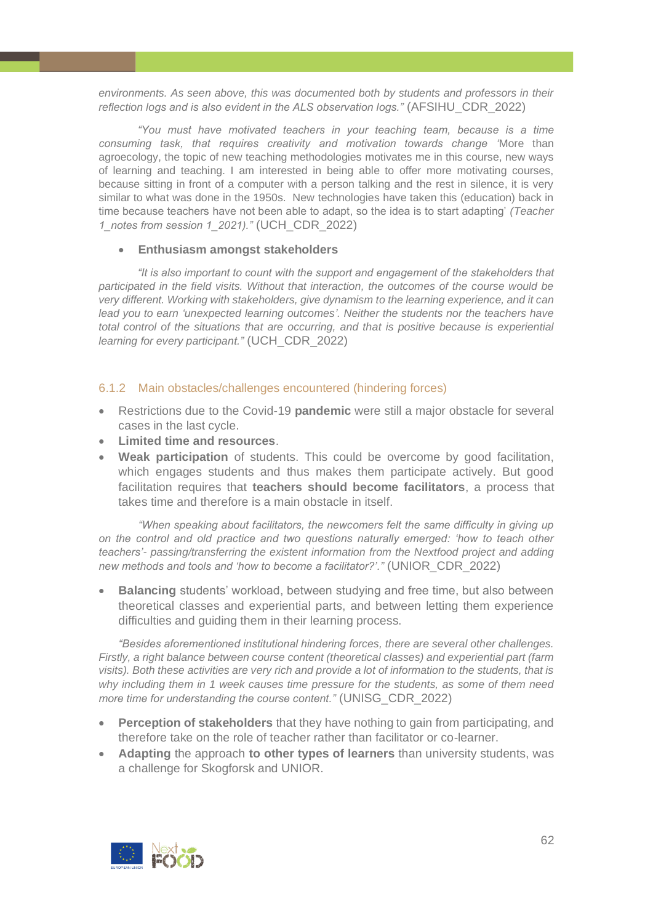*environments. As seen above, this was documented both by students and professors in their reflection logs and is also evident in the ALS observation logs."* (AFSIHU\_CDR\_2022)

*"You must have motivated teachers in your teaching team, because is a time consuming task, that requires creativity and motivation towards change '*More than agroecology, the topic of new teaching methodologies motivates me in this course, new ways of learning and teaching. I am interested in being able to offer more motivating courses, because sitting in front of a computer with a person talking and the rest in silence, it is very similar to what was done in the 1950s. New technologies have taken this (education) back in time because teachers have not been able to adapt, so the idea is to start adapting' *(Teacher 1\_notes from session 1\_2021)."* (UCH\_CDR\_2022)

#### • **Enthusiasm amongst stakeholders**

*"It is also important to count with the support and engagement of the stakeholders that participated in the field visits. Without that interaction, the outcomes of the course would be very different. Working with stakeholders, give dynamism to the learning experience, and it can*  lead you to earn 'unexpected learning outcomes'. Neither the students nor the teachers have *total control of the situations that are occurring, and that is positive because is experiential learning for every participant."* (UCH\_CDR\_2022)

#### <span id="page-61-0"></span>6.1.2 Main obstacles/challenges encountered (hindering forces)

- Restrictions due to the Covid-19 **pandemic** were still a major obstacle for several cases in the last cycle.
- **Limited time and resources**.
- **Weak participation** of students. This could be overcome by good facilitation, which engages students and thus makes them participate actively. But good facilitation requires that **teachers should become facilitators**, a process that takes time and therefore is a main obstacle in itself.

*"When speaking about facilitators, the newcomers felt the same difficulty in giving up on the control and old practice and two questions naturally emerged: 'how to teach other teachers'- passing/transferring the existent information from the Nextfood project and adding new methods and tools and 'how to become a facilitator?'."* (UNIOR\_CDR\_2022)

• **Balancing** students' workload, between studying and free time, but also between theoretical classes and experiential parts, and between letting them experience difficulties and guiding them in their learning process.

*"Besides aforementioned institutional hindering forces, there are several other challenges. Firstly, a right balance between course content (theoretical classes) and experiential part (farm visits). Both these activities are very rich and provide a lot of information to the students, that is why including them in 1 week causes time pressure for the students, as some of them need more time for understanding the course content."* (UNISG\_CDR\_2022)

- **Perception of stakeholders** that they have nothing to gain from participating, and therefore take on the role of teacher rather than facilitator or co-learner.
- **Adapting** the approach **to other types of learners** than university students, was a challenge for Skogforsk and UNIOR.

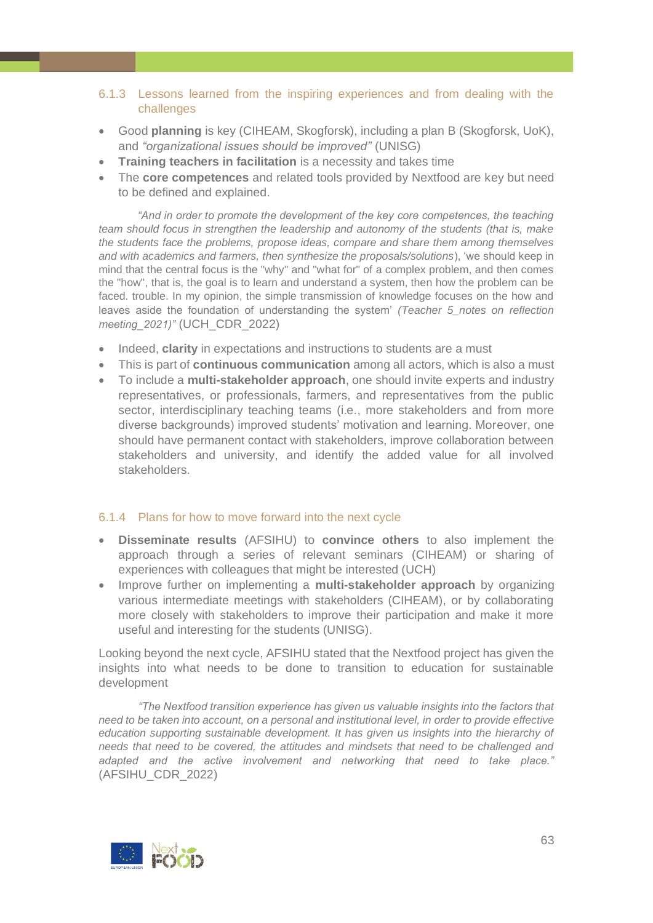# <span id="page-62-0"></span>6.1.3 Lessons learned from the inspiring experiences and from dealing with the challenges

- Good **planning** is key (CIHEAM, Skogforsk), including a plan B (Skogforsk, UoK), and *"organizational issues should be improved"* (UNISG)
- **Training teachers in facilitation** is a necessity and takes time
- The **core competences** and related tools provided by Nextfood are key but need to be defined and explained.

*"And in order to promote the development of the key core competences, the teaching team should focus in strengthen the leadership and autonomy of the students (that is, make the students face the problems, propose ideas, compare and share them among themselves and with academics and farmers, then synthesize the proposals/solutions*), 'we should keep in mind that the central focus is the "why" and "what for" of a complex problem, and then comes the "how", that is, the goal is to learn and understand a system, then how the problem can be faced. trouble. In my opinion, the simple transmission of knowledge focuses on the how and leaves aside the foundation of understanding the system' *(Teacher 5\_notes on reflection meeting\_2021)"* (UCH\_CDR\_2022)

- Indeed, **clarity** in expectations and instructions to students are a must
- This is part of **continuous communication** among all actors, which is also a must
- To include a **multi-stakeholder approach**, one should invite experts and industry representatives, or professionals, farmers, and representatives from the public sector, interdisciplinary teaching teams (i.e., more stakeholders and from more diverse backgrounds) improved students' motivation and learning. Moreover, one should have permanent contact with stakeholders, improve collaboration between stakeholders and university, and identify the added value for all involved stakeholders.

# <span id="page-62-1"></span>6.1.4 Plans for how to move forward into the next cycle

- **Disseminate results** (AFSIHU) to **convince others** to also implement the approach through a series of relevant seminars (CIHEAM) or sharing of experiences with colleagues that might be interested (UCH)
- Improve further on implementing a **multi-stakeholder approach** by organizing various intermediate meetings with stakeholders (CIHEAM), or by collaborating more closely with stakeholders to improve their participation and make it more useful and interesting for the students (UNISG).

Looking beyond the next cycle, AFSIHU stated that the Nextfood project has given the insights into what needs to be done to transition to education for sustainable development

*"The Nextfood transition experience has given us valuable insights into the factors that need to be taken into account, on a personal and institutional level, in order to provide effective*  education supporting sustainable development. It has given us insights into the hierarchy of *needs that need to be covered, the attitudes and mindsets that need to be challenged and adapted and the active involvement and networking that need to take place."* (AFSIHU\_CDR\_2022)

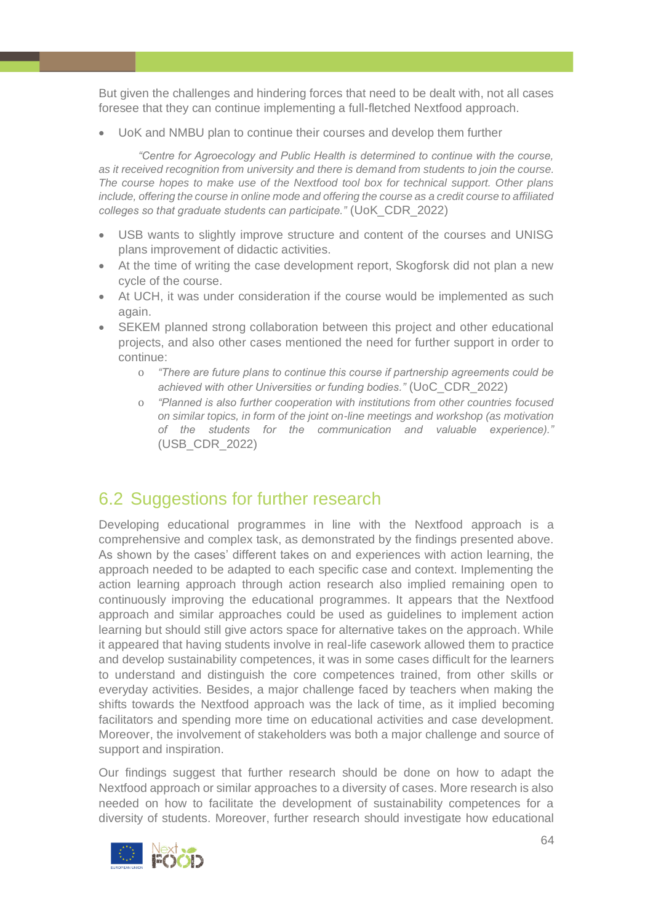But given the challenges and hindering forces that need to be dealt with, not all cases foresee that they can continue implementing a full-fletched Nextfood approach.

• UoK and NMBU plan to continue their courses and develop them further

*"Centre for Agroecology and Public Health is determined to continue with the course, as it received recognition from university and there is demand from students to join the course. The course hopes to make use of the Nextfood tool box for technical support. Other plans include, offering the course in online mode and offering the course as a credit course to affiliated colleges so that graduate students can participate."* (UoK\_CDR\_2022)

- USB wants to slightly improve structure and content of the courses and UNISG plans improvement of didactic activities.
- At the time of writing the case development report, Skogforsk did not plan a new cycle of the course.
- At UCH, it was under consideration if the course would be implemented as such again.
- SEKEM planned strong collaboration between this project and other educational projects, and also other cases mentioned the need for further support in order to continue:
	- o *"There are future plans to continue this course if partnership agreements could be achieved with other Universities or funding bodies."* (UoC\_CDR\_2022)
	- o *"Planned is also further cooperation with institutions from other countries focused on similar topics, in form of the joint on-line meetings and workshop (as motivation of the students for the communication and valuable experience)."* (USB\_CDR\_2022)

# <span id="page-63-0"></span>6.2 Suggestions for further research

Developing educational programmes in line with the Nextfood approach is a comprehensive and complex task, as demonstrated by the findings presented above. As shown by the cases' different takes on and experiences with action learning, the approach needed to be adapted to each specific case and context. Implementing the action learning approach through action research also implied remaining open to continuously improving the educational programmes. It appears that the Nextfood approach and similar approaches could be used as guidelines to implement action learning but should still give actors space for alternative takes on the approach. While it appeared that having students involve in real-life casework allowed them to practice and develop sustainability competences, it was in some cases difficult for the learners to understand and distinguish the core competences trained, from other skills or everyday activities. Besides, a major challenge faced by teachers when making the shifts towards the Nextfood approach was the lack of time, as it implied becoming facilitators and spending more time on educational activities and case development. Moreover, the involvement of stakeholders was both a major challenge and source of support and inspiration.

Our findings suggest that further research should be done on how to adapt the Nextfood approach or similar approaches to a diversity of cases. More research is also needed on how to facilitate the development of sustainability competences for a diversity of students. Moreover, further research should investigate how educational

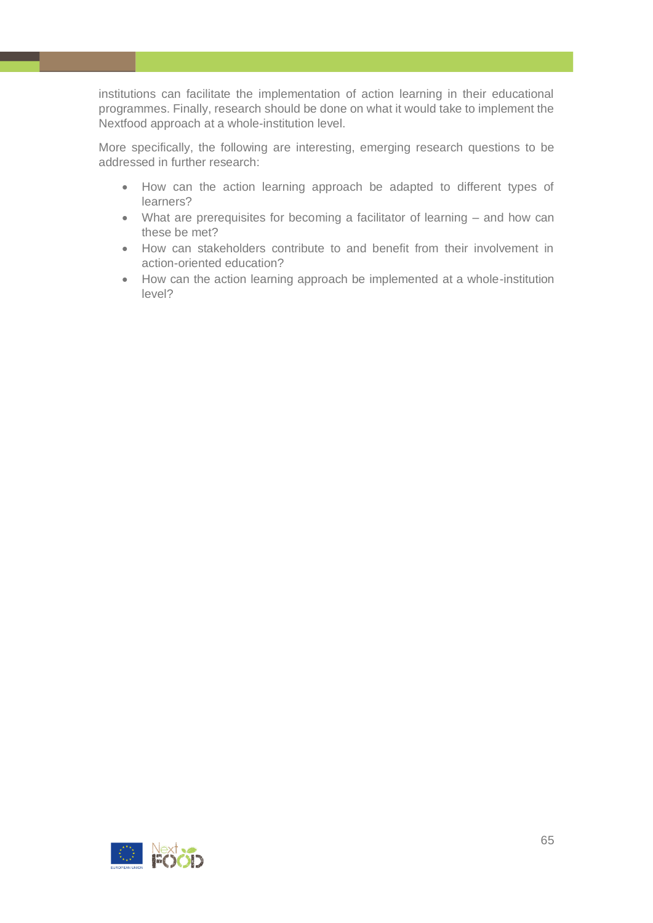institutions can facilitate the implementation of action learning in their educational programmes. Finally, research should be done on what it would take to implement the Nextfood approach at a whole-institution level.

More specifically, the following are interesting, emerging research questions to be addressed in further research:

- How can the action learning approach be adapted to different types of learners?
- What are prerequisites for becoming a facilitator of learning and how can these be met?
- How can stakeholders contribute to and benefit from their involvement in action-oriented education?
- How can the action learning approach be implemented at a whole-institution level?

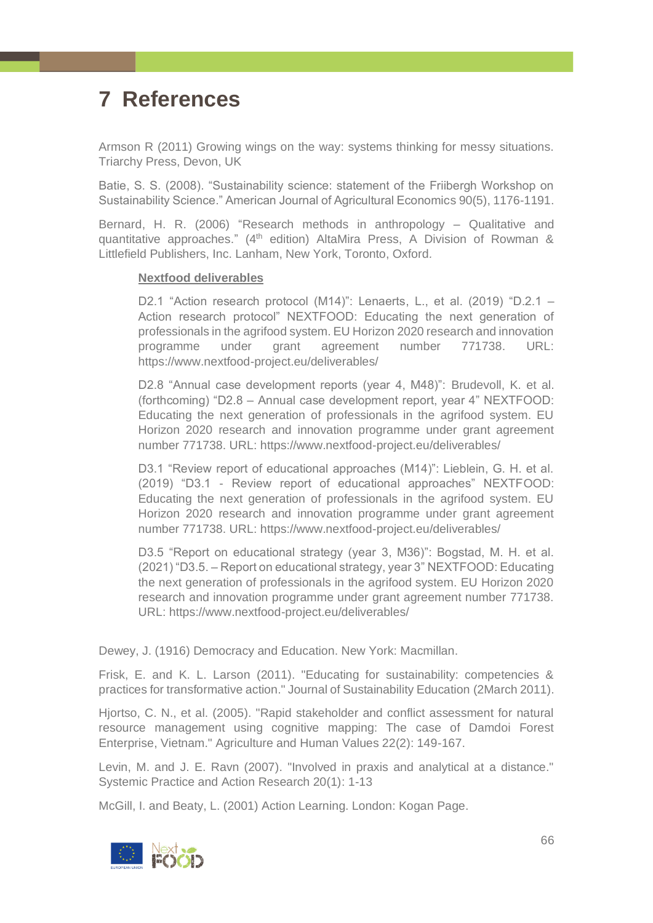# <span id="page-65-0"></span>**7 References**

Armson R (2011) Growing wings on the way: systems thinking for messy situations. Triarchy Press, Devon, UK

Batie, S. S. (2008). "Sustainability science: statement of the Friibergh Workshop on Sustainability Science." American Journal of Agricultural Economics 90(5), 1176-1191.

Bernard, H. R. (2006) "Research methods in anthropology – Qualitative and quantitative approaches." (4<sup>th</sup> edition) AltaMira Press, A Division of Rowman & Littlefield Publishers, Inc. Lanham, New York, Toronto, Oxford*.*

#### **Nextfood deliverables**

D2.1 "Action research protocol (M14)": Lenaerts, L., et al. (2019) "D.2.1 – Action research protocol" NEXTFOOD: Educating the next generation of professionals in the agrifood system. EU Horizon 2020 research and innovation programme under grant agreement number 771738. URL: https://www.nextfood-project.eu/deliverables/

D2.8 "Annual case development reports (year 4, M48)": Brudevoll, K. et al. (forthcoming) "D2.8 – Annual case development report, year 4" NEXTFOOD: Educating the next generation of professionals in the agrifood system. EU Horizon 2020 research and innovation programme under grant agreement number 771738. URL: https://www.nextfood-project.eu/deliverables/

D3.1 "Review report of educational approaches (M14)": Lieblein, G. H. et al. (2019) "D3.1 - Review report of educational approaches" NEXTFOOD: Educating the next generation of professionals in the agrifood system. EU Horizon 2020 research and innovation programme under grant agreement number 771738. URL: https://www.nextfood-project.eu/deliverables/

D3.5 "Report on educational strategy (year 3, M36)": Bogstad, M. H. et al. (2021) "D3.5. – Report on educational strategy, year 3" NEXTFOOD: Educating the next generation of professionals in the agrifood system. EU Horizon 2020 research and innovation programme under grant agreement number 771738. URL: https://www.nextfood-project.eu/deliverables/

Dewey, J. (1916) Democracy and Education. New York: Macmillan.

Frisk, E. and K. L. Larson (2011). "Educating for sustainability: competencies & practices for transformative action." Journal of Sustainability Education (2March 2011).

Hjortso, C. N., et al. (2005). "Rapid stakeholder and conflict assessment for natural resource management using cognitive mapping: The case of Damdoi Forest Enterprise, Vietnam." Agriculture and Human Values 22(2): 149-167.

Levin, M. and J. E. Ravn (2007). "Involved in praxis and analytical at a distance." Systemic Practice and Action Research 20(1): 1-13

McGill, I. and Beaty, L. (2001) Action Learning. London: Kogan Page.